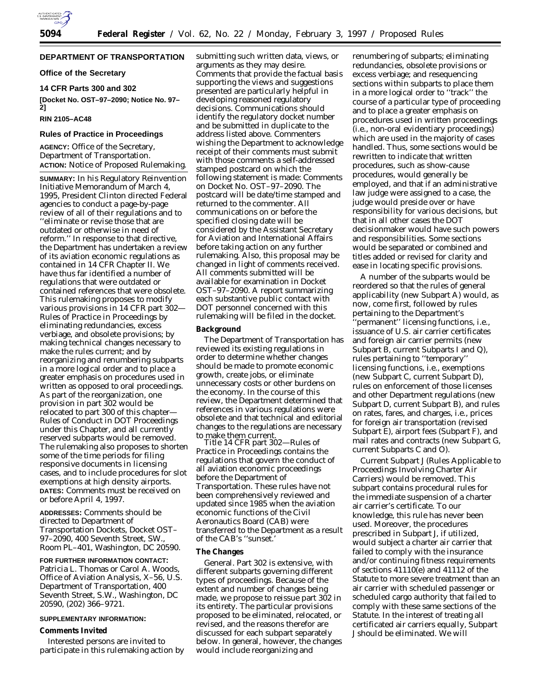

# **DEPARTMENT OF TRANSPORTATION**

## **Office of the Secretary**

# **14 CFR Parts 300 and 302**

**[Docket No. OST–97–2090; Notice No. 97– 2]**

# **RIN 2105–AC48**

### **Rules of Practice in Proceedings**

**AGENCY:** Office of the Secretary, Department of Transportation. **ACTION:** Notice of Proposed Rulemaking.

**SUMMARY:** In his Regulatory Reinvention Initiative Memorandum of March 4, 1995, President Clinton directed Federal agencies to conduct a page-by-page review of all of their regulations and to ''eliminate or revise those that are outdated or otherwise in need of reform.'' In response to that directive, the Department has undertaken a review of its aviation economic regulations as contained in 14 CFR Chapter II. We have thus far identified a number of regulations that were outdated or contained references that were obsolete. This rulemaking proposes to modify various provisions in 14 CFR part 302— Rules of Practice in Proceedings by eliminating redundancies, excess verbiage, and obsolete provisions; by making technical changes necessary to make the rules current; and by reorganizing and renumbering subparts in a more logical order and to place a greater emphasis on procedures used in written as opposed to oral proceedings. As part of the reorganization, one provision in part 302 would be relocated to part 300 of this chapter— Rules of Conduct in DOT Proceedings under this Chapter, and all currently reserved subparts would be removed. The rulemaking also proposes to shorten some of the time periods for filing responsive documents in licensing cases, and to include procedures for slot exemptions at high density airports. **DATES:** Comments must be received on or before April 4, 1997.

**ADDRESSES:** Comments should be directed to Department of Transportation Dockets, Docket OST– 97–2090, 400 Seventh Street, SW., Room PL–401, Washington, DC 20590.

**FOR FURTHER INFORMATION CONTACT:** Patricia L. Thomas or Carol A. Woods, Office of Aviation Analysis, X–56, U.S. Department of Transportation, 400 Seventh Street, S.W., Washington, DC 20590, (202) 366–9721.

## **SUPPLEMENTARY INFORMATION:**

#### **Comments Invited**

Interested persons are invited to participate in this rulemaking action by submitting such written data, views, or arguments as they may desire. Comments that provide the factual basis supporting the views and suggestions presented are particularly helpful in developing reasoned regulatory decisions. Communications should identify the regulatory docket number and be submitted in duplicate to the address listed above. Commenters wishing the Department to acknowledge receipt of their comments must submit with those comments a self-addressed stamped postcard on which the following statement is made: Comments on Docket No. OST–97–2090. The postcard will be date/time stamped and returned to the commenter. All communications on or before the specified closing date will be considered by the Assistant Secretary for Aviation and International Affairs before taking action on any further rulemaking. Also, this proposal may be changed in light of comments received. All comments submitted will be available for examination in Docket OST–97–2090. A report summarizing each substantive public contact with DOT personnel concerned with this rulemaking will be filed in the docket.

#### **Background**

The Department of Transportation has reviewed its existing regulations in order to determine whether changes should be made to promote economic growth, create jobs, or eliminate unnecessary costs or other burdens on the economy. In the course of this review, the Department determined that references in various regulations were obsolete and that technical and editorial changes to the regulations are necessary to make them current.

Title 14 CFR part 302—Rules of Practice in Proceedings contains the regulations that govern the conduct of all aviation economic proceedings before the Department of Transportation. These rules have not been comprehensively reviewed and updated since 1985 when the aviation economic functions of the Civil Aeronautics Board (CAB) were transferred to the Department as a result of the CAB's "sunset.

#### **The Changes**

General. Part 302 is extensive, with different subparts governing different types of proceedings. Because of the extent and number of changes being made, we propose to reissue part 302 in its entirety. The particular provisions proposed to be eliminated, relocated, or revised, and the reasons therefor are discussed for each subpart separately below. In general, however, the changes would include reorganizing and

renumbering of subparts; eliminating redundancies, obsolete provisions or excess verbiage; and resequencing sections within subparts to place them in a more logical order to ''track'' the course of a particular type of proceeding and to place a greater emphasis on procedures used in written proceedings (*i.e.,* non-oral evidentiary proceedings) which are used in the majority of cases handled. Thus, some sections would be rewritten to indicate that written procedures, such as show-cause procedures, would generally be employed, and that *if* an administrative law judge were assigned to a case, the judge would preside over or have responsibility for various decisions, but that in all other cases the DOT decisionmaker would have such powers and responsibilities. Some sections would be separated or combined and titles added or revised for clarity and ease in locating specific provisions.

A number of the subparts would be reordered so that the rules of general applicability (new Subpart A) would, as now, come first, followed by rules pertaining to the Department's 'permanent'' licensing functions, *i.e.*, issuance of U.S. air carrier certificates and foreign air carrier permits (new Subpart B, current Subparts I and Q), rules pertaining to ''temporary'' licensing functions, *i.e.,* exemptions (new Subpart C, current Subpart D), rules on enforcement of those licenses and other Department regulations (new Subpart D, current Subpart B), and rules on rates, fares, and charges, *i.e.,* prices for foreign air transportation (revised Subpart E), airport fees (Subpart F), and mail rates and contracts (new Subpart G, current Subparts C and O).

Current Subpart J (Rules Applicable to Proceedings Involving Charter Air Carriers) would be removed. This subpart contains procedural rules for the immediate suspension of a charter air carrier's certificate. To our knowledge, this rule has never been used. Moreover, the procedures prescribed in Subpart J, if utilized, would subject a charter air carrier that failed to comply with the insurance and/or continuing fitness requirements of sections 41110(e) and 41112 of the Statute to more severe treatment than an air carrier with scheduled passenger or scheduled cargo authority that failed to comply with these same sections of the Statute. In the interest of treating all certificated air carriers equally, Subpart J should be eliminated. We will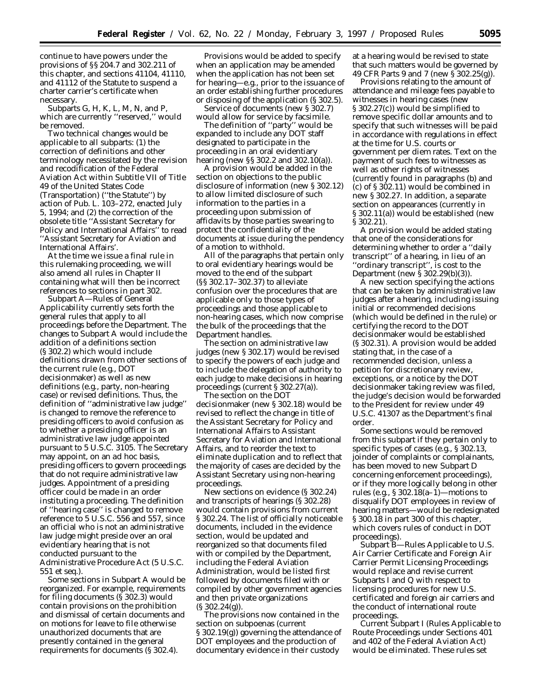continue to have powers under the provisions of §§ 204.7 and 302.211 of this chapter, and sections 41104, 41110, and 41112 of the Statute to suspend a charter carrier's certificate when necessary.

Subparts G, H, K, L, M, N, and P, which are currently ''reserved,'' would be removed.

Two technical changes would be applicable to all subparts: (1) the correction of definitions and other terminology necessitated by the revision and recodification of the Federal Aviation Act within Subtitle VII of Title 49 of the United States Code (Transportation) (''the Statute'') by action of Pub. L. 103–272, enacted July 5, 1994; and (2) the correction of the obsolete title ''Assistant Secretary for Policy and International Affairs'' to read ''Assistant Secretary for Aviation and International Affairs'.

At the time we issue a final rule in this rulemaking proceeding, we will also amend all rules in Chapter II containing what will then be incorrect references to sections in part 302.

Subpart A—Rules of General Applicability currently sets forth the general rules that apply to all proceedings before the Department. The changes to Subpart A would include the addition of a definitions section (§ 302.2) which would include definitions drawn from other sections of the current rule (*e.g.,* DOT decisionmaker) as well as new definitions (*e.g.,* party, non-hearing case) or revised definitions. Thus, the definition of ''administrative law judge'' is changed to remove the reference to presiding officers to avoid confusion as to whether a presiding officer is an administrative law judge appointed pursuant to 5 U.S.C. 3105. The Secretary may appoint, on an *ad hoc* basis, presiding officers to govern proceedings that do not require administrative law judges. Appointment of a presiding officer could be made in an order instituting a proceeding. The definition of ''hearing case'' is changed to remove reference to 5 U.S.C. 556 and 557, since an official who is not an administrative law judge might preside over an oral evidentiary hearing that is not conducted pursuant to the Administrative Procedure Act (5 U.S.C. 551 *et seq.*).

Some sections in Subpart A would be reorganized. For example, requirements for filing documents (§ 302.3) would contain provisions on the prohibition and dismissal of certain documents and on motions for leave to file otherwise unauthorized documents that are presently contained in the general requirements for documents (§ 302.4).

Provisions would be added to specify when an application may be amended when the application has not been set for hearing—*e.g.,* prior to the issuance of an order establishing further procedures or disposing of the application (§ 302.5).

Service of documents (new § 302.7) would allow for service by facsimile.

The definition of ''party'' would be expanded to include any DOT staff designated to participate in the proceeding in an oral evidentiary hearing (new §§ 302.2 and 302.10(a)).

A provision would be added in the section on objections to the public disclosure of information (new § 302.12) to allow limited disclosure of such information to the parties in a proceeding upon submission of affidavits by those parties swearing to protect the confidentiality of the documents at issue during the pendency of a motion to withhold.

All of the paragraphs that pertain only to oral evidentiary hearings would be moved to the end of the subpart (§§ 302.17–302.37) to alleviate confusion over the procedures that are applicable only to those types of proceedings and those applicable to non-hearing cases, which now comprise the bulk of the proceedings that the Department handles.

The section on administrative law judges (new § 302.17) would be revised to specify the powers of each judge and to include the delegation of authority to each judge to make decisions in hearing proceedings (current § 302.27(a)).

The section on the DOT decisionmaker (new § 302.18) would be revised to reflect the change in title of the Assistant Secretary for Policy and International Affairs to Assistant Secretary for Aviation and International Affairs, and to reorder the text to eliminate duplication and to reflect that the majority of cases are decided by the Assistant Secretary using non-hearing proceedings.

New sections on evidence (§ 302.24) and transcripts of hearings (§ 302.28) would contain provisions from current § 302.24. The list of officially noticeable documents, included in the evidence section, would be updated and reorganized so that documents filed with or compiled by the Department, including the Federal Aviation Administration, would be listed first followed by documents filed with or compiled by other government agencies and then private organizations (§ 302.24(g)).

The provisions now contained in the section on subpoenas (current § 302.19(g)) governing the attendance of DOT employees and the production of documentary evidence in their custody

at a hearing would be revised to state that such matters would be governed by 49 CFR Parts 9 and 7 (new § 302.25(g)).

Provisions relating to the amount of attendance and mileage fees payable to witnesses in hearing cases (new § 302.27(c)) would be simplified to remove specific dollar amounts and to specify that such witnesses will be paid in accordance with regulations in effect at the time for U.S. courts or government per diem rates. Text on the payment of such fees to witnesses as well as other rights of witnesses (currently found in paragraphs (b) and (c) of § 302.11) would be combined in new § 302.27. In addition, a separate section on appearances (currently in § 302.11(a)) would be established (new § 302.21).

A provision would be added stating that one of the considerations for determining whether to order a ''daily transcript'' of a hearing, in lieu of an ''ordinary transcript'', is cost to the Department (new § 302.29(b)(3)).

A new section specifying the actions that can be taken by administrative law judges after a hearing, including issuing initial or recommended decisions (which would be defined in the rule) or certifying the record to the DOT decisionmaker would be established (§ 302.31). A provision would be added stating that, in the case of a recommended decision, unless a petition for discretionary review, exceptions, or a notice by the DOT decisionmaker taking review was filed, the judge's decision would be forwarded to the President for review under 49 U.S.C. 41307 as the Department's final order.

Some sections would be removed from this subpart if they pertain only to specific types of cases (*e.g.*, § 302.13, joinder of complaints or complainants, has been moved to new Subpart D concerning enforcement proceedings), or if they more logically belong in other rules (*e.g.*, § 302.18(a–1)—motions to disqualify DOT employees in review of hearing matters—would be redesignated § 300.18 in part 300 of this chapter, which covers rules of conduct in DOT proceedings).

Subpart B—Rules Applicable to U.S. Air Carrier Certificate and Foreign Air Carrier Permit Licensing Proceedings would replace and revise current Subparts I and Q with respect to licensing procedures for new U.S. certificated and foreign air carriers and the conduct of international route proceedings.

Current Subpart I (Rules Applicable to Route Proceedings under Sections 401 and 402 of the Federal Aviation Act) would be eliminated. These rules set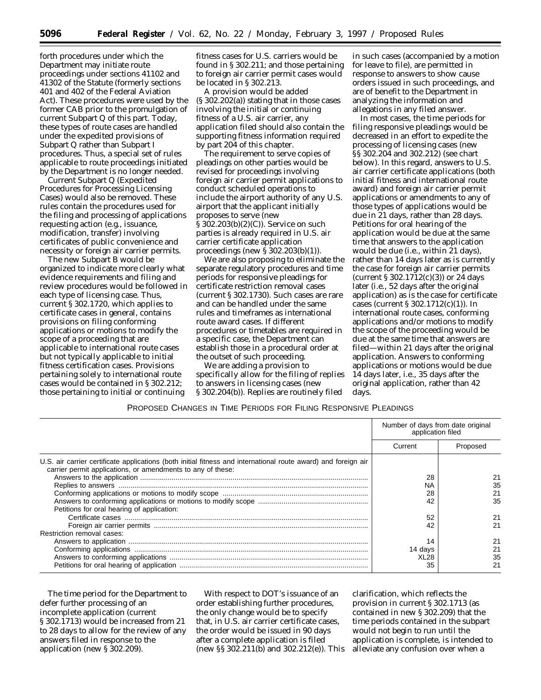forth procedures under which the Department may initiate route proceedings under sections 41102 and 41302 of the Statute (formerly sections 401 and 402 of the Federal Aviation Act). These procedures were used by the former CAB prior to the promulgation of current Subpart Q of this part. Today, these types of route cases are handled under the expedited provisions of Subpart Q rather than Subpart I procedures. Thus, a special set of rules applicable to route proceedings initiated by the Department is no longer needed.

Current Subpart Q (Expedited Procedures for Processing Licensing Cases) would also be removed. These rules contain the procedures used for the filing and processing of applications requesting action (*e.g.,* issuance, modification, transfer) involving certificates of public convenience and necessity or foreign air carrier permits.

The new Subpart B would be organized to indicate more clearly what evidence requirements and filing and review procedures would be followed in each type of licensing case. Thus, current § 302.1720, which applies to certificate cases in general, contains provisions on filing conforming applications or motions to modify the scope of a proceeding that are applicable to international route cases but not typically applicable to initial fitness certification cases. Provisions pertaining solely to international route cases would be contained in § 302.212; those pertaining to initial or continuing

fitness cases for U.S. carriers would be found in § 302.211; and those pertaining to foreign air carrier permit cases would be located in § 302.213.

A provision would be added (§ 302.202(a)) stating that in those cases involving the initial or continuing fitness of a U.S. air carrier, any application filed should also contain the supporting fitness information required by part 204 of this chapter.

The requirement to serve copies of pleadings on other parties would be revised for proceedings involving foreign air carrier permit applications to conduct scheduled operations to include the airport authority of any U.S. airport that the applicant initially proposes to serve (new § 302.203(b)(2)(C)). Service on such parties is already required in U.S. air carrier certificate application proceedings (new § 302.203(b)(1)).

We are also proposing to eliminate the separate regulatory procedures and time periods for responsive pleadings for certificate restriction removal cases (current § 302.1730). Such cases are rare and can be handled under the same rules and timeframes as international route award cases. If different procedures or timetables are required in a specific case, the Department can establish those in a procedural order at the outset of such proceeding.

We are adding a provision to specifically allow for the filing of replies to answers in licensing cases (new § 302.204(b)). Replies are routinely filed

in such cases (accompanied by a motion for leave to file), are permitted in response to answers to show cause orders issued in such proceedings, and are of benefit to the Department in analyzing the information and allegations in any filed answer.

In most cases, the time periods for filing responsive pleadings would be decreased in an effort to expedite the processing of licensing cases (new §§ 302.204 and 302.212) (see chart below). In this regard, answers to U.S. air carrier certificate applications (both initial fitness and international route award) and foreign air carrier permit applications or amendments to any of those types of applications would be due in 21 days, rather than 28 days. Petitions for oral hearing of the application would be due at the same time that answers to the application would be due (*i.e.,* within 21 days), rather than 14 days later as is currently the case for foreign air carrier permits (current  $$302.1712(c)(3)$ ) or 24 days later (*i.e.,* 52 days after the original application) as is the case for certificate cases (current § 302.1712(c)(1)). In international route cases, conforming applications and/or motions to modify the scope of the proceeding would be due at the same time that answers are filed—within 21 days after the original application. Answers to conforming applications or motions would be due 14 days later, *i.e.,* 35 days after the original application, rather than 42 days.

PROPOSED CHANGES IN TIME PERIODS FOR FILING RESPONSIVE PLEADINGS

|                                                                                                                                                                               | Number of days from date original<br>application filed |          |
|-------------------------------------------------------------------------------------------------------------------------------------------------------------------------------|--------------------------------------------------------|----------|
|                                                                                                                                                                               | Current                                                | Proposed |
| U.S. air carrier certificate applications (both initial fitness and international route award) and foreign air<br>carrier permit applications, or amendments to any of these: |                                                        |          |
|                                                                                                                                                                               | 28                                                     |          |
|                                                                                                                                                                               | NA                                                     | 35       |
|                                                                                                                                                                               | 28                                                     | 21       |
| Petitions for oral hearing of application:                                                                                                                                    | 42                                                     | 35       |
|                                                                                                                                                                               | 52                                                     | 21       |
|                                                                                                                                                                               |                                                        | 21       |
| Restriction removal cases:                                                                                                                                                    |                                                        |          |
|                                                                                                                                                                               | 14                                                     | 21       |
|                                                                                                                                                                               | 14 days                                                | 21       |
|                                                                                                                                                                               | XL <sub>28</sub>                                       | 35       |
|                                                                                                                                                                               | 35                                                     | 21       |

The time period for the Department to defer further processing of an incomplete application (current § 302.1713) would be increased from 21 to 28 days to allow for the review of any answers filed in response to the application (new § 302.209).

With respect to DOT's issuance of an order establishing further procedures, the only change would be to specify that, in U.S. air carrier certificate cases, the order would be issued in 90 days after a *complete* application is filed (new §§ 302.211(b) and 302.212(e)). This

clarification, which reflects the provision in current § 302.1713 (as contained in new § 302.209) that the time periods contained in the subpart would not begin to run until the application is complete, is intended to alleviate any confusion over when a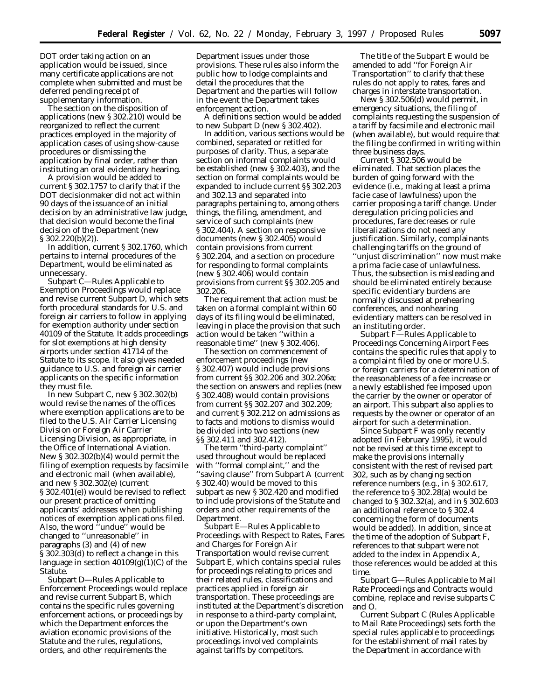DOT order taking action on an application would be issued, since many certificate applications are not complete when submitted and must be deferred pending receipt of supplementary information.

The section on the disposition of applications (new § 302.210) would be reorganized to reflect the current practices employed in the majority of application cases of using show-cause procedures or dismissing the application by final order, rather than instituting an oral evidentiary hearing.

A provision would be added to current § 302.1757 to clarify that if the DOT decisionmaker did not act within 90 days of the issuance of an initial decision by an administrative law judge, that decision would become the final decision of the Department (new § 302.220(b)(2)).

In addition, current § 302.1760, which pertains to internal procedures of the Department, would be eliminated as unnecessary.

Subpart C—Rules Applicable to Exemption Proceedings would replace and revise current Subpart D, which sets forth procedural standards for U.S. and foreign air carriers to follow in applying for exemption authority under section 40109 of the Statute. It adds proceedings for slot exemptions at high density airports under section 41714 of the Statute to its scope. It also gives needed guidance to U.S. and foreign air carrier applicants on the specific information they must file.

In new Subpart C, new § 302.302(b) would revise the names of the offices where exemption applications are to be filed to the U.S. Air Carrier Licensing Division or Foreign Air Carrier Licensing Division, as appropriate, in the Office of International Aviation. New § 302.302(b)(4) would permit the filing of exemption requests by facsimile and electronic mail (when available), and new § 302.302(e) (current § 302.401(e)) would be revised to reflect our present practice of omitting applicants' addresses when publishing notices of exemption applications filed. Also, the word ''undue'' would be changed to ''unreasonable'' in paragraphs (3) and (4) of new § 302.303(d) to reflect a change in this language in section  $40109(g)(1)(C)$  of the Statute.

Subpart D—Rules Applicable to Enforcement Proceedings would replace and revise current Subpart B, which contains the specific rules governing enforcement actions, or proceedings by which the Department enforces the aviation economic provisions of the Statute and the rules, regulations, orders, and other requirements the

Department issues under those provisions. These rules also inform the public how to lodge complaints and detail the procedures that the Department and the parties will follow in the event the Department takes enforcement action.

A definitions section would be added to new Subpart D (new § 302.402).

In addition, various sections would be combined, separated or retitled for purposes of clarity. Thus, a separate section on informal complaints would be established (new § 302.403), and the section on formal complaints would be expanded to include current §§ 302.203 and 302.13 and separated into paragraphs pertaining to, among others things, the filing, amendment, and service of such complaints (new § 302.404). A section on responsive documents (new § 302.405) would contain provisions from current § 302.204, and a section on procedure for responding to formal complaints (new § 302.406) would contain provisions from current §§ 302.205 and 302.206.

The requirement that action must be taken on a formal complaint within 60 days of its filing would be eliminated, leaving in place the provision that such action would be taken ''within a reasonable time'' (new § 302.406).

The section on commencement of enforcement proceedings (new § 302.407) would include provisions from current §§ 302.206 and 302.206a; the section on answers and replies (new § 302.408) would contain provisions from current §§ 302.207 and 302.209; and current § 302.212 on admissions as to facts and motions to dismiss would be divided into two sections (new §§ 302.411 and 302.412).

The term ''third-party complaint'' used throughout would be replaced with ''formal complaint,'' and the ''saving clause'' from Subpart A (current § 302.40) would be moved to this subpart as new § 302.420 and modified to include provisions of the Statute and orders and other requirements of the Department.

Subpart E—Rules Applicable to Proceedings with Respect to Rates, Fares and Charges for Foreign Air Transportation would revise current Subpart E, which contains special rules for proceedings relating to prices and their related rules, classifications and practices applied in foreign air transportation. These proceedings are instituted at the Department's discretion in response to a third-party complaint, or upon the Department's own initiative. Historically, most such proceedings involved complaints against tariffs by competitors.

The title of the Subpart E would be amended to add ''for Foreign Air Transportation'' to clarify that these rules do not apply to rates, fares and charges in interstate transportation.

New § 302.506(d) would permit, in emergency situations, the filing of complaints requesting the suspension of a tariff by facsimile and electronic mail (when available), but would require that the filing be confirmed in writing within three business days.

Current § 302.506 would be eliminated. That section places the burden of going forward with the evidence (*i.e.,* making at least a *prima facie* case of lawfulness) upon the carrier proposing a tariff change. Under deregulation pricing policies and procedures, fare decreases or rule liberalizations do not need any justification. Similarly, complainants challenging tariffs on the ground of

''unjust discrimination'' now must make a *prima facie* case of unlawfulness. Thus, the subsection is misleading and should be eliminated entirely because specific evidentiary burdens are normally discussed at prehearing conferences, and nonhearing evidentiary matters can be resolved in an instituting order.

Subpart F—Rules Applicable to Proceedings Concerning Airport Fees contains the specific rules that apply to a complaint filed by one or more U.S. or foreign carriers for a determination of the reasonableness of a fee increase or a newly established fee imposed upon the carrier by the owner or operator of an airport. This subpart also applies to requests by the owner or operator of an airport for such a determination.

Since Subpart F was only recently adopted (in February 1995), it would not be revised at this time except to make the provisions internally consistent with the rest of revised part 302, such as by changing section reference numbers (*e.g.,* in § 302.617, the reference to § 302.28(a) would be changed to § 302.32(a), and in § 302.603 an additional reference to § 302.4 concerning the form of documents would be added). In addition, since at the time of the adoption of Subpart F, references to that subpart were not added to the index in Appendix A, those references would be added at this time.

Subpart G—Rules Applicable to Mail Rate Proceedings and Contracts would combine, replace and revise subparts C and O.

Current Subpart C (Rules Applicable to Mail Rate Proceedings) sets forth the special rules applicable to proceedings for the establishment of mail rates by the Department in accordance with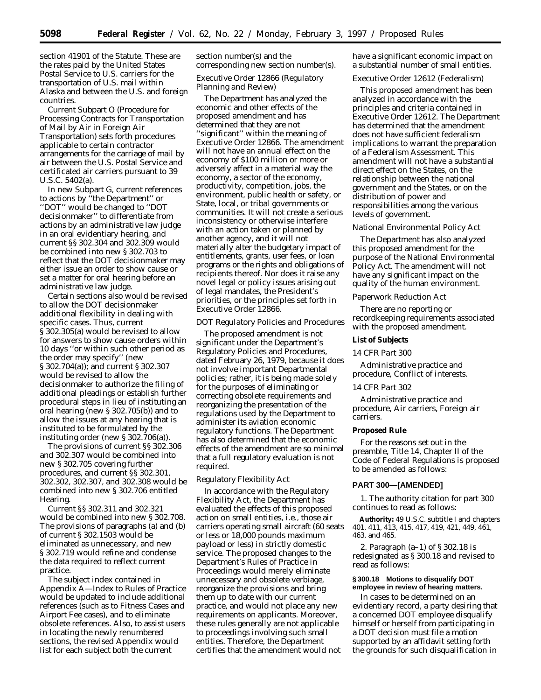section 41901 of the Statute. These are the rates paid by the United States Postal Service to U.S. carriers for the transportation of U.S. mail within Alaska and between the U.S. and foreign countries.

Current Subpart O (Procedure for Processing Contracts for Transportation of Mail by Air in Foreign Air Transportation) sets forth procedures applicable to certain contractor arrangements for the carriage of mail by air between the U.S. Postal Service and certificated air carriers pursuant to 39 U.S.C. 5402(a).

In new Subpart G, current references to actions by ''the Department'' or ''DOT'' would be changed to ''DOT decisionmaker'' to differentiate from actions by an administrative law judge in an oral evidentiary hearing, and current §§ 302.304 and 302.309 would be combined into new § 302.703 to reflect that the DOT decisionmaker may either issue an order to show cause or set a matter for oral hearing before an administrative law judge.

Certain sections also would be revised to allow the DOT decisionmaker additional flexibility in dealing with specific cases. Thus, current § 302.305(a) would be revised to allow for answers to show cause orders within 10 days ''or within such other period as the order may specify'' (new § 302.704(a)); and current § 302.307 would be revised to allow the decisionmaker to authorize the filing of additional pleadings or establish further procedural steps in lieu of instituting an oral hearing (new § 302.705(b)) and to allow the issues at any hearing that is instituted to be formulated by the instituting order (new § 302.706(a)).

The provisions of current §§ 302.306 and 302.307 would be combined into new § 302.705 covering further procedures, and current §§ 302.301, 302.302, 302.307, and 302.308 would be combined into new § 302.706 entitled Hearing.

Current §§ 302.311 and 302.321 would be combined into new § 302.708. The provisions of paragraphs (a) and (b) of current § 302.1503 would be eliminated as unnecessary, and new § 302.719 would refine and condense the data required to reflect current practice.

The subject index contained in Appendix A—Index to Rules of Practice would be updated to include additional references (such as to Fitness Cases and Airport Fee cases), and to eliminate obsolete references. Also, to assist users in locating the newly renumbered sections, the revised Appendix would list for each subject both the current

section number(s) and the corresponding new section number(s).

# *Executive Order 12866 (Regulatory Planning and Review)*

The Department has analyzed the economic and other effects of the proposed amendment and has determined that they are not ''significant'' within the meaning of Executive Order 12866. The amendment will not have an annual effect on the economy of \$100 million or more or adversely affect in a material way the economy, a sector of the economy, productivity, competition, jobs, the environment, public health or safety, or State, local, or tribal governments or communities. It will not create a serious inconsistency or otherwise interfere with an action taken or planned by another agency, and it will not materially alter the budgetary impact of entitlements, grants, user fees, or loan programs or the rights and obligations of recipients thereof. Nor does it raise any novel legal or policy issues arising out of legal mandates, the President's priorities, or the principles set forth in Executive Order 12866.

## *DOT Regulatory Policies and Procedures*

The proposed amendment is not significant under the Department's Regulatory Policies and Procedures, dated February 26, 1979, because it does not involve important Departmental policies; rather, it is being made solely for the purposes of eliminating or correcting obsolete requirements and reorganizing the presentation of the regulations used by the Department to administer its aviation economic regulatory functions. The Department has also determined that the economic effects of the amendment are so minimal that a full regulatory evaluation is not required.

#### *Regulatory Flexibility Act*

In accordance with the Regulatory Flexibility Act, the Department has evaluated the effects of this proposed action on small entities, i.e., those air carriers operating small aircraft (60 seats or less or 18,000 pounds maximum payload or less) in strictly domestic service. The proposed changes to the Department's Rules of Practice in Proceedings would merely eliminate unnecessary and obsolete verbiage, reorganize the provisions and bring them up to date with our current practice, and would not place any new requirements on applicants. Moreover, these rules generally are not applicable to proceedings involving such small entities. Therefore, the Department certifies that the amendment would not

have a significant economic impact on a substantial number of small entities.

## *Executive Order 12612 (Federalism)*

This proposed amendment has been analyzed in accordance with the principles and criteria contained in Executive Order 12612. The Department has determined that the amendment does not have sufficient federalism implications to warrant the preparation of a Federalism Assessment. This amendment will not have a substantial direct effect on the States, on the relationship between the national government and the States, or on the distribution of power and responsibilities among the various levels of government.

#### *National Environmental Policy Act*

The Department has also analyzed this proposed amendment for the purpose of the National Environmental Policy Act. The amendment will not have any significant impact on the quality of the human environment.

#### *Paperwork Reduction Act*

There are no reporting or recordkeeping requirements associated with the proposed amendment.

## **List of Subjects**

### *14 CFR Part 300*

Administrative practice and procedure, Conflict of interests.

# *14 CFR Part 302*

Administrative practice and procedure, Air carriers, Foreign air carriers.

#### **Proposed Rule**

For the reasons set out in the preamble, Title 14, Chapter II of the Code of Federal Regulations is proposed to be amended as follows:

#### **PART 300—[AMENDED]**

1. The authority citation for part 300 continues to read as follows:

**Authority:** 49 U.S.C. subtitle I and chapters 401, 411, 413, 415, 417, 419, 421, 449, 461, 463, and 465.

2. Paragraph (a–1) of § 302.18 is redesignated as § 300.18 and revised to read as follows:

#### **§ 300.18 Motions to disqualify DOT employee in review of hearing matters.**

In cases to be determined on an evidentiary record, a party desiring that a concerned DOT employee disqualify himself or herself from participating in a DOT decision must file a motion supported by an affidavit setting forth the grounds for such disqualification in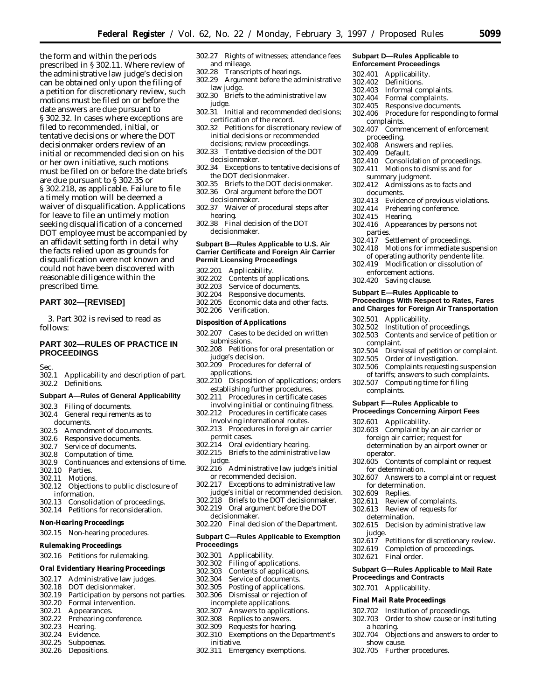the form and within the periods prescribed in § 302.11. Where review of the administrative law judge's decision can be obtained only upon the filing of a petition for discretionary review, such motions must be filed on or before the date answers are due pursuant to § 302.32. In cases where exceptions are filed to recommended, initial, or tentative decisions or where the DOT decisionmaker orders review of an initial or recommended decision on his or her own initiative, such motions must be filed on or before the date briefs are due pursuant to § 302.35 or § 302.218, as applicable. Failure to file a timely motion will be deemed a waiver of disqualification. Applications for leave to file an untimely motion seeking disqualification of a concerned DOT employee must be accompanied by an affidavit setting forth in detail why the facts relied upon as grounds for disqualification were not known and could not have been discovered with reasonable diligence within the prescribed time.

# **PART 302—[REVISED]**

3. Part 302 is revised to read as follows:

# **PART 302—RULES OF PRACTICE IN PROCEEDINGS**

Sec.

302.1 Applicability and description of part. 302.2 Definitions.

#### **Subpart A—Rules of General Applicability**

- 302.3 Filing of documents.
- 302.4 General requirements as to
- documents.
- 302.5 Amendment of documents.<br>302.6 Responsive documents.
- 302.6 Responsive documents.<br>302.7 Service of documents. Service of documents.
- 302.8 Computation of time.
- 302.9 Continuances and extensions of time.
- 
- 302.10 Parties.
- 302.11 Motions.
- 302.12 Objections to public disclosure of information.
- 302.13 Consolidation of proceedings.
- 302.14 Petitions for reconsideration.
- **Non-Hearing Proceedings**
- 302.15 Non-hearing procedures.
- **Rulemaking Proceedings**
- 302.16 Petitions for rulemaking.
- **Oral Evidentiary Hearing Proceedings**
- 302.17 Administrative law judges.
- 302.18 DOT decisionmaker.
- 302.19 Participation by persons not parties.
- 302.20 Formal intervention.<br>302.21 Appearances.
- Appearances.
- 302.22 Prehearing conference.
- 302.23 Hearing.
- Evidence.
- 302.25 Subpoenas.
- 302.26 Depositions.
- 302.27 Rights of witnesses; attendance fees and mileage.
	- 302.28 Transcripts of hearings.
	- 302.29 Argument before the administrative law judge.
	- 302.30 Briefs to the administrative law judge.
	- 302.31 Initial and recommended decisions; certification of the record.
	- 302.32 Petitions for discretionary review of initial decisions or recommended decisions; review proceedings.
	- 302.33 Tentative decision of the DOT decisionmaker.
	- 302.34 Exceptions to tentative decisions of the DOT decisionmaker.
	- 302.35 Briefs to the DOT decisionmaker. 302.36 Oral argument before the DOT
	- decisionmaker. 302.37 Waiver of procedural steps after
	- hearing.
	- 302.38 Final decision of the DOT decisionmaker.

#### **Subpart B—Rules Applicable to U.S. Air Carrier Certificate and Foreign Air Carrier Permit Licensing Proceedings**

- 302.201 Applicability.
- 302.202 Contents of applications.
- 302.203 Service of documents.
- 302.204 Responsive documents.
- 302.205 Economic data and other facts.
- Verification.

#### **Disposition of Applications**

- 302.207 Cases to be decided on written submissions.
- 302.208 Petitions for oral presentation or judge's decision.
- 302.209 Procedures for deferral of applications.
- 302.210 Disposition of applications; orders establishing further procedures.
- 302.211 Procedures in certificate cases involving initial or continuing fitness.
- 302.212 Procedures in certificate cases involving international routes.
- 302.213 Procedures in foreign air carrier permit cases.
- 302.214 Oral evidentiary hearing.
- 302.215 Briefs to the administrative law judge.
- 302.216 Administrative law judge's initial or recommended decision.
- 302.217 Exceptions to administrative law judge's initial or recommended decision.
- 302.218 Briefs to the DOT decisionmaker.
- 302.219 Oral argument before the DOT decisionmaker.
- 302.220 Final decision of the Department.

#### **Subpart C—Rules Applicable to Exemption Proceedings**

- 302.301 Applicability.<br>302.302 Filing of appli
- 302.302 Filing of applications.
- 302.303 Contents of applications.
- 302.304 Service of documents.<br>302.305 Posting of applications
- Posting of applications.
- 302.306 Dismissal or rejection of incomplete applications.<br>302.307 Answers to applica
- 302.307 Answers to applications.<br>302.308 Replies to answers.
- 302.308 Replies to answers.<br>302.309 Requests for hearing
- Requests for hearing.
- 302.310 Exemptions on the Department's initiative.
- 302.311 Emergency exemptions.

#### **Subpart D—Rules Applicable to Enforcement Proceedings**

- 
- 302.401 Applicability.<br>302.402 Definitions. Definitions.
	-
- 302.403 Informal complaints.
- 302.404 Formal complaints.<br>302.405 Responsive docume Responsive documents.
- 302.406 Procedure for responding to formal complaints.
- 302.407 Commencement of enforcement
- proceeding.<br>302.408 Answe Answers and replies.
- 
- 302.409 Default.
- Consolidation of proceedings. 302.411 Motions to dismiss and for
	- summary judgment.
- 302.412 Admissions as to facts and documents.
- 302.413 Evidence of previous violations.

Settlement of proceedings. 302.418 Motions for immediate suspension of operating authority pendente lite. 302.419 Modification or dissolution of

**Proceedings With Respect to Rates, Fares and Charges for Foreign Air Transportation**

302.504 Dismissal of petition or complaint. Order of investigation. 302.506 Complaints requesting suspension of tariffs; answers to such complaints.

Contents and service of petition or

302.414 Prehearing conference.

enforcement actions. 302.420 Saving clause.

302.501 Applicability.<br>302.502 Institution of p

complaint.<br>302.504 Dism

complaints.

302.601 Applicability.

for determination.

for determination. 302.609 Replies.

302.611 Review of complaints. 302.613 Review of requests for determination.

operator.

judge.

302.621 Final order.

a hearing.

show cause. 302.705 Further procedures.

**Proceedings and Contracts** 302.701 Applicability. **Final Mail Rate Proceedings** 302.702 Institution of proceedings. 302.703 Order to show cause or instituting

**Subpart E—Rules Applicable to**

302.502 Institution of proceedings.<br>302.503 Contents and service of pe

302.507 Computing time for filing

302.603 Complaint by an air carrier or foreign air carrier; request for determination by an airport owner or

302.605 Contents of complaint or request

302.607 Answers to a complaint or request

302.615 Decision by administrative law

302.617 Petitions for discretionary review. 302.619 Completion of proceedings.

**Subpart G—Rules Applicable to Mail Rate**

302.704 Objections and answers to order to

**Subpart F—Rules Applicable to Proceedings Concerning Airport Fees**

- 302.415 Hearing.
- 302.416 Appearances by persons not parties.<br>302.417 S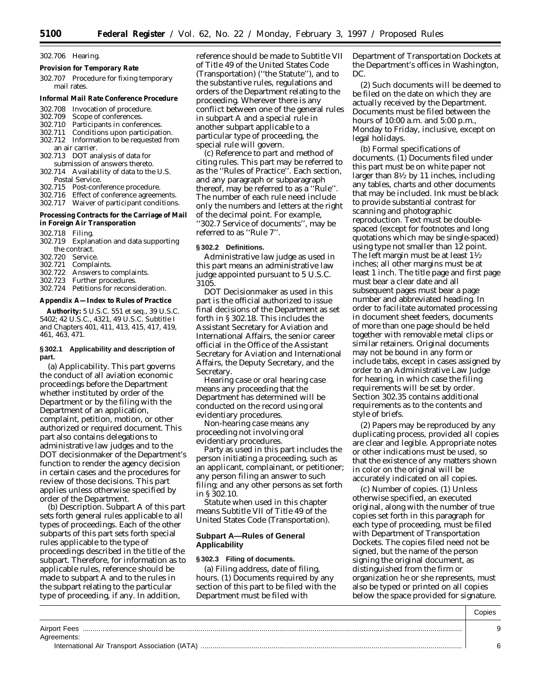#### 302.706 Hearing.

- **Provision for Temporary Rate**
- 302.707 Procedure for fixing temporary mail rates.
- **Informal Mail Rate Conference Procedure**
- 302.708 Invocation of procedure.
- Scope of conferences.
- 302.710 Participants in conferences.
- 302.711 Conditions upon participation. Information to be requested from
- an air carrier.
- 302.713 DOT analysis of data for submission of answers thereto.
- 302.714 Availability of data to the U.S. Postal Service.
- 302.715 Post-conference procedure.
- 302.716 Effect of conference agreements.
- 302.717 Waiver of participant conditions.
- **Processing Contracts for the Carriage of Mail in Foreign Air Transporation**
- 302.718 Filing.
- 302.719 Explanation and data supporting the contract.<br>720 Service
- 302.720<br>302.721
- 302.721 Complaints.
- 302.722 Answers to complaints.<br>302.723 Further procedures.
- Further procedures.
- 302.724 Petitions for reconsideration.

**Appendix A—Index to Rules of Practice**

**Authority:** 5 U.S.C. 551 *et seq.*, 39 U.S.C. 5402; 42 U.S.C., 4321, 49 U.S.C. Subtitle I and Chapters 401, 411, 413, 415, 417, 419, 461, 463, 471.

#### **§ 302.1 Applicability and description of part.**

(a) *Applicability.* This part governs the conduct of all aviation economic proceedings before the Department whether instituted by order of the Department or by the filing with the Department of an application, complaint, petition, motion, or other authorized or required document. This part also contains delegations to administrative law judges and to the DOT decisionmaker of the Department's function to render the agency decision in certain cases and the procedures for review of those decisions. This part applies unless otherwise specified by order of the Department.

(b) *Description.* Subpart A of this part sets forth general rules applicable to all types of proceedings. Each of the other subparts of this part sets forth special rules applicable to the type of proceedings described in the title of the subpart. Therefore, for information as to applicable rules, reference should be made to subpart A and to the rules in the subpart relating to the particular type of proceeding, if any. In addition,

reference should be made to Subtitle VII of Title 49 of the United States Code (Transportation) (''the Statute''), and to the substantive rules, regulations and orders of the Department relating to the proceeding. Wherever there is any conflict between one of the general rules in subpart A and a special rule in another subpart applicable to a particular type of proceeding, the special rule will govern.

(c) *Reference to part and method of citing rules.* This part may be referred to as the ''Rules of Practice''. Each section, and any paragraph or subparagraph thereof, may be referred to as a ''Rule''. The number of each rule need include only the numbers and letters at the right of the decimal point. For example, ''302.7 *Service of documents'',* may be referred to as ''Rule 7''.

## **§ 302.2 Definitions.**

*Administrative law judge* as used in this part means an administrative law judge appointed pursuant to 5 U.S.C. 3105.

*DOT Decisionmaker* as used in this part is the official authorized to issue final decisions of the Department as set forth in § 302.18. This includes the Assistant Secretary for Aviation and International Affairs, the senior career official in the Office of the Assistant Secretary for Aviation and International Affairs, the Deputy Secretary, and the Secretary.

*Hearing case* or *oral hearing case* means any proceeding that the Department has determined will be conducted on the record using oral evidentiary procedures.

*Non-hearing case* means any proceeding not involving oral evidentiary procedures.

*Party* as used in this part includes the person initiating a proceeding, such as an applicant, complainant, or petitioner; any person filing an answer to such filing; and any other persons as set forth in § 302.10.

*Statute* when used in this chapter means Subtitle VII of Title 49 of the United States Code (Transportation).

## **Subpart A—Rules of General Applicability**

#### **§ 302.3 Filing of documents.**

(a) *Filing address, date of filing, hours.* (1) Documents required by any section of this part to be filed with the Department must be filed with

Department of Transportation Dockets at the Department's offices in Washington, DC.

(2) Such documents will be deemed to be filed on the date on which they are actually received by the Department. Documents must be filed between the hours of 10:00 a.m. and 5:00 p.m., Monday to Friday, inclusive, except on legal holidays.

(b) *Formal specifications of documents.* (1) Documents filed under this part must be on white paper not larger than  $8\frac{1}{2}$  by 11 inches, including any tables, charts and other documents that may be included. Ink must be black to provide substantial contrast for scanning and photographic reproduction. Text must be doublespaced (except for footnotes and long quotations which may be single-spaced) using type not smaller than 12 point. The left margin must be at least  $1\frac{1}{2}$ inches; all other margins must be at least 1 inch. The title page and first page must bear a clear date and all subsequent pages must bear a page number and abbreviated heading. In order to facilitate automated processing in document sheet feeders, documents of more than one page should be held together with removable metal clips or similar retainers. Original documents may not be bound in any form or include tabs, except in cases assigned by order to an Administrative Law Judge for hearing, in which case the filing requirements will be set by order. Section 302.35 contains additional requirements as to the contents and style of briefs.

(2) Papers may be reproduced by any duplicating process, provided all copies are clear and legible. Appropriate notes or other indications must be used, so that the existence of any matters shown in color on the original will be accurately indicated on all copies.

(c) *Number of copies.* (1) Unless otherwise specified, an executed original, along with the number of true copies set forth in this paragraph for each type of proceeding, must be filed with Department of Transportation Dockets. The copies filed need not be signed, but the name of the person signing the original document, as distinguished from the firm or organization he or she represents, must also be typed or printed on all copies below the space provided for signature.

|                                                               | Copies                        |
|---------------------------------------------------------------|-------------------------------|
| <b>Airport Fees</b>                                           | $\overline{\phantom{0}}$<br>u |
| Agreements:<br>International Air Transport Association (IATA) | $\sim$                        |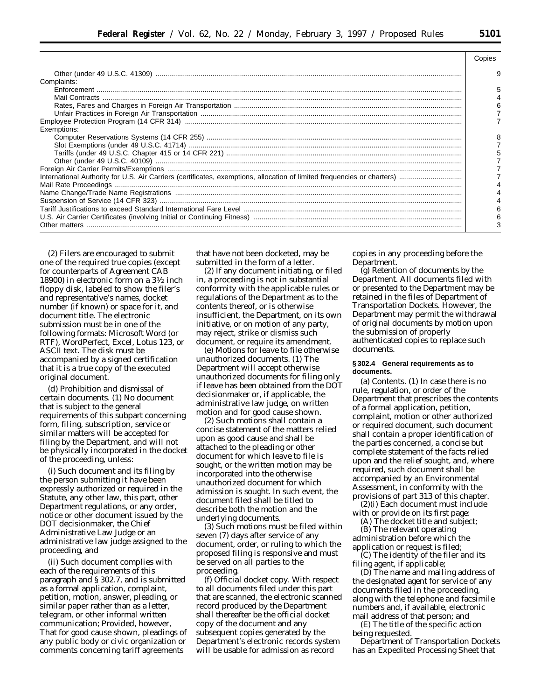| Complaints: |  |
|-------------|--|
|             |  |
|             |  |
|             |  |
|             |  |
|             |  |
| Exemptions: |  |
|             |  |
|             |  |
|             |  |
|             |  |
|             |  |
|             |  |
|             |  |
|             |  |
|             |  |
|             |  |
|             |  |

(2) Filers are encouraged to submit one of the required true copies (except for counterparts of Agreement CAB 18900) in electronic form on a 31⁄2 inch floppy disk, labeled to show the filer's and representative's names, docket number (if known) or space for it, and document title. The electronic submission must be in one of the following formats: Microsoft Word (or RTF), WordPerfect, Excel, Lotus 123, or ASCII text. The disk must be accompanied by a signed certification that it is a true copy of the executed original document.

(d) *Prohibition and dismissal of certain documents.* (1) No document that is subject to the general requirements of this subpart concerning form, filing, subscription, service or similar matters will be accepted for filing by the Department, and will not be physically incorporated in the docket of the proceeding, unless:

(i) Such document and its filing by the person submitting it have been expressly authorized or required in the Statute, any other law, this part, other Department regulations, or any order, notice or other document issued by the DOT decisionmaker, the Chief Administrative Law Judge or an administrative law judge assigned to the proceeding, and

(ii) Such document complies with each of the requirements of this paragraph and § 302.7, and is submitted as a formal application, complaint, petition, motion, answer, pleading, or similar paper rather than as a letter, telegram, or other informal written communication; *Provided*, *however*, That for good cause shown, pleadings of any public body or civic organization or comments concerning tariff agreements

that have not been docketed, may be submitted in the form of a letter.

Other matters ............................................................................................................................................................................................... 3

(2) If any document initiating, or filed in, a proceeding is not in substantial conformity with the applicable rules or regulations of the Department as to the contents thereof, or is otherwise insufficient, the Department, on its own initiative, or on motion of any party, may reject, strike or dismiss such document, or require its amendment.

(e) *Motions for leave to file otherwise unauthorized documents.* (1) The Department will accept otherwise unauthorized documents for filing only if leave has been obtained from the DOT decisionmaker or, if applicable, the administrative law judge, on written motion and for good cause shown.

(2) Such motions shall contain a concise statement of the matters relied upon as good cause and shall be attached to the pleading or other document for which leave to file is sought, or the written motion may be incorporated into the otherwise unauthorized document for which admission is sought. In such event, the document filed shall be titled to describe both the motion and the underlying documents.

(3) Such motions must be filed within seven (7) days after service of any document, order, or ruling to which the proposed filing is responsive and must be served on all parties to the proceeding.

(f) *Official docket copy.* With respect to all documents filed under this part that are scanned, the electronic scanned record produced by the Department shall thereafter be the official docket copy of the document and any subsequent copies generated by the Department's electronic records system will be usable for admission as record

copies in any proceeding before the Department.

(g) *Retention of documents by the Department.* All documents filed with or presented to the Department may be retained in the files of Department of Transportation Dockets. However, the Department may permit the withdrawal of original documents by motion upon the submission of properly authenticated copies to replace such documents.

#### **§ 302.4 General requirements as to documents.**

(a) *Contents*. (1) In case there is no rule, regulation, or order of the Department that prescribes the contents of a formal application, petition, complaint, motion or other authorized or required document, such document shall contain a proper identification of the parties concerned, a concise but complete statement of the facts relied upon and the relief sought, and, where required, such document shall be accompanied by an Environmental Assessment, in conformity with the provisions of part 313 of this chapter. (2)(i) Each document must include

with or provide on its first page:

(A) The docket title and subject; (B) The relevant operating administration before which the application or request is filed;

(C) The identity of the filer and its filing agent, if applicable;

(D) The name and mailing address of the designated agent for service of any documents filed in the proceeding, along with the telephone and facsimile numbers and, if available, electronic mail address of that person; and

(E) The title of the specific action being requested.

Department of Transportation Dockets has an Expedited Processing Sheet that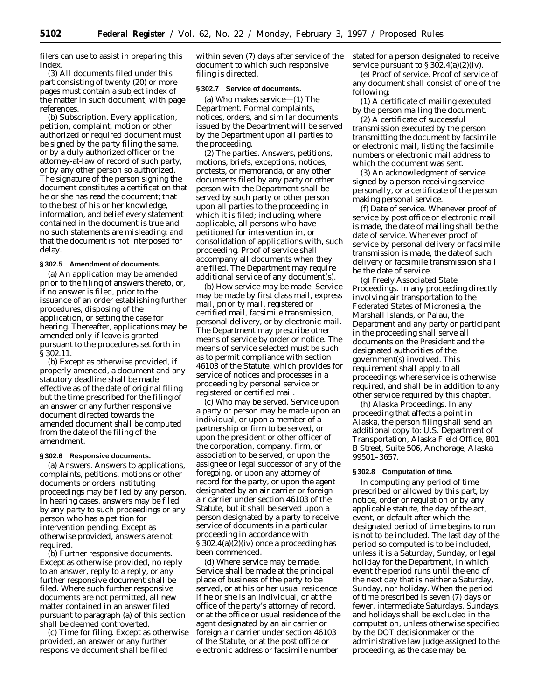filers can use to assist in preparing this index.

(3) All documents filed under this part consisting of twenty (20) or more pages must contain a subject index of the matter in such document, with page references.

(b) *Subscription*. Every application, petition, complaint, motion or other authorized or required document must be signed by the party filing the same, or by a duly authorized officer or the attorney-at-law of record of such party, or by any other person so authorized. The signature of the person signing the document constitutes a certification that he or she has read the document; that to the best of his or her knowledge, information, and belief every statement contained in the document is true and no such statements are misleading; and that the document is not interposed for delay.

#### **§ 302.5 Amendment of documents.**

(a) An application may be amended prior to the filing of answers thereto, or, if no answer is filed, prior to the issuance of an order establishing further procedures, disposing of the application, or setting the case for hearing. Thereafter, applications may be amended only if leave is granted pursuant to the procedures set forth in § 302.11.

(b) Except as otherwise provided, if properly amended, a document and any statutory deadline shall be made effective as of the date of original filing but the time prescribed for the filing of an answer or any further responsive document directed towards the amended document shall be computed from the date of the filing of the amendment.

#### **§ 302.6 Responsive documents.**

(a) *Answers*. Answers to applications, complaints, petitions, motions or other documents or orders instituting proceedings may be filed by any person. In hearing cases, answers may be filed by any party to such proceedings or any person who has a petition for intervention pending. Except as otherwise provided, answers are not required.

(b) *Further responsive documents*. Except as otherwise provided, no reply to an answer, reply to a reply, or any further responsive document shall be filed. Where such further responsive documents are not permitted, all new matter contained in an answer filed pursuant to paragraph (a) of this section shall be deemed controverted.

(c) *Time for filing*. Except as otherwise provided, an answer or any further responsive document shall be filed

within seven (7) days after service of the document to which such responsive filing is directed.

#### **§ 302.7 Service of documents.**

(a) *Who makes service—*(1) *The Department*. Formal complaints, notices, orders, and similar documents issued by the Department will be served by the Department upon all parties to the proceeding.

(2) *The parties.* Answers, petitions, motions, briefs, exceptions, notices, protests, or memoranda, or any other documents filed by any party or other person with the Department shall be served by such party or other person upon all parties to the proceeding in which it is filed; including, where applicable, all persons who have petitioned for intervention in, or consolidation of applications with, such proceeding. Proof of service shall accompany all documents when they are filed. The Department may require additional service of any document(s).

(b) *How service may be made*. Service may be made by first class mail, express mail, priority mail, registered or certified mail, facsimile transmission, personal delivery, or by electronic mail. The Department may prescribe other means of service by order or notice. The means of service selected must be such as to permit compliance with section 46103 of the Statute, which provides for service of notices and processes in a proceeding by personal service or registered or certified mail.

(c) *Who may be served*. Service upon a party or person may be made upon an individual, or upon a member of a partnership or firm to be served, or upon the president or other officer of the corporation, company, firm, or association to be served, or upon the assignee or legal successor of any of the foregoing, or upon any attorney of record for the party, or upon the agent designated by an air carrier or foreign air carrier under section 46103 of the Statute, but it shall be served upon a person designated by a party to receive service of documents in a particular proceeding in accordance with § 302.4(a)(2)(iv) once a proceeding has been commenced.

(d) *Where service may be made*. Service shall be made at the principal place of business of the party to be served, or at his or her usual residence if he or she is an individual, or at the office of the party's attorney of record, or at the office or usual residence of the agent designated by an air carrier or foreign air carrier under section 46103 of the Statute, or at the post office or electronic address or facsimile number

stated for a person designated to receive service pursuant to  $\S 302.4(a)(2)(iv)$ .

(e) *Proof of service*. Proof of service of any document shall consist of one of the following:

(1) A certificate of mailing executed by the person mailing the document.

(2) A certificate of successful transmission executed by the person transmitting the document by facsimile or electronic mail, listing the facsimile numbers or electronic mail address to which the document was sent.

(3) An acknowledgment of service signed by a person receiving service personally, or a certificate of the person making personal service.

(f) *Date of service*. Whenever proof of service by post office or electronic mail is made, the date of mailing shall be the date of service. Whenever proof of service by personal delivery or facsimile transmission is made, the date of such delivery or facsimile transmission shall be the date of service.

(g) *Freely Associated State Proceedings*. In any proceeding directly involving air transportation to the Federated States of Micronesia, the Marshall Islands, or Palau, the Department and any party or participant in the proceeding shall serve all documents on the President and the designated authorities of the government(s) involved. This requirement shall apply to all proceedings where service is otherwise required, and shall be in addition to any other service required by this chapter.

(h) *Alaska Proceedings*. In any proceeding that affects a point in Alaska, the person filing shall send an additional copy to: U.S. Department of Transportation, Alaska Field Office, 801 B Street, Suite 506, Anchorage, Alaska 99501–3657.

#### **§ 302.8 Computation of time.**

In computing any period of time prescribed or allowed by this part, by notice, order or regulation or by any applicable statute, the day of the act, event, or default after which the designated period of time begins to run is not to be included. The last day of the period so computed is to be included, unless it is a Saturday, Sunday, or legal holiday for the Department, in which event the period runs until the end of the next day that is neither a Saturday, Sunday, nor holiday. When the period of time prescribed is seven (7) days or fewer, intermediate Saturdays, Sundays, and holidays shall be excluded in the computation, unless otherwise specified by the DOT decisionmaker or the administrative law judge assigned to the proceeding, as the case may be.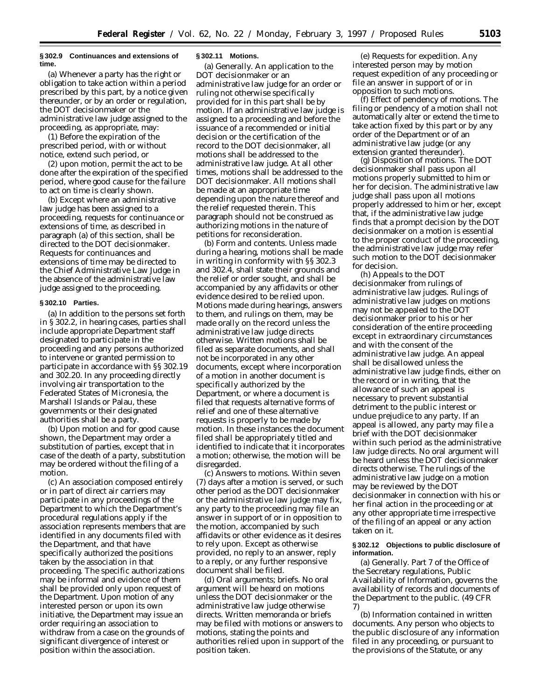#### **§ 302.9 Continuances and extensions of time.**

(a) Whenever a party has the right or obligation to take action within a period prescribed by this part, by a notice given thereunder, or by an order or regulation, the DOT decisionmaker or the administrative law judge assigned to the proceeding, as appropriate, may:

(1) Before the expiration of the prescribed period, with or without notice, extend such period, or

(2) upon motion, permit the act to be done after the expiration of the specified period, where good cause for the failure to act on time is clearly shown.

(b) Except where an administrative law judge has been assigned to a proceeding, requests for continuance or extensions of time, as described in paragraph (a) of this section, shall be directed to the DOT decisionmaker. Requests for continuances and extensions of time may be directed to the Chief Administrative Law Judge in the absence of the administrative law judge assigned to the proceeding.

### **§ 302.10 Parties.**

(a) In addition to the persons set forth in § 302.2, in hearing cases, parties shall include appropriate Department staff designated to participate in the proceeding and any persons authorized to intervene or granted permission to participate in accordance with §§ 302.19 and 302.20. In any proceeding directly involving air transportation to the Federated States of Micronesia, the Marshall Islands or Palau, these governments or their designated authorities shall be a party.

(b) Upon motion and for good cause shown, the Department may order a substitution of parties, except that in case of the death of a party, substitution may be ordered without the filing of a motion.

(c) An association composed entirely or in part of direct air carriers may participate in any proceedings of the Department to which the Department's procedural regulations apply if the association represents members that are identified in any documents filed with the Department, and that have specifically authorized the positions taken by the association in that proceeding. The specific authorizations may be informal and evidence of them shall be provided only upon request of the Department. Upon motion of any interested person or upon its own initiative, the Department may issue an order requiring an association to withdraw from a case on the grounds of significant divergence of interest or position within the association.

## **§ 302.11 Motions.**

(a) *Generally.* An application to the DOT decisionmaker or an administrative law judge for an order or ruling not otherwise specifically provided for in this part shall be by motion. If an administrative law judge is assigned to a proceeding and before the issuance of a recommended or initial decision or the certification of the record to the DOT decisionmaker, all motions shall be addressed to the administrative law judge. At all other times, motions shall be addressed to the DOT decisionmaker. All motions shall be made at an appropriate time depending upon the nature thereof and the relief requested therein. This paragraph should not be construed as authorizing motions in the nature of petitions for reconsideration.

(b) *Form and contents.* Unless made during a hearing, motions shall be made in writing in conformity with §§ 302.3 and 302.4, shall state their grounds and the relief or order sought, and shall be accompanied by any affidavits or other evidence desired to be relied upon. Motions made during hearings, answers to them, and rulings on them, may be made orally on the record unless the administrative law judge directs otherwise. Written motions shall be filed as separate documents, and shall not be incorporated in any other documents, except where incorporation of a motion in another document is specifically authorized by the Department, or where a document is filed that requests alternative forms of relief and one of these alternative requests is properly to be made by motion. In these instances the document filed shall be appropriately titled and identified to indicate that it incorporates a motion; otherwise, the motion will be disregarded.

(c) *Answers to motions.* Within seven (7) days after a motion is served, or such other period as the DOT decisionmaker or the administrative law judge may fix, any party to the proceeding may file an answer in support of or in opposition to the motion, accompanied by such affidavits or other evidence as it desires to rely upon. Except as otherwise provided, no reply to an answer, reply to a reply, or any further responsive document shall be filed.

(d) *Oral arguments; briefs.* No oral argument will be heard on motions unless the DOT decisionmaker or the administrative law judge otherwise directs. Written memoranda or briefs may be filed with motions or answers to motions, stating the points and authorities relied upon in support of the position taken.

(e) *Requests for expedition.* Any interested person may by motion request expedition of any proceeding or file an answer in support of or in opposition to such motions.

(f) *Effect of pendency of motions.* The filing or pendency of a motion shall not automatically alter or extend the time to take action fixed by this part or by any order of the Department or of an administrative law judge (or any extension granted thereunder).

(g) *Disposition of motions.* The DOT decisionmaker shall pass upon all motions properly submitted to him or her for decision. The administrative law judge shall pass upon all motions properly addressed to him or her, except that, if the administrative law judge finds that a prompt decision by the DOT decisionmaker on a motion is essential to the proper conduct of the proceeding, the administrative law judge may refer such motion to the DOT decisionmaker for decision.

(h) *Appeals to the DOT decisionmaker from rulings of administrative law judges.* Rulings of administrative law judges on motions may not be appealed to the DOT decisionmaker prior to his or her consideration of the entire proceeding except in extraordinary circumstances and with the consent of the administrative law judge. An appeal shall be disallowed unless the administrative law judge finds, either on the record or in writing, that the allowance of such an appeal is necessary to prevent substantial detriment to the public interest or undue prejudice to any party. If an appeal is allowed, any party may file a brief with the DOT decisionmaker within such period as the administrative law judge directs. No oral argument will be heard unless the DOT decisionmaker directs otherwise. The rulings of the administrative law judge on a motion may be reviewed by the DOT decisionmaker in connection with his or her final action in the proceeding or at any other appropriate time irrespective of the filing of an appeal or any action taken on it.

#### **§ 302.12 Objections to public disclosure of information.**

(a) *Generally.* Part 7 of the Office of the Secretary regulations, Public Availability of Information, governs the availability of records and documents of the Department to the public. (49 CFR 7)

(b) *Information contained in written documents.* Any person who objects to the public disclosure of any information filed in any proceeding, or pursuant to the provisions of the Statute, or any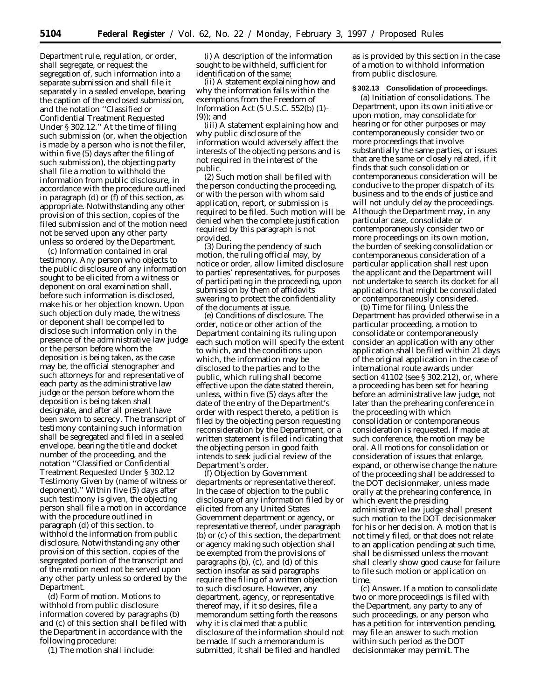Department rule, regulation, or order, shall segregate, or request the segregation of, such information into a separate submission and shall file it separately in a sealed envelope, bearing the caption of the enclosed submission, and the notation ''Classified or Confidential Treatment Requested Under § 302.12.'' At the time of filing such submission (or, when the objection is made by a person who is not the filer, within five (5) days after the filing of such submission), the objecting party shall file a motion to withhold the information from public disclosure, in accordance with the procedure outlined in paragraph (d) or (f) of this section, as appropriate. Notwithstanding any other provision of this section, copies of the filed submission and of the motion need not be served upon any other party unless so ordered by the Department.

(c) *Information contained in oral testimony.* Any person who objects to the public disclosure of any information sought to be elicited from a witness or deponent on oral examination shall, before such information is disclosed, make his or her objection known. Upon such objection duly made, the witness or deponent shall be compelled to disclose such information only in the presence of the administrative law judge or the person before whom the deposition is being taken, as the case may be, the official stenographer and such attorneys for and representative of each party as the administrative law judge or the person before whom the deposition is being taken shall designate, and after all present have been sworn to secrecy. The transcript of testimony containing such information shall be segregated and filed in a sealed envelope, bearing the title and docket number of the proceeding, and the notation ''Classified or Confidential Treatment Requested Under § 302.12 Testimony Given by (name of witness or deponent).'' Within five (5) days after such testimony is given, the objecting person shall file a motion in accordance with the procedure outlined in paragraph (d) of this section, to withhold the information from public disclosure. Notwithstanding any other provision of this section, copies of the segregated portion of the transcript and of the motion need not be served upon any other party unless so ordered by the Department.

(d) *Form of motion.* Motions to withhold from public disclosure information covered by paragraphs (b) and (c) of this section shall be filed with the Department in accordance with the following procedure:

(1) The motion shall include:

(i) A description of the information sought to be withheld, sufficient for identification of the same;

(ii) A statement explaining how and why the information falls within the exemptions from the Freedom of Information Act (5 U.S.C. 552(b) (1)– (9)); and

(iii) A statement explaining how and why public disclosure of the information would adversely affect the interests of the objecting persons and is not required in the interest of the public.

(2) Such motion shall be filed with the person conducting the proceeding, or with the person with whom said application, report, or submission is required to be filed. Such motion will be denied when the complete justification required by this paragraph is not provided.

(3) During the pendency of such motion, the ruling official may, by notice or order, allow limited disclosure to parties' representatives, for purposes of participating in the proceeding, upon submission by them of affidavits swearing to protect the confidentiality of the documents at issue.

(e) *Conditions of disclosure.* The order, notice or other action of the Department containing its ruling upon each such motion will specify the extent to which, and the conditions upon which, the information may be disclosed to the parties and to the public, which ruling shall become effective upon the date stated therein, unless, within five (5) days after the date of the entry of the Department's order with respect thereto, a petition is filed by the objecting person requesting reconsideration by the Department, or a written statement is filed indicating that the objecting person in good faith intends to seek judicial review of the Department's order.

(f) *Objection by Government departments or representative thereof.* In the case of objection to the public disclosure of any information filed by or elicited from any United States Government department or agency, or representative thereof, under paragraph (b) or (c) of this section, the department or agency making such objection shall be exempted from the provisions of paragraphs (b), (c), and (d) of this section insofar as said paragraphs require the filing of a written objection to such disclosure. However, any department, agency, or representative thereof may, if it so desires, file a memorandum setting forth the reasons why it is claimed that a public disclosure of the information should not be made. If such a memorandum is submitted, it shall be filed and handled

as is provided by this section in the case of a motion to withhold information from public disclosure.

#### **§ 302.13 Consolidation of proceedings.**

(a) *Initiation of consolidations.* The Department, upon its own initiative or upon motion, may consolidate for hearing or for other purposes or may contemporaneously consider two or more proceedings that involve substantially the same parties, or issues that are the same or closely related, if it finds that such consolidation or contemporaneous consideration will be conducive to the proper dispatch of its business and to the ends of justice and will not unduly delay the proceedings. Although the Department may, in any particular case, consolidate or contemporaneously consider two or more proceedings on its own motion, the burden of seeking consolidation or contemporaneous consideration of a particular application shall rest upon the applicant and the Department will not undertake to search its docket for all applications that might be consolidated or contemporaneously considered.

(b) *Time for filing.* Unless the Department has provided otherwise in a particular proceeding, a motion to consolidate or contemporaneously consider an application with any other application shall be filed within 21 days of the original application in the case of international route awards under section 41102 (*see* § 302.212), or, where a proceeding has been set for hearing before an administrative law judge, not later than the prehearing conference in the proceeding with which consolidation or contemporaneous consideration is requested. If made at such conference, the motion may be oral. All motions for consolidation or consideration of issues that enlarge, expand, or otherwise change the nature of the proceeding shall be addressed to the DOT decisionmaker, unless made orally at the prehearing conference, in which event the presiding administrative law judge shall present such motion to the DOT decisionmaker for his or her decision. A motion that is not timely filed, or that does not relate to an application pending at such time, shall be dismissed unless the movant shall clearly show good cause for failure to file such motion or application on time.

(c) *Answer.* If a motion to consolidate two or more proceedings is filed with the Department, any party to any of such proceedings, or any person who has a petition for intervention pending, may file an answer to such motion within such period as the DOT decisionmaker may permit. The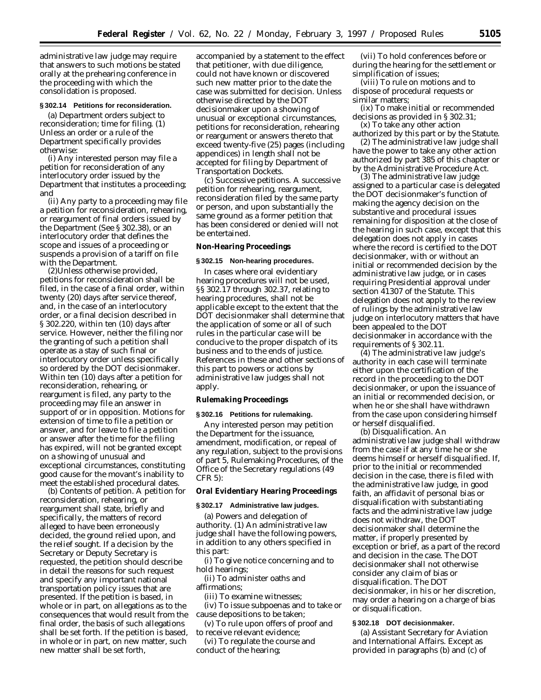administrative law judge may require that answers to such motions be stated orally at the prehearing conference in the proceeding with which the consolidation is proposed.

# **§ 302.14 Petitions for reconsideration.**

(a) *Department orders subject to reconsideration; time for filing.* (1) Unless an order or a rule of the Department specifically provides otherwise:

(i) Any interested person may file a petition for reconsideration of any interlocutory order issued by the Department that institutes a proceeding; and

(ii) Any party to a proceeding may file a petition for reconsideration, rehearing, or reargument of final orders issued by the Department (*See* § 302.38), or an interlocutory order that defines the scope and issues of a proceeding or suspends a provision of a tariff on file with the Department.

(2)Unless otherwise provided, petitions for reconsideration shall be filed, in the case of a final order, within twenty (20) days after service thereof, and, in the case of an interlocutory order, or a final decision described in § 302.220, within ten (10) days after service. However, neither the filing nor the granting of such a petition shall operate as a stay of such final or interlocutory order unless specifically so ordered by the DOT decisionmaker. Within ten (10) days after a petition for reconsideration, rehearing, or reargument is filed, any party to the proceeding may file an answer in support of or in opposition. Motions for extension of time to file a petition or answer, and for leave to file a petition or answer after the time for the filing has expired, will not be granted except on a showing of unusual and exceptional circumstances, constituting good cause for the movant's inability to meet the established procedural dates.

(b) *Contents of petition*. A petition for reconsideration, rehearing, or reargument shall state, briefly and specifically, the matters of record alleged to have been erroneously decided, the ground relied upon, and the relief sought. If a decision by the Secretary or Deputy Secretary is requested, the petition should describe in detail the reasons for such request and specify any important national transportation policy issues that are presented. If the petition is based, in whole or in part, on allegations as to the consequences that would result from the final order, the basis of such allegations shall be set forth. If the petition is based, in whole or in part, on new matter, such new matter shall be set forth,

accompanied by a statement to the effect that petitioner, with due diligence, could not have known or discovered such new matter prior to the date the case was submitted for decision. Unless otherwise directed by the DOT decisionmaker upon a showing of unusual or exceptional circumstances, petitions for reconsideration, rehearing or reargument or answers thereto that exceed twenty-five (25) pages (including appendices) in length shall not be accepted for filing by Department of Transportation Dockets.

(c) *Successive petitions*. A successive petition for rehearing, reargument, reconsideration filed by the same party or person, and upon substantially the same ground as a former petition that has been considered or denied will not be entertained.

**Non-Hearing Proceedings**

#### **§ 302.15 Non-hearing procedures.**

In cases where oral evidentiary hearing procedures will not be used, §§ 302.17 through 302.37, relating to hearing procedures, shall not be applicable except to the extent that the DOT decisionmaker shall determine that the application of some or all of such rules in the particular case will be conducive to the proper dispatch of its business and to the ends of justice. References in these and other sections of this part to powers or actions by administrative law judges shall not apply.

**Rulemaking Proceedings**

#### **§ 302.16 Petitions for rulemaking.**

Any interested person may petition the Department for the issuance, amendment, modification, or repeal of any regulation, subject to the provisions of part 5, Rulemaking Procedures, of the Office of the Secretary regulations (49 CFR 5):

**Oral Evidentiary Hearing Proceedings**

### **§ 302.17 Administrative law judges.**

(a) *Powers and delegation of authority.* (1) An administrative law judge shall have the following powers, in addition to any others specified in this part:

(i) To give notice concerning and to hold hearings;

(ii) To administer oaths and affirmations;

(iii) To examine witnesses;

(iv) To issue subpoenas and to take or cause depositions to be taken;

(v) To rule upon offers of proof and to receive relevant evidence;

(vi) To regulate the course and conduct of the hearing;

(vii) To hold conferences before or during the hearing for the settlement or simplification of issues;

(viii) To rule on motions and to dispose of procedural requests or similar matters;

(ix) To make initial or recommended decisions as provided in § 302.31;

(x) To take any other action authorized by this part or by the Statute.

(2) The administrative law judge shall have the power to take any other action authorized by part 385 of this chapter or by the Administrative Procedure Act.

(3) The administrative law judge assigned to a particular case is delegated the DOT decisionmaker's function of making the agency decision on the substantive and procedural issues remaining for disposition at the close of the hearing in such case, except that this delegation does not apply in cases where the record is certified to the DOT decisionmaker, with or without an initial or recommended decision by the administrative law judge, or in cases requiring Presidential approval under section 41307 of the Statute. This delegation does not apply to the review of rulings by the administrative law judge on interlocutory matters that have been appealed to the DOT decisionmaker in accordance with the requirements of § 302.11.

(4) The administrative law judge's authority in each case will terminate either upon the certification of the record in the proceeding to the DOT decisionmaker, or upon the issuance of an initial or recommended decision, or when he or she shall have withdrawn from the case upon considering himself or herself disqualified.

(b) *Disqualification.* An administrative law judge shall withdraw from the case if at any time he or she deems himself or herself disqualified. If, prior to the initial or recommended decision in the case, there is filed with the administrative law judge, in good faith, an affidavit of personal bias or disqualification with substantiating facts and the administrative law judge does not withdraw, the DOT decisionmaker shall determine the matter, if properly presented by exception or brief, as a part of the record and decision in the case. The DOT decisionmaker shall not otherwise consider any claim of bias or disqualification. The DOT decisionmaker, in his or her discretion, may order a hearing on a charge of bias or disqualification.

# **§ 302.18 DOT decisionmaker.**

(a) *Assistant Secretary for Aviation and International Affairs.* Except as provided in paragraphs (b) and (c) of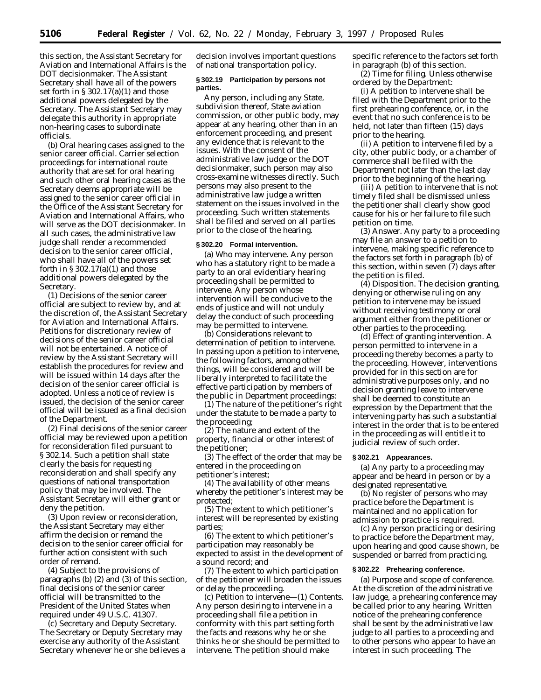this section, the Assistant Secretary for Aviation and International Affairs is the DOT decisionmaker. The Assistant Secretary shall have all of the powers set forth in § 302.17(a)(1) and those additional powers delegated by the Secretary. The Assistant Secretary may delegate this authority in appropriate non-hearing cases to subordinate officials.

(b) *Oral hearing cases assigned to the senior career official.* Carrier selection proceedings for international route authority that are set for oral hearing and such other oral hearing cases as the Secretary deems appropriate will be assigned to the senior career official in the Office of the Assistant Secretary for Aviation and International Affairs, who will serve as the DOT decisionmaker. In all such cases, the administrative law judge shall render a recommended decision to the senior career official, who shall have all of the powers set forth in § 302.17(a)(1) and those additional powers delegated by the Secretary.

(1) Decisions of the senior career official are subject to review by, and at the discretion of, the Assistant Secretary for Aviation and International Affairs. Petitions for discretionary review of decisions of the senior career official will not be entertained. A notice of review by the Assistant Secretary will establish the procedures for review and will be issued within 14 days after the decision of the senior career official is adopted. Unless a notice of review is issued, the decision of the senior career official will be issued as a final decision of the Department.

(2) Final decisions of the senior career official may be reviewed upon a petition for reconsideration filed pursuant to § 302.14. Such a petition shall state clearly the basis for requesting reconsideration and shall specify any questions of national transportation policy that may be involved. The Assistant Secretary will either grant or deny the petition.

(3) Upon review or reconsideration, the Assistant Secretary may either affirm the decision or remand the decision to the senior career official for further action consistent with such order of remand.

(4) Subject to the provisions of paragraphs (b) (2) and (3) of this section, final decisions of the senior career official will be transmitted to the President of the United States when required under 49 U.S.C. 41307.

(c) *Secretary and Deputy Secretary.* The Secretary or Deputy Secretary may exercise any authority of the Assistant Secretary whenever he or she believes a

decision involves important questions of national transportation policy.

### **§ 302.19 Participation by persons not parties.**

Any person, including any State, subdivision thereof, State aviation commission, or other public body, may appear at any hearing, other than in an enforcement proceeding, and present any evidence that is relevant to the issues. With the consent of the administrative law judge or the DOT decisionmaker, such person may also cross-examine witnesses directly. Such persons may also present to the administrative law judge a written statement on the issues involved in the proceeding. Such written statements shall be filed and served on all parties prior to the close of the hearing.

#### **§ 302.20 Formal intervention.**

(a) *Who may intervene.* Any person who has a statutory right to be made a party to an oral evidentiary hearing proceeding shall be permitted to intervene. Any person whose intervention will be conducive to the ends of justice and will not unduly delay the conduct of such proceeding may be permitted to intervene.

(b) *Considerations relevant to determination of petition to intervene.* In passing upon a petition to intervene, the following factors, among other things, will be considered and will be liberally interpreted to facilitate the effective participation by members of the public in Department proceedings:

(1) The nature of the petitioner's right under the statute to be made a party to the proceeding;

(2) The nature and extent of the property, financial or other interest of the petitioner;

(3) The effect of the order that may be entered in the proceeding on petitioner's interest;

(4) The availability of other means whereby the petitioner's interest may be protected;

(5) The extent to which petitioner's interest will be represented by existing parties;

(6) The extent to which petitioner's participation may reasonably be expected to assist in the development of a sound record; and

(7) The extent to which participation of the petitioner will broaden the issues or delay the proceeding.

(c) *Petition to intervene—*(1) *Contents.* Any person desiring to intervene in a proceeding shall file a petition in conformity with this part setting forth the facts and reasons why he or she thinks he or she should be permitted to intervene. The petition should make

specific reference to the factors set forth in paragraph (b) of this section.

(2) *Time for filing.* Unless otherwise ordered by the Department:

(i) A petition to intervene shall be filed with the Department prior to the first prehearing conference, or, in the event that no such conference is to be held, not later than fifteen (15) days prior to the hearing.

(ii) A petition to intervene filed by a city, other public body, or a chamber of commerce shall be filed with the Department not later than the last day prior to the beginning of the hearing.

(iii) A petition to intervene that is not timely filed shall be dismissed unless the petitioner shall clearly show good cause for his or her failure to file such petition on time.

(3) *Answer.* Any party to a proceeding may file an answer to a petition to intervene, making specific reference to the factors set forth in paragraph (b) of this section, within seven (7) days after the petition is filed.

(4) *Disposition.* The decision granting, denying or otherwise ruling on any petition to intervene may be issued without receiving testimony or oral argument either from the petitioner or other parties to the proceeding.

(d) *Effect of granting intervention.* A person permitted to intervene in a proceeding thereby becomes a party to the proceeding. However, interventions provided for in this section are for administrative purposes only, and no decision granting leave to intervene shall be deemed to constitute an expression by the Department that the intervening party has such a substantial interest in the order that is to be entered in the proceeding as will entitle it to judicial review of such order.

#### **§ 302.21 Appearances.**

(a) Any party to a proceeding may appear and be heard in person or by a designated representative.

(b) No register of persons who may practice before the Department is maintained and no application for admission to practice is required.

(c) Any person practicing or desiring to practice before the Department may, upon hearing and good cause shown, be suspended or barred from practicing.

#### **§ 302.22 Prehearing conference.**

(a) *Purpose and scope of conference.* At the discretion of the administrative law judge, a prehearing conference may be called prior to any hearing. Written notice of the prehearing conference shall be sent by the administrative law judge to all parties to a proceeding and to other persons who appear to have an interest in such proceeding. The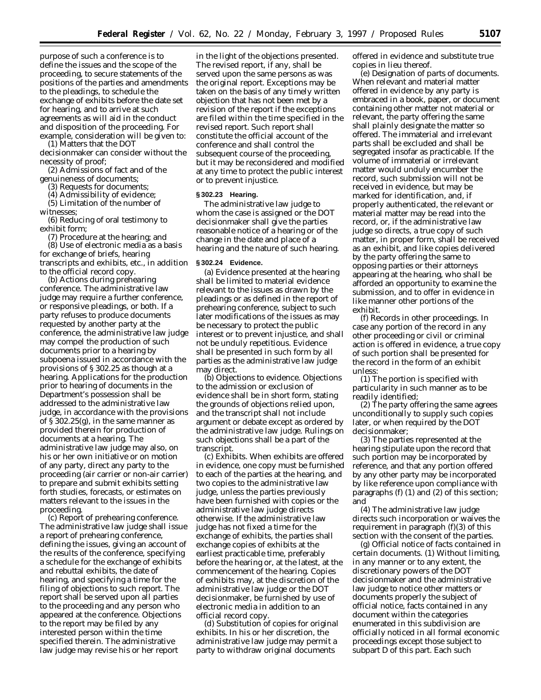purpose of such a conference is to define the issues and the scope of the proceeding, to secure statements of the positions of the parties and amendments to the pleadings, to schedule the exchange of exhibits before the date set for hearing, and to arrive at such agreements as will aid in the conduct and disposition of the proceeding. For example, consideration will be given to:

(1) Matters that the DOT decisionmaker can consider without the necessity of proof;

(2) Admissions of fact and of the genuineness of documents;

(3) Requests for documents;

(4) Admissibility of evidence;

(5) Limitation of the number of witnesses;

(6) Reducing of oral testimony to exhibit form;

(7) Procedure at the hearing; and (8) Use of electronic media as a basis for exchange of briefs, hearing transcripts and exhibits, etc., in addition to the official record copy.

(b) *Actions during prehearing conference.* The administrative law judge may require a further conference, or responsive pleadings, or both. If a party refuses to produce documents requested by another party at the conference, the administrative law judge may compel the production of such documents prior to a hearing by subpoena issued in accordance with the provisions of § 302.25 as though at a hearing. Applications for the production prior to hearing of documents in the Department's possession shall be addressed to the administrative law judge, in accordance with the provisions of § 302.25(g), in the same manner as provided therein for production of documents at a hearing. The administrative law judge may also, on his or her own initiative or on motion of any party, direct any party to the proceeding (air carrier or non-air carrier) to prepare and submit exhibits setting forth studies, forecasts, or estimates on matters relevant to the issues in the proceeding.

(c) *Report of prehearing conference.* The administrative law judge shall issue a report of prehearing conference, defining the issues, giving an account of the results of the conference, specifying a schedule for the exchange of exhibits and rebuttal exhibits, the date of hearing, and specifying a time for the filing of objections to such report. The report shall be served upon all parties to the proceeding and any person who appeared at the conference. Objections to the report may be filed by any interested person within the time specified therein. The administrative law judge may revise his or her report

in the light of the objections presented. The revised report, if any, shall be served upon the same persons as was the original report. Exceptions may be taken on the basis of any timely written objection that has not been met by a revision of the report if the exceptions are filed within the time specified in the revised report. Such report shall constitute the official account of the conference and shall control the subsequent course of the proceeding, but it may be reconsidered and modified at any time to protect the public interest or to prevent injustice.

# **§ 302.23 Hearing.**

The administrative law judge to whom the case is assigned or the DOT decisionmaker shall give the parties reasonable notice of a hearing or of the change in the date and place of a hearing and the nature of such hearing.

#### **§ 302.24 Evidence.**

(a) Evidence presented at the hearing shall be limited to material evidence relevant to the issues as drawn by the pleadings or as defined in the report of prehearing conference, subject to such later modifications of the issues as may be necessary to protect the public interest or to prevent injustice, and shall not be unduly repetitious. Evidence shall be presented in such form by all parties as the administrative law judge may direct.

(b) *Objections to evidence*. Objections to the admission or exclusion of evidence shall be in short form, stating the grounds of objections relied upon, and the transcript shall not include argument or debate except as ordered by the administrative law judge. Rulings on such objections shall be a part of the transcript.

(c) *Exhibits.* When exhibits are offered in evidence, one copy must be furnished to each of the parties at the hearing, and two copies to the administrative law judge, unless the parties previously have been furnished with copies or the administrative law judge directs otherwise. If the administrative law judge has not fixed a time for the exchange of exhibits, the parties shall exchange copies of exhibits at the earliest practicable time, preferably before the hearing or, at the latest, at the commencement of the hearing. Copies of exhibits may, at the discretion of the administrative law judge or the DOT decisionmaker, be furnished by use of electronic media in addition to an official record copy.

(d) *Substitution of copies for original exhibits.* In his or her discretion, the administrative law judge may permit a party to withdraw original documents

offered in evidence and substitute true copies in lieu thereof.

(e) *Designation of parts of documents*. When relevant and material matter offered in evidence by any party is embraced in a book, paper, or document containing other matter not material or relevant, the party offering the same shall plainly designate the matter so offered. The immaterial and irrelevant parts shall be excluded and shall be segregated insofar as practicable. If the volume of immaterial or irrelevant matter would unduly encumber the record, such submission will not be received in evidence, but may be marked for identification, and, if properly authenticated, the relevant or material matter may be read into the record, or, if the administrative law judge so directs, a true copy of such matter, in proper form, shall be received as an exhibit, and like copies delivered by the party offering the same to opposing parties or their attorneys appearing at the hearing, who shall be afforded an opportunity to examine the submission, and to offer in evidence in like manner other portions of the exhibit.

(f) *Records in other proceedings.* In case any portion of the record in any other proceeding or civil or criminal action is offered in evidence, a true copy of such portion shall be presented for the record in the form of an exhibit unless:

(1) The portion is specified with particularity in such manner as to be readily identified;

(2) The party offering the same agrees unconditionally to supply such copies later, or when required by the DOT decisionmaker;

(3) The parties represented at the hearing stipulate upon the record that such portion may be incorporated by reference, and that any portion offered by any other party may be incorporated by like reference upon compliance with paragraphs (f) (1) and (2) of this section; and

(4) The administrative law judge directs such incorporation or waives the requirement in paragraph (f)(3) of this section with the consent of the parties.

(g) *Official notice of facts contained in certain documents.* (1) Without limiting, in any manner or to any extent, the discretionary powers of the DOT decisionmaker and the administrative law judge to notice other matters or documents properly the subject of official notice, facts contained in any document within the categories enumerated in this subdivision are officially noticed in all formal economic proceedings except those subject to subpart D of this part. Each such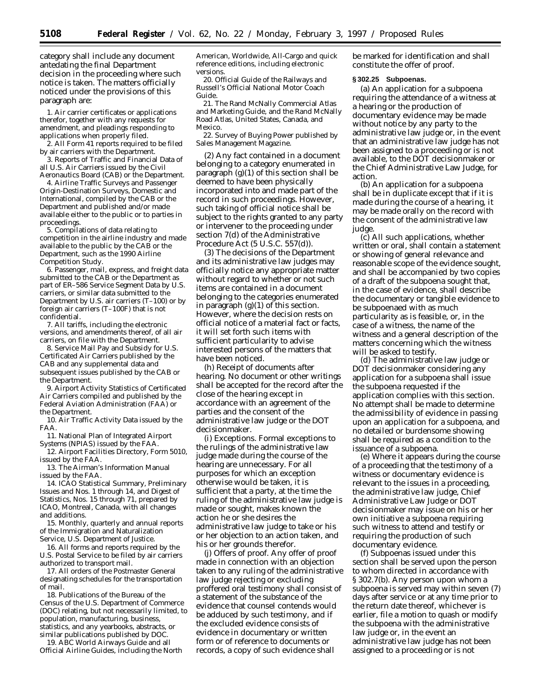category shall include any document antedating the final Department decision in the proceeding where such notice is taken. The matters officially noticed under the provisions of this paragraph are:

1. Air carrier certificates or applications therefor, together with any requests for amendment, and pleadings responding to applications when properly filed.

2. All Form 41 reports required to be filed by air carriers with the Department.

3. Reports of Traffic and Financial Data of all U.S. Air Carriers issued by the Civil Aeronautics Board (CAB) or the Department.

4. Airline Traffic Surveys and Passenger Origin-Destination Surveys, Domestic and International, compiled by the CAB or the Department and published and/or made available either to the public or to parties in proceedings.

5. Compilations of data relating to competition in the airline industry and made available to the public by the CAB or the Department, such as the 1990 Airline Competition Study.

6. Passenger, mail, express, and freight data submitted to the CAB or the Department as part of ER–586 Service Segment Data by U.S. carriers, or similar data submitted to the Department by U.S. air carriers (T–100) or by foreign air carriers (T–100F) that is not confidential.

7. All tariffs, including the electronic versions, and amendments thereof, of all air carriers, on file with the Department.

8. Service Mail Pay and Subsidy for U.S. Certificated Air Carriers published by the CAB and any supplemental data and subsequent issues published by the CAB or the Department.

9. Airport Activity Statistics of Certificated Air Carriers compiled and published by the Federal Aviation Administration (FAA) or the Department.

10. Air Traffic Activity Data issued by the FAA.

11. National Plan of Integrated Airport Systems (NPIAS) issued by the FAA.

12. Airport Facilities Directory, Form 5010, issued by the FAA.

13. The Airman's Information Manual issued by the FAA.

14. ICAO Statistical Summary, Preliminary Issues and Nos. 1 through 14, and Digest of Statistics, Nos. 15 through 71, prepared by ICAO, Montreal, Canada, with all changes and additions.

15. Monthly, quarterly and annual reports of the Immigration and Naturalization Service, U.S. Department of Justice.

16. All forms and reports required by the U.S. Postal Service to be filed by air carriers authorized to transport mail.

17. All orders of the Postmaster General designating schedules for the transportation of mail.

18. Publications of the Bureau of the Census of the U.S. Department of Commerce (DOC) relating, but not necessarily limited, to population, manufacturing, business, statistics, and any yearbooks, abstracts, or similar publications published by DOC.

19. ABC World Airways Guide and all Official Airline Guides, including the North

American, Worldwide, All-Cargo and quick reference editions, including electronic versions.

20. Official Guide of the Railways and Russell's Official National Motor Coach Guide.

21. The Rand McNally Commercial Atlas and Marketing Guide, and the Rand McNally Road Atlas, United States, Canada, and Mexico.

22. Survey of Buying Power published by Sales Management Magazine.

(2) Any fact contained in a document belonging to a category enumerated in paragraph (g)(1) of this section shall be deemed to have been physically incorporated into and made part of the record in such proceedings. However, such taking of official notice shall be subject to the rights granted to any party or intervener to the proceeding under section 7(d) of the Administrative Procedure Act (5 U.S.C. 557(d)).

(3) The decisions of the Department and its administrative law judges may officially notice any appropriate matter without regard to whether or not such items are contained in a document belonging to the categories enumerated in paragraph  $(g)(1)$  of this section. However, where the decision rests on official notice of a material fact or facts, it will set forth such items with sufficient particularity to advise interested persons of the matters that have been noticed.

(h) *Receipt of documents after hearing.* No document or other writings shall be accepted for the record after the close of the hearing except in accordance with an agreement of the parties and the consent of the administrative law judge or the DOT decisionmaker.

(i) *Exceptions.* Formal exceptions to the rulings of the administrative law judge made during the course of the hearing are unnecessary. For all purposes for which an exception otherwise would be taken, it is sufficient that a party, at the time the ruling of the administrative law judge is made or sought, makes known the action he or she desires the administrative law judge to take or his or her objection to an action taken, and his or her grounds therefor.

(j) *Offers of proof*. Any offer of proof made in connection with an objection taken to any ruling of the administrative law judge rejecting or excluding proffered oral testimony shall consist of a statement of the substance of the evidence that counsel contends would be adduced by such testimony, and if the excluded evidence consists of evidence in documentary or written form or of reference to documents or records, a copy of such evidence shall

be marked for identification and shall constitute the offer of proof.

#### **§ 302.25 Subpoenas.**

(a) An application for a subpoena requiring the attendance of a witness at a hearing or the production of documentary evidence may be made without notice by any party to the administrative law judge or, in the event that an administrative law judge has not been assigned to a proceeding or is not available, to the DOT decisionmaker or the Chief Administrative Law Judge, for action.

(b) An application for a subpoena shall be in duplicate except that if it is made during the course of a hearing, it may be made orally on the record with the consent of the administrative law judge.

(c) All such applications, whether written or oral, shall contain a statement or showing of general relevance and reasonable scope of the evidence sought, and shall be accompanied by two copies of a draft of the subpoena sought that, in the case of evidence, shall describe the documentary or tangible evidence to be subpoenaed with as much particularity as is feasible, or, in the case of a witness, the name of the witness and a general description of the matters concerning which the witness will be asked to testify.

(d) The administrative law judge or DOT decisionmaker considering any application for a subpoena shall issue the subpoena requested if the application complies with this section. No attempt shall be made to determine the admissibility of evidence in passing upon an application for a subpoena, and no detailed or burdensome showing shall be required as a condition to the issuance of a subpoena.

(e) Where it appears during the course of a proceeding that the testimony of a witness or documentary evidence is relevant to the issues in a proceeding, the administrative law judge, Chief Administrative Law Judge or DOT decisionmaker may issue on his or her own initiative a subpoena requiring such witness to attend and testify or requiring the production of such documentary evidence.

(f) Subpoenas issued under this section shall be served upon the person to whom directed in accordance with § 302.7(b). Any person upon whom a subpoena is served may within seven (7) days after service or at any time prior to the return date thereof, whichever is earlier, file a motion to quash or modify the subpoena with the administrative law judge or, in the event an administrative law judge has not been assigned to a proceeding or is not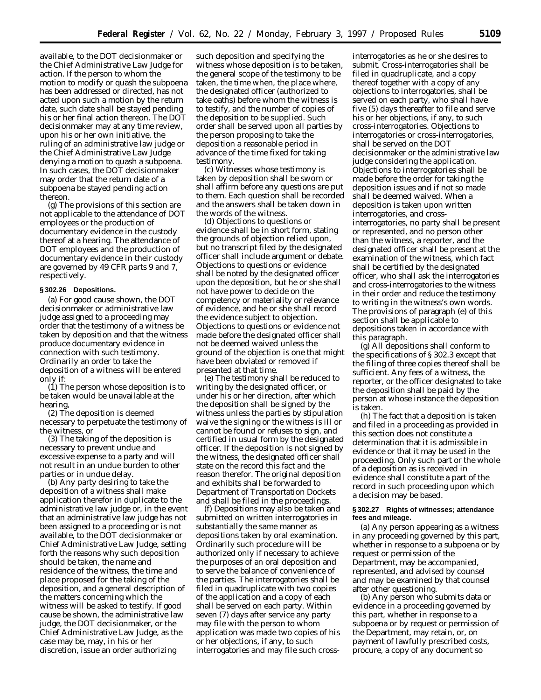available, to the DOT decisionmaker or the Chief Administrative Law Judge for action. If the person to whom the motion to modify or quash the subpoena has been addressed or directed, has not acted upon such a motion by the return date, such date shall be stayed pending his or her final action thereon. The DOT decisionmaker may at any time review, upon his or her own initiative, the ruling of an administrative law judge or the Chief Administrative Law Judge denying a motion to quash a subpoena. In such cases, the DOT decisionmaker may order that the return date of a subpoena be stayed pending action thereon.

(g) The provisions of this section are not applicable to the attendance of DOT employees or the production of documentary evidence in the custody thereof at a hearing. The attendance of DOT employees and the production of documentary evidence in their custody are governed by 49 CFR parts 9 and 7, respectively.

#### **§ 302.26 Depositions.**

(a) For good cause shown, the DOT decisionmaker or administrative law judge assigned to a proceeding may order that the testimony of a witness be taken by deposition and that the witness produce documentary evidence in connection with such testimony. Ordinarily an order to take the deposition of a witness will be entered only if:

(1) The person whose deposition is to be taken would be unavailable at the hearing,

(2) The deposition is deemed necessary to perpetuate the testimony of the witness, or

(3) The taking of the deposition is necessary to prevent undue and excessive expense to a party and will not result in an undue burden to other parties or in undue delay.

(b) Any party desiring to take the deposition of a witness shall make application therefor in duplicate to the administrative law judge or, in the event that an administrative law judge has not been assigned to a proceeding or is not available, to the DOT decisionmaker or Chief Administrative Law Judge, setting forth the reasons why such deposition should be taken, the name and residence of the witness, the time and place proposed for the taking of the deposition, and a general description of the matters concerning which the witness will be asked to testify. If good cause be shown, the administrative law judge, the DOT decisionmaker, or the Chief Administrative Law Judge, as the case may be, may, in his or her discretion, issue an order authorizing

such deposition and specifying the witness whose deposition is to be taken, the general scope of the testimony to be taken, the time when, the place where, the designated officer (authorized to take oaths) before whom the witness is to testify, and the number of copies of the deposition to be supplied. Such order shall be served upon all parties by the person proposing to take the deposition a reasonable period in advance of the time fixed for taking testimony.

(c) Witnesses whose testimony is taken by deposition shall be sworn or shall affirm before any questions are put to them. Each question shall be recorded and the answers shall be taken down in the words of the witness.

(d) Objections to questions or evidence shall be in short form, stating the grounds of objection relied upon, but no transcript filed by the designated officer shall include argument or debate. Objections to questions or evidence shall be noted by the designated officer upon the deposition, but he or she shall not have power to decide on the competency or materiality or relevance of evidence, and he or she shall record the evidence subject to objection. Objections to questions or evidence not made before the designated officer shall not be deemed waived unless the ground of the objection is one that might have been obviated or removed if presented at that time.

(e) The testimony shall be reduced to writing by the designated officer, or under his or her direction, after which the deposition shall be signed by the witness unless the parties by stipulation waive the signing or the witness is ill or cannot be found or refuses to sign, and certified in usual form by the designated officer. If the deposition is not signed by the witness, the designated officer shall state on the record this fact and the reason therefor. The original deposition and exhibits shall be forwarded to Department of Transportation Dockets and shall be filed in the proceedings.

(f) Depositions may also be taken and submitted on written interrogatories in substantially the same manner as depositions taken by oral examination. Ordinarily such procedure will be authorized only if necessary to achieve the purposes of an oral deposition and to serve the balance of convenience of the parties. The interrogatories shall be filed in quadruplicate with two copies of the application and a copy of each shall be served on each party. Within seven (7) days after service any party may file with the person to whom application was made two copies of his or her objections, if any, to such interrogatories and may file such crossinterrogatories as he or she desires to submit. Cross-interrogatories shall be filed in quadruplicate, and a copy thereof together with a copy of any objections to interrogatories, shall be served on each party, who shall have five (5) days thereafter to file and serve his or her objections, if any, to such cross-interrogatories. Objections to interrogatories or cross-interrogatories, shall be served on the DOT decisionmaker or the administrative law judge considering the application. Objections to interrogatories shall be made before the order for taking the deposition issues and if not so made shall be deemed waived. When a deposition is taken upon written interrogatories, and crossinterrogatories, no party shall be present or represented, and no person other than the witness, a reporter, and the designated officer shall be present at the examination of the witness, which fact shall be certified by the designated officer, who shall ask the interrogatories and cross-interrogatories to the witness in their order and reduce the testimony to writing in the witness's own words. The provisions of paragraph (e) of this section shall be applicable to depositions taken in accordance with this paragraph.

(g) All depositions shall conform to the specifications of § 302.3 except that the filing of three copies thereof shall be sufficient. Any fees of a witness, the reporter, or the officer designated to take the deposition shall be paid by the person at whose instance the deposition is taken.

(h) The fact that a deposition is taken and filed in a proceeding as provided in this section does not constitute a determination that it is admissible in evidence or that it may be used in the proceeding. Only such part or the whole of a deposition as is received in evidence shall constitute a part of the record in such proceeding upon which a decision may be based.

#### **§ 302.27 Rights of witnesses; attendance fees and mileage.**

(a) Any person appearing as a witness in any proceeding governed by this part, whether in response to a subpoena or by request or permission of the Department, may be accompanied, represented, and advised by counsel and may be examined by that counsel after other questioning.

(b) Any person who submits data or evidence in a proceeding governed by this part, whether in response to a subpoena or by request or permission of the Department, may retain, or, on payment of lawfully prescribed costs, procure, a copy of any document so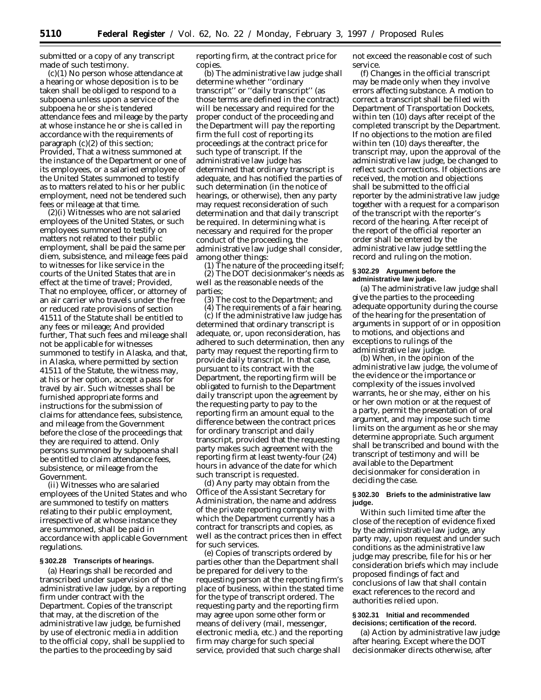submitted or a copy of any transcript made of such testimony.

(c)(1) No person whose attendance at a hearing or whose deposition is to be taken shall be obliged to respond to a subpoena unless upon a service of the subpoena he or she is tendered attendance fees and mileage by the party at whose instance he or she is called in accordance with the requirements of paragraph (c)(2) of this section; *Provided*, That a witness summoned at the instance of the Department or one of its employees, or a salaried employee of the United States summoned to testify as to matters related to his or her public employment, need not be tendered such fees or mileage at that time.

(2)(i) Witnesses who are not salaried employees of the United States, or such employees summoned to testify on matters not related to their public employment, shall be paid the same per diem, subsistence, and mileage fees paid to witnesses for like service in the courts of the United States that are in effect at the time of travel; *Provided*, That no employee, officer, or attorney of an air carrier who travels under the free or reduced rate provisions of section 41511 of the Statute shall be entitled to any fees or mileage; *And provided further*, That such fees and mileage shall not be applicable for witnesses summoned to testify in Alaska, and that, in Alaska, where permitted by section 41511 of the Statute, the witness may, at his or her option, accept a pass for travel by air. Such witnesses shall be furnished appropriate forms and instructions for the submission of claims for attendance fees, subsistence, and mileage from the Government before the close of the proceedings that they are required to attend. Only persons summoned by subpoena shall be entitled to claim attendance fees, subsistence, or mileage from the Government.

(ii) Witnesses who are salaried employees of the United States and who are summoned to testify on matters relating to their public employment, irrespective of at whose instance they are summoned, shall be paid in accordance with applicable Government regulations.

#### **§ 302.28 Transcripts of hearings.**

(a) Hearings shall be recorded and transcribed under supervision of the administrative law judge, by a reporting firm under contract with the Department. Copies of the transcript that may, at the discretion of the administrative law judge, be furnished by use of electronic media in addition to the official copy, shall be supplied to the parties to the proceeding by said

reporting firm, at the contract price for copies.

(b) The administrative law judge shall determine whether ''ordinary transcript'' or ''daily transcript'' (as those terms are defined in the contract) will be necessary and required for the proper conduct of the proceeding and the Department will pay the reporting firm the full cost of reporting its proceedings at the contract price for such type of transcript. If the administrative law judge has determined that ordinary transcript is adequate, and has notified the parties of such determination (in the notice of hearings, or otherwise), then any party may request reconsideration of such determination and that daily transcript be required. In determining what is necessary and required for the proper conduct of the proceeding, the administrative law judge shall consider, among other things:

(1) The nature of the proceeding itself; (2) The DOT decisionmaker's needs as well as the reasonable needs of the parties;

(3) The cost to the Department; and

(4) The requirements of a fair hearing. (c) If the administrative law judge has determined that ordinary transcript is adequate, or, upon reconsideration, has adhered to such determination, then any party may request the reporting firm to provide daily transcript. In that case, pursuant to its contract with the Department, the reporting firm will be obligated to furnish to the Department daily transcript upon the agreement by the requesting party to pay to the reporting firm an amount equal to the difference between the contract prices for ordinary transcript and daily transcript, provided that the requesting party makes such agreement with the reporting firm at least twenty-four (24) hours in advance of the date for which such transcript is requested.

(d) Any party may obtain from the Office of the Assistant Secretary for Administration, the name and address of the private reporting company with which the Department currently has a contract for transcripts and copies, as well as the contract prices then in effect for such services.

(e) Copies of transcripts ordered by parties other than the Department shall be prepared for delivery to the requesting person at the reporting firm's place of business, within the stated time for the type of transcript ordered. The requesting party and the reporting firm may agree upon some other form or means of delivery (mail, messenger, electronic media, etc.) and the reporting firm may charge for such special service, provided that such charge shall

not exceed the reasonable cost of such service.

(f) Changes in the official transcript may be made only when they involve errors affecting substance. A motion to correct a transcript shall be filed with Department of Transportation Dockets, within ten (10) days after receipt of the completed transcript by the Department. If no objections to the motion are filed within ten (10) days thereafter, the transcript may, upon the approval of the administrative law judge, be changed to reflect such corrections. If objections are received, the motion and objections shall be submitted to the official reporter by the administrative law judge together with a request for a comparison of the transcript with the reporter's record of the hearing. After receipt of the report of the official reporter an order shall be entered by the administrative law judge settling the record and ruling on the motion.

#### **§ 302.29 Argument before the administrative law judge.**

(a) The administrative law judge shall give the parties to the proceeding adequate opportunity during the course of the hearing for the presentation of arguments in support of or in opposition to motions, and objections and exceptions to rulings of the administrative law judge.

(b) When, in the opinion of the administrative law judge, the volume of the evidence or the importance or complexity of the issues involved warrants, he or she may, either on his or her own motion or at the request of a party, permit the presentation of oral argument, and may impose such time limits on the argument as he or she may determine appropriate. Such argument shall be transcribed and bound with the transcript of testimony and will be available to the Department decisionmaker for consideration in deciding the case.

#### **§ 302.30 Briefs to the administrative law judge.**

Within such limited time after the close of the reception of evidence fixed by the administrative law judge, any party may, upon request and under such conditions as the administrative law judge may prescribe, file for his or her consideration briefs which may include proposed findings of fact and conclusions of law that shall contain exact references to the record and authorities relied upon.

#### **§ 302.31 Initial and recommended decisions; certification of the record.**

(a) *Action by administrative law judge after hearing.* Except where the DOT decisionmaker directs otherwise, after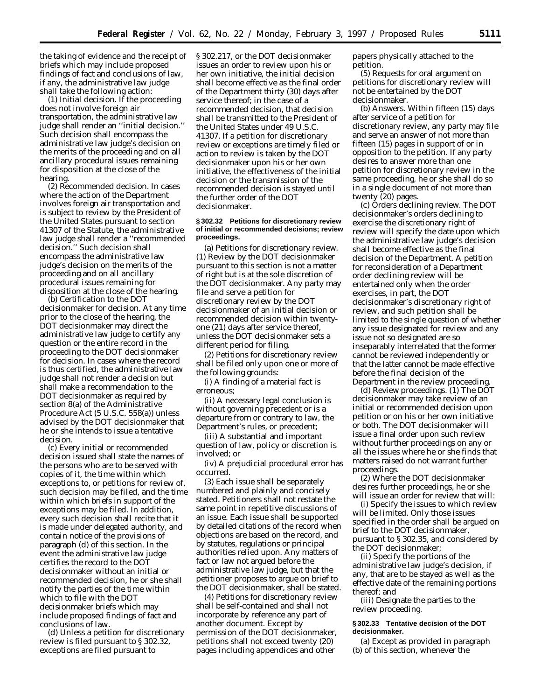the taking of evidence and the receipt of briefs which may include proposed findings of fact and conclusions of law, if any, the administrative law judge shall take the following action:

(1) *Initial decision.* If the proceeding does not involve foreign air transportation, the administrative law judge shall render an ''initial decision.'' Such decision shall encompass the administrative law judge's decision on the merits of the proceeding and on all ancillary procedural issues remaining for disposition at the close of the hearing.

(2) *Recommended decision.* In cases where the action of the Department involves foreign air transportation and is subject to review by the President of the United States pursuant to section 41307 of the Statute, the administrative law judge shall render a ''recommended decision.'' Such decision shall encompass the administrative law judge's decision on the merits of the proceeding and on all ancillary procedural issues remaining for disposition at the close of the hearing.

(b) *Certification to the DOT decisionmaker for decision.* At any time prior to the close of the hearing, the DOT decisionmaker may direct the administrative law judge to certify any question or the entire record in the proceeding to the DOT decisionmaker for decision. In cases where the record is thus certified, the administrative law judge shall not render a decision but shall make a recommendation to the DOT decisionmaker as required by section 8(a) of the Administrative Procedure Act (5 U.S.C. 558(a)) unless advised by the DOT decisionmaker that he or she intends to issue a tentative decision.

(c) Every initial or recommended decision issued shall state the names of the persons who are to be served with copies of it, the time within which exceptions to, or petitions for review of, such decision may be filed, and the time within which briefs in support of the exceptions may be filed. In addition, every such decision shall recite that it is made under delegated authority, and contain notice of the provisions of paragraph (d) of this section. In the event the administrative law judge certifies the record to the DOT decisionmaker without an initial or recommended decision, he or she shall notify the parties of the time within which to file with the DOT decisionmaker briefs which may include proposed findings of fact and conclusions of law.

(d) Unless a petition for discretionary review is filed pursuant to § 302.32, exceptions are filed pursuant to

§ 302.217, or the DOT decisionmaker issues an order to review upon his or her own initiative, the initial decision shall become effective as the final order of the Department thirty (30) days after service thereof; in the case of a recommended decision, that decision shall be transmitted to the President of the United States under 49 U.S.C. 41307. If a petition for discretionary review or exceptions are timely filed or action to review is taken by the DOT decisionmaker upon his or her own initiative, the effectiveness of the initial decision or the transmission of the recommended decision is stayed until the further order of the DOT decisionmaker.

#### **§ 302.32 Petitions for discretionary review of initial or recommended decisions; review proceedings.**

(a) *Petitions for discretionary review.* (1) Review by the DOT decisionmaker pursuant to this section is not a matter of right but is at the sole discretion of the DOT decisionmaker. Any party may file and serve a petition for discretionary review by the DOT decisionmaker of an initial decision or recommended decision within twentyone (21) days after service thereof, unless the DOT decisionmaker sets a different period for filing.

(2) Petitions for discretionary review shall be filed only upon one or more of the following grounds:

(i) A finding of a material fact is erroneous;

(ii) A necessary legal conclusion is without governing precedent or is a departure from or contrary to law, the Department's rules, or precedent;

(iii) A substantial and important question of law, policy or discretion is involved; or

(iv) A prejudicial procedural error has occurred.

(3) Each issue shall be separately numbered and plainly and concisely stated. Petitioners shall not restate the same point in repetitive discussions of an issue. Each issue shall be supported by detailed citations of the record when objections are based on the record, and by statutes, regulations or principal authorities relied upon. Any matters of fact or law not argued before the administrative law judge, but that the petitioner proposes to argue on brief to the DOT decisionmaker, shall be stated.

(4) Petitions for discretionary review shall be self-contained and shall not incorporate by reference any part of another document. Except by permission of the DOT decisionmaker, petitions shall not exceed twenty (20) pages including appendices and other

papers physically attached to the petition.

(5) Requests for oral argument on petitions for discretionary review will not be entertained by the DOT decisionmaker.

(b) *Answers.* Within fifteen (15) days after service of a petition for discretionary review, any party may file and serve an answer of not more than fifteen (15) pages in support of or in opposition to the petition. If any party desires to answer more than one petition for discretionary review in the same proceeding, he or she shall do so in a single document of not more than twenty (20) pages.

(c) *Orders declining review.* The DOT decisionmaker's orders declining to exercise the discretionary right of review will specify the date upon which the administrative law judge's decision shall become effective as the final decision of the Department. A petition for reconsideration of a Department order declining review will be entertained only when the order exercises, in part, the DOT decisionmaker's discretionary right of review, and such petition shall be limited to the single question of whether any issue designated for review and any issue not so designated are so inseparably interrelated that the former cannot be reviewed independently or that the latter cannot be made effective before the final decision of the Department in the review proceeding.

(d) *Review proceedings.* (1) The DOT decisionmaker may take review of an initial or recommended decision upon petition or on his or her own initiative or both. The DOT decisionmaker will issue a final order upon such review without further proceedings on any or all the issues where he or she finds that matters raised do not warrant further proceedings.

(2) Where the DOT decisionmaker desires further proceedings, he or she will issue an order for review that will:

(i) Specify the issues to which review will be limited. Only those issues specified in the order shall be argued on brief to the DOT decisionmaker, pursuant to § 302.35, and considered by the DOT decisionmaker;

(ii) Specify the portions of the administrative law judge's decision, if any, that are to be stayed as well as the effective date of the remaining portions thereof; and

(iii) Designate the parties to the review proceeding.

## **§ 302.33 Tentative decision of the DOT decisionmaker.**

(a) Except as provided in paragraph (b) of this section, whenever the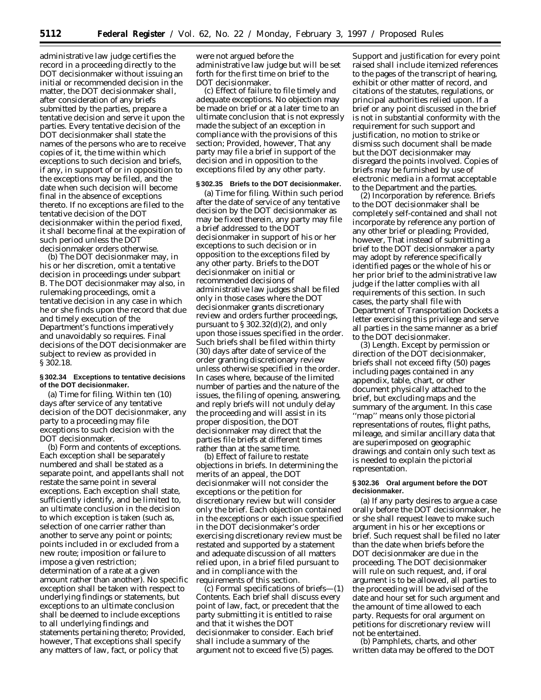administrative law judge certifies the record in a proceeding directly to the DOT decisionmaker without issuing an initial or recommended decision in the matter, the DOT decisionmaker shall, after consideration of any briefs submitted by the parties, prepare a tentative decision and serve it upon the parties. Every tentative decision of the DOT decisionmaker shall state the names of the persons who are to receive copies of it, the time within which exceptions to such decision and briefs, if any, in support of or in opposition to the exceptions may be filed, and the date when such decision will become final in the absence of exceptions thereto. If no exceptions are filed to the tentative decision of the DOT decisionmaker within the period fixed, it shall become final at the expiration of such period unless the DOT decisionmaker orders otherwise.

(b) The DOT decisionmaker may, in his or her discretion, omit a tentative decision in proceedings under subpart B. The DOT decisionmaker may also, in rulemaking proceedings, omit a tentative decision in any case in which he or she finds upon the record that due and timely execution of the Department's functions imperatively and unavoidably so requires. Final decisions of the DOT decisionmaker are subject to review as provided in § 302.18.

#### **§ 302.34 Exceptions to tentative decisions of the DOT decisionmaker.**

(a) *Time for filing.* Within ten (10) days after service of any tentative decision of the DOT decisionmaker, any party to a proceeding may file exceptions to such decision with the DOT decisionmaker.

(b) *Form and contents of exceptions.* Each exception shall be separately numbered and shall be stated as a separate point, and appellants shall not restate the same point in several exceptions. Each exception shall state, sufficiently identify, and be limited to, an ultimate conclusion in the decision to which exception is taken (such as, selection of one carrier rather than another to serve any point or points; points included in or excluded from a new route; imposition or failure to impose a given restriction; determination of a rate at a given amount rather than another). No specific exception shall be taken with respect to underlying findings or statements, but exceptions to an ultimate conclusion shall be deemed to include exceptions to all underlying findings and statements pertaining thereto; *Provided, however,* That exceptions shall specify any matters of law, fact, or policy that

were not argued before the administrative law judge but will be set forth for the first time on brief to the DOT decisionmaker.

(c) *Effect of failure to file timely and adequate exceptions.* No objection may be made on brief or at a later time to an ultimate conclusion that is not expressly made the subject of an exception in compliance with the provisions of this section; *Provided, however,* That any party may file a brief in support of the decision and in opposition to the exceptions filed by any other party.

#### **§ 302.35 Briefs to the DOT decisionmaker.**

(a) *Time for filing.* Within such period after the date of service of any tentative decision by the DOT decisionmaker as may be fixed therein, any party may file a brief addressed to the DOT decisionmaker in support of his or her exceptions to such decision or in opposition to the exceptions filed by any other party. Briefs to the DOT decisionmaker on initial or recommended decisions of administrative law judges shall be filed only in those cases where the DOT decisionmaker grants discretionary review and orders further proceedings, pursuant to  $\S 302.32(d)(2)$ , and only upon those issues specified in the order. Such briefs shall be filed within thirty (30) days after date of service of the order granting discretionary review unless otherwise specified in the order. In cases where, because of the limited number of parties and the nature of the issues, the filing of opening, answering, and reply briefs will not unduly delay the proceeding and will assist in its proper disposition, the DOT decisionmaker may direct that the parties file briefs at different times rather than at the same time.

(b) *Effect of failure to restate objections in briefs.* In determining the merits of an appeal, the DOT decisionmaker will not consider the exceptions or the petition for discretionary review but will consider only the brief. Each objection contained in the exceptions or each issue specified in the DOT decisionmaker's order exercising discretionary review must be restated and supported by a statement and adequate discussion of all matters relied upon, in a brief filed pursuant to and in compliance with the requirements of this section.

(c) *Formal specifications of briefs*—(1) *Contents.* Each brief shall discuss every point of law, fact, or precedent that the party submitting it is entitled to raise and that it wishes the DOT decisionmaker to consider. Each brief shall include a summary of the argument not to exceed five (5) pages.

Support and justification for every point raised shall include itemized references to the pages of the transcript of hearing, exhibit or other matter of record, and citations of the statutes, regulations, or principal authorities relied upon. If a brief or any point discussed in the brief is not in substantial conformity with the requirement for such support and justification, no motion to strike or dismiss such document shall be made but the DOT decisionmaker may disregard the points involved. Copies of briefs may be furnished by use of electronic media in a format acceptable to the Department and the parties.

(2) *Incorporation by reference.* Briefs to the DOT decisionmaker shall be completely self-contained and shall not incorporate by reference any portion of any other brief or pleading; *Provided, however,* That instead of submitting a brief to the DOT decisionmaker a party may adopt by reference specifically identified pages or the whole of his or her prior brief to the administrative law judge if the latter complies with all requirements of this section. In such cases, the party shall file with Department of Transportation Dockets a letter exercising this privilege and serve all parties in the same manner as a brief to the DOT decisionmaker.

(3) *Length.* Except by permission or direction of the DOT decisionmaker, briefs shall not exceed fifty (50) pages including pages contained in any appendix, table, chart, or other document physically attached to the brief, but excluding maps and the summary of the argument. In this case ''map'' means only those pictorial representations of routes, flight paths, mileage, and similar ancillary data that are superimposed on geographic drawings and contain only such text as is needed to explain the pictorial representation.

#### **§ 302.36 Oral argument before the DOT decisionmaker.**

(a) If any party desires to argue a case orally before the DOT decisionmaker, he or she shall request leave to make such argument in his or her exceptions or brief. Such request shall be filed no later than the date when briefs before the DOT decisionmaker are due in the proceeding. The DOT decisionmaker will rule on such request, and, if oral argument is to be allowed, all parties to the proceeding will be advised of the date and hour set for such argument and the amount of time allowed to each party. Requests for oral argument on petitions for discretionary review will not be entertained.

(b) Pamphlets, charts, and other written data may be offered to the DOT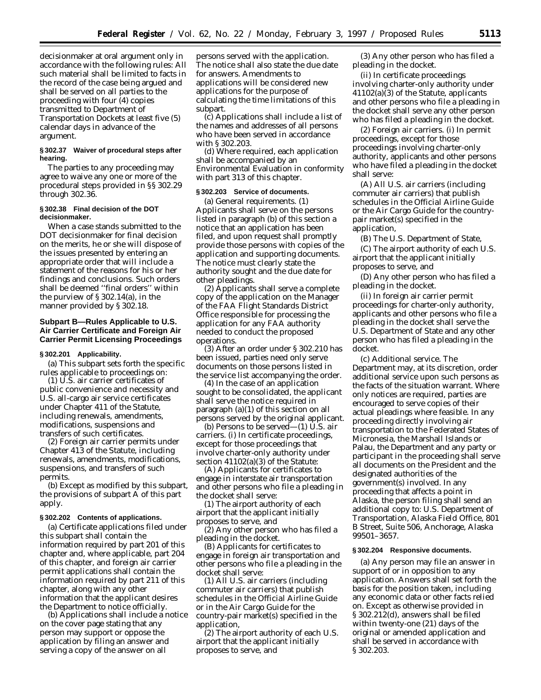decisionmaker at oral argument only in accordance with the following rules: All such material shall be limited to facts in the record of the case being argued and shall be served on all parties to the proceeding with four (4) copies transmitted to Department of Transportation Dockets at least five (5) calendar days in advance of the argument.

#### **§ 302.37 Waiver of procedural steps after hearing.**

The parties to any proceeding may agree to waive any one or more of the procedural steps provided in §§ 302.29 through 302.36.

## **§ 302.38 Final decision of the DOT decisionmaker.**

When a case stands submitted to the DOT decisionmaker for final decision on the merits, he or she will dispose of the issues presented by entering an appropriate order that will include a statement of the reasons for his or her findings and conclusions. Such orders shall be deemed ''final orders'' within the purview of § 302.14(a), in the manner provided by § 302.18.

# **Subpart B—Rules Applicable to U.S. Air Carrier Certificate and Foreign Air Carrier Permit Licensing Proceedings**

## **§ 302.201 Applicability.**

(a) This subpart sets forth the specific rules applicable to proceedings on:

(1) U.S. air carrier certificates of public convenience and necessity and U.S. all-cargo air service certificates under Chapter 411 of the Statute, including renewals, amendments, modifications, suspensions and transfers of such certificates.

(2) Foreign air carrier permits under Chapter 413 of the Statute, including renewals, amendments, modifications, suspensions, and transfers of such permits.

(b) Except as modified by this subpart, the provisions of subpart A of this part apply.

#### **§ 302.202 Contents of applications.**

(a) Certificate applications filed under this subpart shall contain the information required by part 201 of this chapter and, where applicable, part 204 of this chapter, and foreign air carrier permit applications shall contain the information required by part 211 of this chapter, along with any other information that the applicant desires the Department to notice officially.

(b) Applications shall include a notice on the cover page stating that any person may support or oppose the application by filing an answer and serving a copy of the answer on all

persons served with the application. The notice shall also state the due date for answers. Amendments to applications will be considered new applications for the purpose of calculating the time limitations of this subpart.

(c) Applications shall include a list of the names and addresses of all persons who have been served in accordance with § 302.203.

(d) Where required, each application shall be accompanied by an Environmental Evaluation in conformity with part 313 of this chapter.

# **§ 302.203 Service of documents.**

(a) *General requirements.* (1) Applicants shall serve on the persons listed in paragraph (b) of this section a notice that an application has been filed, and upon request shall promptly provide those persons with copies of the application and supporting documents. The notice must clearly state the authority sought and the due date for other pleadings.

(2) Applicants shall serve a complete copy of the application on the Manager of the FAA Flight Standards District Office responsible for processing the application for any FAA authority needed to conduct the proposed operations.

(3) After an order under § 302.210 has been issued, parties need only serve documents on those persons listed in the service list accompanying the order.

(4) In the case of an application sought to be consolidated, the applicant shall serve the notice required in paragraph (a)(1) of this section on all persons served by the original applicant.

(b) *Persons to be served—*(1) *U.S. air carriers.* (i) In certificate proceedings, except for those proceedings that involve charter-only authority under section 41102(a)(3) of the Statute:

(A) Applicants for certificates to engage in interstate air transportation and other persons who file a pleading in the docket shall serve:

*(1)* The airport authority of each airport that the applicant initially proposes to serve, and

*(2)* Any other person who has filed a pleading in the docket.

(B) Applicants for certificates to engage in foreign air transportation and other persons who file a pleading in the docket shall serve:

*(1)* All U.S. air carriers (including commuter air carriers) that publish schedules in the *Official Airline Guide* or in the *Air Cargo Guide* for the country-pair market(s) specified in the application,

*(2)* The airport authority of each U.S. airport that the applicant initially proposes to serve, and

*(3)* Any other person who has filed a pleading in the docket.

(ii) In certificate proceedings involving charter-only authority under 41102(a)(3) of the Statute, applicants and other persons who file a pleading in the docket shall serve any other person who has filed a pleading in the docket.

(2) *Foreign air carriers.* (i) In permit proceedings, except for those proceedings involving charter-only authority, applicants and other persons who have filed a pleading in the docket shall serve:

(A) All U.S. air carriers (including commuter air carriers) that publish schedules in the *Official Airline Guide* or the *Air Cargo Guide* for the countrypair market(s) specified in the application,

(B) The U.S. Department of State,

(C) The airport authority of each U.S. airport that the applicant initially proposes to serve, and

(D) Any other person who has filed a pleading in the docket.

(ii) In foreign air carrier permit proceedings for charter-only authority, applicants and other persons who file a pleading in the docket shall serve the U.S. Department of State and any other person who has filed a pleading in the docket.

(c) *Additional service.* The Department may, at its discretion, order additional service upon such persons as the facts of the situation warrant. Where only notices are required, parties are encouraged to serve copies of their actual pleadings where feasible. In any proceeding directly involving air transportation to the Federated States of Micronesia, the Marshall Islands or Palau, the Department and any party or participant in the proceeding shall serve all documents on the President and the designated authorities of the government(s) involved. In any proceeding that affects a point in Alaska, the person filing shall send an additional copy to: U.S. Department of Transportation, Alaska Field Office, 801 B Street, Suite 506, Anchorage, Alaska 99501–3657.

#### **§ 302.204 Responsive documents.**

(a) Any person may file an answer in support of or in opposition to any application. Answers shall set forth the basis for the position taken, including any economic data or other facts relied on. Except as otherwise provided in § 302.212(d), answers shall be filed within twenty-one (21) days of the original or amended application and shall be served in accordance with § 302.203.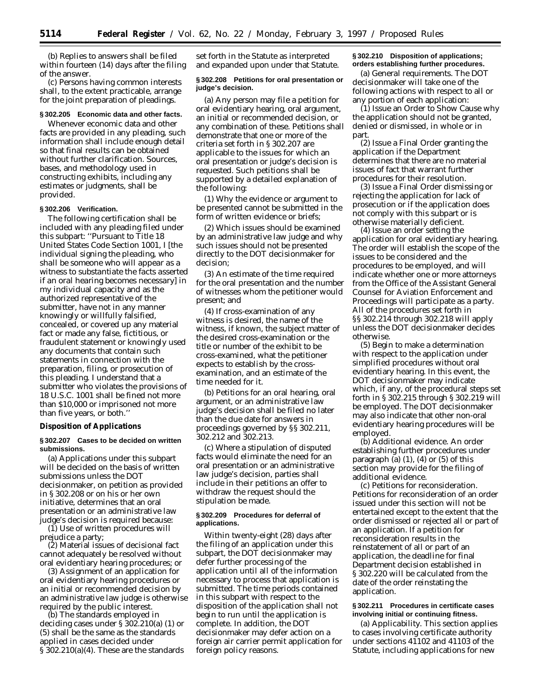(b) Replies to answers shall be filed within fourteen (14) days after the filing of the answer.

(c) Persons having common interests shall, to the extent practicable, arrange for the joint preparation of pleadings.

#### **§ 302.205 Economic data and other facts.**

Whenever economic data and other facts are provided in any pleading, such information shall include enough detail so that final results can be obtained without further clarification. Sources, bases, and methodology used in constructing exhibits, including any estimates or judgments, shall be provided.

#### **§ 302.206 Verification.**

The following certification shall be included with any pleading filed under this subpart: ''Pursuant to Title 18 United States Code Section 1001, I [*the individual signing the pleading, who shall be someone who will appear as a witness to substantiate the facts asserted if an oral hearing becomes necessary*] in my individual capacity and as the authorized representative of the submitter, have not in any manner knowingly or willfully falsified, concealed, or covered up any material fact or made any false, fictitious, or fraudulent statement or knowingly used any documents that contain such statements in connection with the preparation, filing, or prosecution of this pleading. I understand that a submitter who violates the provisions of 18 U.S.C. 1001 shall be fined not more than \$10,000 or imprisoned not more than five years, or both.''

## **Disposition of Applications**

#### **§ 302.207 Cases to be decided on written submissions.**

(a) Applications under this subpart will be decided on the basis of written submissions unless the DOT decisionmaker, on petition as provided in § 302.208 or on his or her own initiative, determines that an oral presentation or an administrative law judge's decision is required because:

(1) Use of written procedures will prejudice a party;

(2) Material issues of decisional fact cannot adequately be resolved without oral evidentiary hearing procedures; or

(3) Assignment of an application for oral evidentiary hearing procedures or an initial or recommended decision by an administrative law judge is otherwise required by the public interest.

(b) The standards employed in deciding cases under § 302.210(a) (1) or (5) shall be the same as the standards applied in cases decided under § 302.210(a)(4). These are the standards

set forth in the Statute as interpreted and expanded upon under that Statute.

## **§ 302.208 Petitions for oral presentation or judge's decision.**

(a) Any person may file a petition for oral evidentiary hearing, oral argument, an initial or recommended decision, or any combination of these. Petitions shall demonstrate that one or more of the criteria set forth in § 302.207 are applicable to the issues for which an oral presentation or judge's decision is requested. Such petitions shall be supported by a detailed explanation of the following:

(1) Why the evidence or argument to be presented cannot be submitted in the form of written evidence or briefs;

(2) Which issues should be examined by an administrative law judge and why such issues should not be presented directly to the DOT decisionmaker for decision;

(3) An estimate of the time required for the oral presentation and the number of witnesses whom the petitioner would present; and

(4) If cross-examination of any witness is desired, the name of the witness, if known, the subject matter of the desired cross-examination or the title or number of the exhibit to be cross-examined, what the petitioner expects to establish by the crossexamination, and an estimate of the time needed for it.

(b) Petitions for an oral hearing, oral argument, or an administrative law judge's decision shall be filed no later than the due date for answers in proceedings governed by §§ 302.211, 302.212 and 302.213.

(c) Where a stipulation of disputed facts would eliminate the need for an oral presentation or an administrative law judge's decision, parties shall include in their petitions an offer to withdraw the request should the stipulation be made.

#### **§ 302.209 Procedures for deferral of applications.**

Within twenty-eight (28) days after the filing of an application under this subpart, the DOT decisionmaker may defer further processing of the application until all of the information necessary to process that application is submitted. The time periods contained in this subpart with respect to the disposition of the application shall not begin to run until the application is complete. In addition, the DOT decisionmaker may defer action on a foreign air carrier permit application for foreign policy reasons.

# **§ 302.210 Disposition of applications; orders establishing further procedures.**

(a) *General requirements.* The DOT decisionmaker will take one of the following actions with respect to all or any portion of each application:

(1) Issue an Order to Show Cause why the application should not be granted, denied or dismissed, in whole or in part.

(2) Issue a Final Order granting the application if the Department determines that there are no material issues of fact that warrant further procedures for their resolution.

(3) Issue a Final Order dismissing or rejecting the application for lack of prosecution or if the application does not comply with this subpart or is otherwise materially deficient.

(4) Issue an order setting the application for oral evidentiary hearing. The order will establish the scope of the issues to be considered and the procedures to be employed, and will indicate whether one or more attorneys from the Office of the Assistant General Counsel for Aviation Enforcement and Proceedings will participate as a party. All of the procedures set forth in §§ 302.214 through 302.218 will apply unless the DOT decisionmaker decides otherwise.

(5) Begin to make a determination with respect to the application under simplified procedures without oral evidentiary hearing. In this event, the DOT decisionmaker may indicate which, if any, of the procedural steps set forth in § 302.215 through § 302.219 will be employed. The DOT decisionmaker may also indicate that other non-oral evidentiary hearing procedures will be employed.

(b) *Additional evidence.* An order establishing further procedures under paragraph (a)  $(1)$ ,  $(4)$  or  $(5)$  of this section may provide for the filing of additional evidence.

(c) *Petitions for reconsideration.* Petitions for reconsideration of an order issued under this section will not be entertained except to the extent that the order dismissed or rejected all or part of an application. If a petition for reconsideration results in the reinstatement of all or part of an application, the deadline for final Department decision established in § 302.220 will be calculated from the date of the order reinstating the application.

## **§ 302.211 Procedures in certificate cases involving initial or continuing fitness.**

(a) *Applicability.* This section applies to cases involving certificate authority under sections 41102 and 41103 of the Statute, including applications for new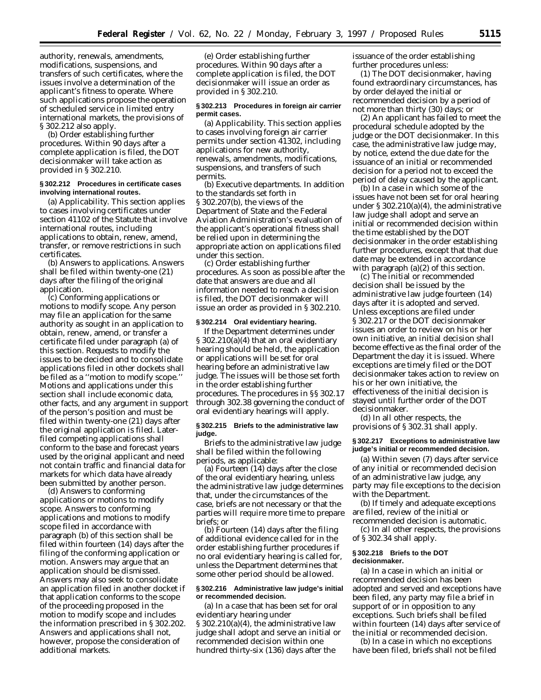authority, renewals, amendments, modifications, suspensions, and transfers of such certificates, where the issues involve a determination of the applicant's fitness to operate. Where such applications propose the operation of scheduled service in limited entry international markets, the provisions of § 302.212 also apply.

(b) *Order establishing further procedures.* Within 90 days after a complete application is filed, the DOT decisionmaker will take action as provided in § 302.210.

#### **§ 302.212 Procedures in certificate cases involving international routes.**

(a) *Applicability.* This section applies to cases involving certificates under section 41102 of the Statute that involve international routes, including applications to obtain, renew, amend, transfer, or remove restrictions in such certificates.

(b) *Answers to applications.* Answers shall be filed within twenty-one (21) days after the filing of the original application.

(c) *Conforming applications or motions to modify scope.* Any person may file an application for the same authority as sought in an application to obtain, renew, amend, or transfer a certificate filed under paragraph (a) of this section. Requests to modify the issues to be decided and to consolidate applications filed in other dockets shall be filed as a ''motion to modify scope.'' Motions and applications under this section shall include economic data, other facts, and any argument in support of the person's position and must be filed within twenty-one (21) days after the original application is filed. Laterfiled competing applications shall conform to the base and forecast years used by the original applicant and need not contain traffic and financial data for markets for which data have already been submitted by another person.

(d) *Answers to conforming applications or motions to modify scope.* Answers to conforming applications and motions to modify scope filed in accordance with paragraph (b) of this section shall be filed within fourteen (14) days after the filing of the conforming application or motion. Answers may argue that an application should be dismissed. Answers may also seek to consolidate an application filed in another docket if that application conforms to the scope of the proceeding proposed in the motion to modify scope and includes the information prescribed in § 302.202. Answers and applications shall not, however, propose the consideration of additional markets.

(e) *Order establishing further procedures.* Within 90 days after a complete application is filed, the DOT decisionmaker will issue an order as provided in § 302.210.

## **§ 302.213 Procedures in foreign air carrier permit cases.**

(a) *Applicability.* This section applies to cases involving foreign air carrier permits under section 41302, including applications for new authority, renewals, amendments, modifications, suspensions, and transfers of such permits.

(b) *Executive departments.* In addition to the standards set forth in § 302.207(b), the views of the Department of State and the Federal Aviation Administration's evaluation of the applicant's operational fitness shall be relied upon in determining the appropriate action on applications filed under this section.

(c) *Order establishing further procedures.* As soon as possible after the date that answers are due and all information needed to reach a decision is filed, the DOT decisionmaker will issue an order as provided in § 302.210.

#### **§ 302.214 Oral evidentiary hearing.**

If the Department determines under § 302.210(a)(4) that an oral evidentiary hearing should be held, the application or applications will be set for oral hearing before an administrative law judge. The issues will be those set forth in the order establishing further procedures. The procedures in §§ 302.17 through 302.38 governing the conduct of oral evidentiary hearings will apply.

#### **§ 302.215 Briefs to the administrative law judge.**

Briefs to the administrative law judge shall be filed within the following periods, as applicable:

(a) Fourteen (14) days after the close of the oral evidentiary hearing, unless the administrative law judge determines that, under the circumstances of the case, briefs are not necessary or that the parties will require more time to prepare briefs; or

(b) Fourteen (14) days after the filing of additional evidence called for in the order establishing further procedures if no oral evidentiary hearing is called for, unless the Department determines that some other period should be allowed.

## **§ 302.216 Administrative law judge's initial or recommended decision.**

(a) In a case that has been set for oral evidentiary hearing under § 302.210(a)(4), the administrative law judge shall adopt and serve an initial or recommended decision within one hundred thirty-six (136) days after the

issuance of the order establishing further procedures unless:

(1) The DOT decisionmaker, having found extraordinary circumstances, has by order delayed the initial or recommended decision by a period of not more than thirty (30) days; or

(2) An applicant has failed to meet the procedural schedule adopted by the judge or the DOT decisionmaker. In this case, the administrative law judge may, by notice, extend the due date for the issuance of an initial or recommended decision for a period not to exceed the period of delay caused by the applicant.

(b) In a case in which some of the issues have not been set for oral hearing under  $\S 302.210(a)(4)$ , the administrative law judge shall adopt and serve an initial or recommended decision within the time established by the DOT decisionmaker in the order establishing further procedures, except that that due date may be extended in accordance with paragraph (a)(2) of this section.

(c) The initial or recommended decision shall be issued by the administrative law judge fourteen (14) days after it is adopted and served. Unless exceptions are filed under § 302.217 or the DOT decisionmaker issues an order to review on his or her own initiative, an initial decision shall become effective as the final order of the Department the day it is issued. Where exceptions are timely filed or the DOT decisionmaker takes action to review on his or her own initiative, the effectiveness of the initial decision is stayed until further order of the DOT decisionmaker.

(d) In all other respects, the provisions of § 302.31 shall apply.

## **§ 302.217 Exceptions to administrative law judge's initial or recommended decision.**

(a) Within seven (7) days after service of any initial or recommended decision of an administrative law judge, any party may file exceptions to the decision with the Department.

(b) If timely and adequate exceptions are filed, review of the initial or recommended decision is automatic.

(c) In all other respects, the provisions of § 302.34 shall apply.

## **§ 302.218 Briefs to the DOT decisionmaker.**

(a) In a case in which an initial or recommended decision has been adopted and served and exceptions have been filed, any party may file a brief in support of or in opposition to any exceptions. Such briefs shall be filed within fourteen (14) days after service of the initial or recommended decision.

(b) In a case in which no exceptions have been filed, briefs shall not be filed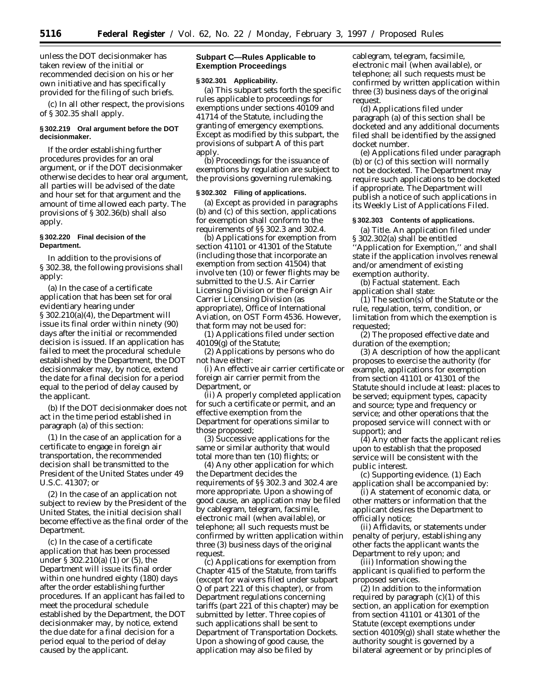unless the DOT decisionmaker has taken review of the initial or recommended decision on his or her own initiative and has specifically provided for the filing of such briefs.

(c) In all other respect, the provisions of § 302.35 shall apply.

## **§ 302.219 Oral argument before the DOT decisionmaker.**

If the order establishing further procedures provides for an oral argument, or if the DOT decisionmaker otherwise decides to hear oral argument, all parties will be advised of the date and hour set for that argument and the amount of time allowed each party. The provisions of § 302.36(b) shall also apply.

#### **§ 302.220 Final decision of the Department.**

In addition to the provisions of § 302.38, the following provisions shall apply:

(a) In the case of a certificate application that has been set for oral evidentiary hearing under § 302.210(a)(4), the Department will issue its final order within ninety (90) days after the initial or recommended decision is issued. If an application has failed to meet the procedural schedule established by the Department, the DOT decisionmaker may, by notice, extend the date for a final decision for a period equal to the period of delay caused by the applicant.

(b) If the DOT decisionmaker does not act in the time period established in paragraph (a) of this section:

(1) In the case of an application for a certificate to engage in foreign air transportation, the recommended decision shall be transmitted to the President of the United States under 49 U.S.C. 41307; or

(2) In the case of an application not subject to review by the President of the United States, the initial decision shall become effective as the final order of the Department.

(c) In the case of a certificate application that has been processed under § 302.210(a) (1) or (5), the Department will issue its final order within one hundred eighty (180) days after the order establishing further procedures. If an applicant has failed to meet the procedural schedule established by the Department, the DOT decisionmaker may, by notice, extend the due date for a final decision for a period equal to the period of delay caused by the applicant.

# **Subpart C—Rules Applicable to Exemption Proceedings**

#### **§ 302.301 Applicability.**

(a) This subpart sets forth the specific rules applicable to proceedings for exemptions under sections 40109 and 41714 of the Statute, including the granting of emergency exemptions. Except as modified by this subpart, the provisions of subpart A of this part apply.

(b) Proceedings for the issuance of exemptions by regulation are subject to the provisions governing rulemaking.

## **§ 302.302 Filing of applications.**

(a) Except as provided in paragraphs (b) and (c) of this section, applications for exemption shall conform to the requirements of §§ 302.3 and 302.4.

(b) Applications for exemption from section 41101 or 41301 of the Statute (including those that incorporate an exemption from section 41504) that involve ten (10) or fewer flights may be submitted to the U.S. Air Carrier Licensing Division or the Foreign Air Carrier Licensing Division (as appropriate), Office of International Aviation, on OST Form 4536. However, that form may not be used for:

(1) Applications filed under section 40109(g) of the Statute;

(2) Applications by persons who do not have either:

(i) An effective air carrier certificate or foreign air carrier permit from the Department, or

(ii) A properly completed application for such a certificate or permit, and an effective exemption from the Department for operations similar to those proposed;

(3) Successive applications for the same or similar authority that would total more than ten (10) flights; or

(4) Any other application for which the Department decides the requirements of §§ 302.3 and 302.4 are more appropriate. Upon a showing of good cause, an application may be filed by cablegram, telegram, facsimile, electronic mail (when available), or telephone; all such requests must be confirmed by written application within three (3) business days of the original request.

(c) Applications for exemption from Chapter 415 of the Statute, from tariffs (except for waivers filed under subpart Q of part 221 of this chapter), or from Department regulations concerning tariffs (part  $22\bar{1}$  of this chapter) may be submitted by letter. Three copies of such applications shall be sent to Department of Transportation Dockets. Upon a showing of good cause, the application may also be filed by

cablegram, telegram, facsimile, electronic mail (when available), or telephone; all such requests must be confirmed by written application within three (3) business days of the original request.

(d) Applications filed under paragraph (a) of this section shall be docketed and any additional documents filed shall be identified by the assigned docket number.

(e) Applications filed under paragraph (b) or (c) of this section will normally not be docketed. The Department may require such applications to be docketed if appropriate. The Department will publish a notice of such applications in its Weekly List of Applications Filed.

#### **§ 302.303 Contents of applications.**

(a) *Title.* An application filed under § 302.302(a) shall be entitled ''Application for Exemption,'' and shall state if the application involves renewal and/or amendment of existing exemption authority.

(b) *Factual statement.* Each application shall state:

(1) The section(s) of the Statute or the rule, regulation, term, condition, or limitation from which the exemption is requested;

(2) The proposed effective date and duration of the exemption;

(3) A description of how the applicant proposes to exercise the authority (for example, applications for exemption from section 41101 or 41301 of the Statute should include at least: places to be served; equipment types, capacity and source; type and frequency or service; and other operations that the proposed service will connect with or support); and

 $(4)$  Any other facts the applicant relies upon to establish that the proposed service will be consistent with the public interest.

(c) *Supporting evidence.* (1) Each application shall be accompanied by:

(i) A statement of economic data, or other matters or information that the applicant desires the Department to officially notice;

(ii) Affidavits, or statements under penalty of perjury, establishing any other facts the applicant wants the Department to rely upon; and

(iii) Information showing the applicant is qualified to perform the proposed services.

(2) In addition to the information required by paragraph  $(c)(1)$  of this section, an application for exemption from section 41101 or 41301 of the Statute (except exemptions under section  $4010\overline{9}$ (g)) shall state whether the authority sought is governed by a bilateral agreement or by principles of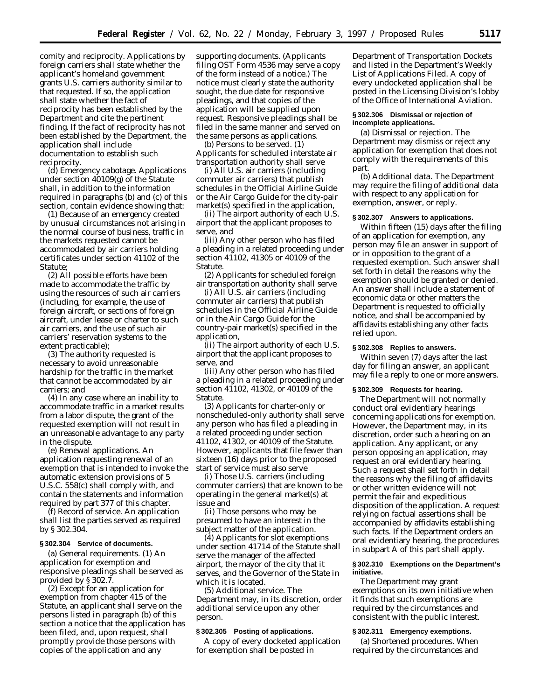comity and reciprocity. Applications by foreign carriers shall state whether the applicant's homeland government grants U.S. carriers authority similar to that requested. If so, the application shall state whether the fact of reciprocity has been established by the Department and cite the pertinent finding. If the fact of reciprocity has not been established by the Department, the application shall include documentation to establish such reciprocity.

(d) *Emergency cabotage.* Applications under section 40109(g) of the Statute shall, in addition to the information required in paragraphs (b) and (c) of this section, contain evidence showing that:

(1) Because of an emergency created by unusual circumstances not arising in the normal course of business, traffic in the markets requested cannot be accommodated by air carriers holding certificates under section 41102 of the Statute;

(2) All possible efforts have been made to accommodate the traffic by using the resources of such air carriers (including, for example, the use of foreign aircraft, or sections of foreign aircraft, under lease or charter to such air carriers, and the use of such air carriers' reservation systems to the extent practicable);

(3) The authority requested is necessary to avoid unreasonable hardship for the traffic in the market that cannot be accommodated by air carriers; and

(4) In any case where an inability to accommodate traffic in a market results from a labor dispute, the grant of the requested exemption will not result in an unreasonable advantage to any party in the dispute.

(e) *Renewal applications.* An application requesting renewal of an exemption that is intended to invoke the automatic extension provisions of 5 U.S.C. 558(c) shall comply with, and contain the statements and information required by part 377 of this chapter.

(f) *Record of service.* An application shall list the parties served as required by § 302.304.

## **§ 302.304 Service of documents.**

(a) *General requirements.* (1) An application for exemption and responsive pleadings shall be served as provided by § 302.7.

(2) Except for an application for exemption from chapter 415 of the Statute, an applicant shall serve on the persons listed in paragraph (b) of this section a notice that the application has been filed, and, upon request, shall promptly provide those persons with copies of the application and any

supporting documents. (Applicants filing OST Form 4536 may serve a copy of the form instead of a notice.) The notice must clearly state the authority sought, the due date for responsive pleadings, and that copies of the application will be supplied upon request. Responsive pleadings shall be filed in the same manner and served on the same persons as applications.

(b) *Persons to be served.* (1) Applicants for scheduled interstate air transportation authority shall serve

(i) All U.S. air carriers (including commuter air carriers) that publish schedules in the *Official Airline Guide* or the *Air Cargo Guide* for the city-pair market(s) specified in the application,

(ii) The airport authority of each U.S. airport that the applicant proposes to serve, and

(iii) Any other person who has filed a pleading in a related proceeding under section 41102, 41305 or 40109 of the Statute.

(2) Applicants for scheduled foreign air transportation authority shall serve

(i) All U.S. air carriers (including commuter air carriers) that publish schedules in the *Official Airline Guide* or in the *Air Cargo Guide* for the country-pair market(s) specified in the application,

(ii) The airport authority of each U.S. airport that the applicant proposes to serve, and

(iii) Any other person who has filed a pleading in a related proceeding under section 41102, 41302, or 40109 of the Statute.

(3) Applicants for charter-only or nonscheduled-only authority shall serve any person who has filed a pleading in a related proceeding under section 41102, 41302, or 40109 of the Statute. However, applicants that file fewer than sixteen (16) days prior to the proposed start of service must also serve

(i) Those U.S. carriers (including commuter carriers) that are known to be operating in the general market(s) at issue and

(ii) Those persons who may be presumed to have an interest in the subject matter of the application.

(4) Applicants for slot exemptions under section 41714 of the Statute shall serve the manager of the affected airport, the mayor of the city that it serves, and the Governor of the State in which it is located.

(5) *Additional service.* The Department may, in its discretion, order additional service upon any other person.

## **§ 302.305 Posting of applications.**

A copy of every docketed application for exemption shall be posted in

Department of Transportation Dockets and listed in the Department's Weekly List of Applications Filed. A copy of every undocketed application shall be posted in the Licensing Division's lobby of the Office of International Aviation.

## **§ 302.306 Dismissal or rejection of incomplete applications.**

(a) *Dismissal or rejection.* The Department may dismiss or reject any application for exemption that does not comply with the requirements of this part.

(b) *Additional data.* The Department may require the filing of additional data with respect to any application for exemption, answer, or reply.

## **§ 302.307 Answers to applications.**

Within fifteen (15) days after the filing of an application for exemption, any person may file an answer in support of or in opposition to the grant of a requested exemption. Such answer shall set forth in detail the reasons why the exemption should be granted or denied. An answer shall include a statement of economic data or other matters the Department is requested to officially notice, and shall be accompanied by affidavits establishing any other facts relied upon.

#### **§ 302.308 Replies to answers.**

Within seven (7) days after the last day for filing an answer, an applicant may file a reply to one or more answers.

#### **§ 302.309 Requests for hearing.**

The Department will not normally conduct oral evidentiary hearings concerning applications for exemption. However, the Department may, in its discretion, order such a hearing on an application. Any applicant, or any person opposing an application, may request an oral evidentiary hearing. Such a request shall set forth in detail the reasons why the filing of affidavits or other written evidence will not permit the fair and expeditious disposition of the application. A request relying on factual assertions shall be accompanied by affidavits establishing such facts. If the Department orders an oral evidentiary hearing, the procedures in subpart A of this part shall apply.

## **§ 302.310 Exemptions on the Department's initiative.**

The Department may grant exemptions on its own initiative when it finds that such exemptions are required by the circumstances and consistent with the public interest.

#### **§ 302.311 Emergency exemptions.**

(a) *Shortened procedures.* When required by the circumstances and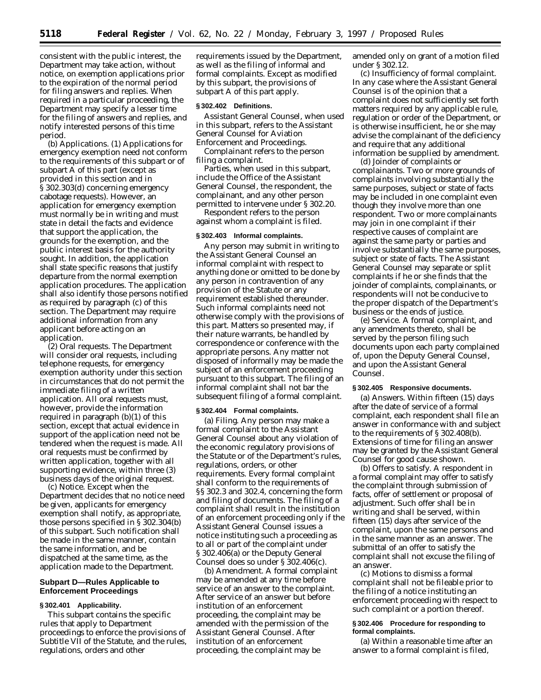consistent with the public interest, the Department may take action, without notice, on exemption applications prior to the expiration of the normal period for filing answers and replies. When required in a particular proceeding, the Department may specify a lesser time for the filing of answers and replies, and notify interested persons of this time period.

(b) *Applications.* (1) Applications for emergency exemption need not conform to the requirements of this subpart or of subpart A of this part (except as provided in this section and in § 302.303(d) concerning emergency cabotage requests). However, an application for emergency exemption must normally be in writing and must state in detail the facts and evidence that support the application, the grounds for the exemption, and the public interest basis for the authority sought. In addition, the application shall state specific reasons that justify departure from the normal exemption application procedures. The application shall also identify those persons notified as required by paragraph (c) of this section. The Department may require additional information from any applicant before acting on an application.

(2) *Oral requests.* The Department will consider oral requests, including telephone requests, for emergency exemption authority under this section in circumstances that do not permit the immediate filing of a written application. All oral requests must, however, provide the information required in paragraph (b)(1) of this section, except that actual evidence in support of the application need not be tendered when the request is made. All oral requests must be confirmed by written application, together with all supporting evidence, within three (3) business days of the original request.

(c) *Notice.* Except when the Department decides that no notice need be given, applicants for emergency exemption shall notify, as appropriate, those persons specified in § 302.304(b) of this subpart. Such notification shall be made in the same manner, contain the same information, and be dispatched at the same time, as the application made to the Department.

# **Subpart D—Rules Applicable to Enforcement Proceedings**

## **§ 302.401 Applicability.**

This subpart contains the specific rules that apply to Department proceedings to enforce the provisions of Subtitle VII of the Statute, and the rules, regulations, orders and other

requirements issued by the Department, as well as the filing of informal and formal complaints. Except as modified by this subpart, the provisions of subpart A of this part apply.

#### **§ 302.402 Definitions.**

*Assistant General Counsel,* when used in this subpart, refers to the Assistant General Counsel for Aviation Enforcement and Proceedings.

*Complainant* refers to the person filing a complaint.

*Parties,* when used in this subpart, include the Office of the Assistant General Counsel, the respondent, the complainant, and any other person permitted to intervene under § 302.20.

*Respondent* refers to the person against whom a complaint is filed.

#### **§ 302.403 Informal complaints.**

Any person may submit in writing to the Assistant General Counsel an informal complaint with respect to anything done or omitted to be done by any person in contravention of any provision of the Statute or any requirement established thereunder. Such informal complaints need not otherwise comply with the provisions of this part. Matters so presented may, if their nature warrants, be handled by correspondence or conference with the appropriate persons. Any matter not disposed of informally may be made the subject of an enforcement proceeding pursuant to this subpart. The filing of an informal complaint shall not bar the subsequent filing of a formal complaint.

#### **§ 302.404 Formal complaints.**

(a) *Filing.* Any person may make a formal complaint to the Assistant General Counsel about any violation of the economic regulatory provisions of the Statute or of the Department's rules, regulations, orders, or other requirements. Every formal complaint shall conform to the requirements of §§ 302.3 and 302.4, concerning the form and filing of documents. The filing of a complaint shall result in the institution of an enforcement proceeding only if the Assistant General Counsel issues a notice instituting such a proceeding as to all or part of the complaint under § 302.406(a) or the Deputy General Counsel does so under § 302.406(c).

(b) *Amendment.* A formal complaint may be amended at any time before service of an answer to the complaint. After service of an answer but before institution of an enforcement proceeding, the complaint may be amended with the permission of the Assistant General Counsel. After institution of an enforcement proceeding, the complaint may be

amended only on grant of a motion filed under § 302.12.

(c) *Insufficiency of formal complaint.* In any case where the Assistant General Counsel is of the opinion that a complaint does not sufficiently set forth matters required by any applicable rule, regulation or order of the Department, or is otherwise insufficient, he or she may advise the complainant of the deficiency and require that any additional information be supplied by amendment.

(d) *Joinder of complaints or complainants.* Two or more grounds of complaints involving substantially the same purposes, subject or state of facts may be included in one complaint even though they involve more than one respondent. Two or more complainants may join in one complaint if their respective causes of complaint are against the same party or parties and involve substantially the same purposes, subject or state of facts. The Assistant General Counsel may separate or split complaints if he or she finds that the joinder of complaints, complainants, or respondents will not be conducive to the proper dispatch of the Department's business or the ends of justice.

(e) *Service.* A formal complaint, and any amendments thereto, shall be served by the person filing such documents upon each party complained of, upon the Deputy General Counsel, and upon the Assistant General Counsel.

## **§ 302.405 Responsive documents.**

(a) *Answers.* Within fifteen (15) days after the date of service of a formal complaint, each respondent shall file an answer in conformance with and subject to the requirements of § 302.408(b). Extensions of time for filing an answer may be granted by the Assistant General Counsel for good cause shown.

(b) *Offers to satisfy.* A respondent in a formal complaint may offer to satisfy the complaint through submission of facts, offer of settlement or proposal of adjustment. Such offer shall be in writing and shall be served, within fifteen (15) days after service of the complaint, upon the same persons and in the same manner as an answer. The submittal of an offer to satisfy the complaint shall not excuse the filing of an answer.

(c) Motions to dismiss a formal complaint shall not be fileable prior to the filing of a notice instituting an enforcement proceeding with respect to such complaint or a portion thereof.

## **§ 302.406 Procedure for responding to formal complaints.**

(a) Within a reasonable time after an answer to a formal complaint is filed,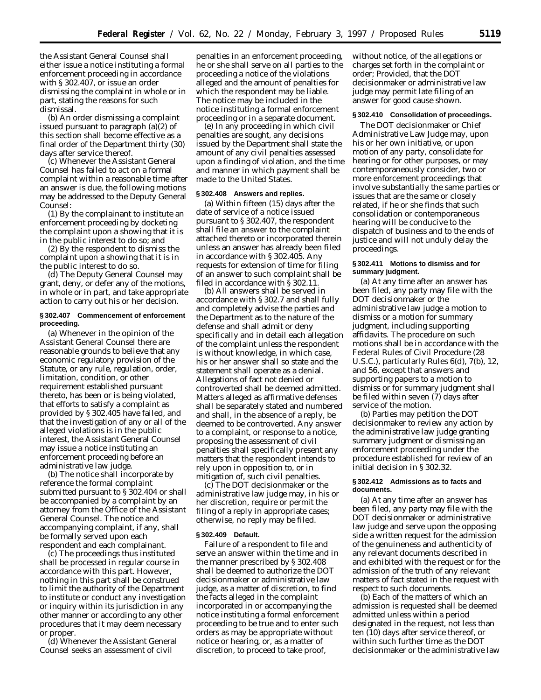the Assistant General Counsel shall either issue a notice instituting a formal enforcement proceeding in accordance with § 302.407, or issue an order dismissing the complaint in whole or in part, stating the reasons for such dismissal.

(b) An order dismissing a complaint issued pursuant to paragraph (a)(2) of this section shall become effective as a final order of the Department thirty (30) days after service thereof.

(c) Whenever the Assistant General Counsel has failed to act on a formal complaint within a reasonable time after an answer is due, the following motions may be addressed to the Deputy General Counsel:

(1) By the complainant to institute an enforcement proceeding by docketing the complaint upon a showing that it is in the public interest to do so; and

(2) By the respondent to dismiss the complaint upon a showing that it is in the public interest to do so.

(d) The Deputy General Counsel may grant, deny, or defer any of the motions, in whole or in part, and take appropriate action to carry out his or her decision.

## **§ 302.407 Commencement of enforcement proceeding.**

(a) Whenever in the opinion of the Assistant General Counsel there are reasonable grounds to believe that any economic regulatory provision of the Statute, or any rule, regulation, order, limitation, condition, or other requirement established pursuant thereto, has been or is being violated, that efforts to satisfy a complaint as provided by § 302.405 have failed, and that the investigation of any or all of the alleged violations is in the public interest, the Assistant General Counsel may issue a notice instituting an enforcement proceeding before an administrative law judge.

(b) The notice shall incorporate by reference the formal complaint submitted pursuant to § 302.404 or shall be accompanied by a complaint by an attorney from the Office of the Assistant General Counsel. The notice and accompanying complaint, if any, shall be formally served upon each respondent and each complainant.

(c) The proceedings thus instituted shall be processed in regular course in accordance with this part. However, nothing in this part shall be construed to limit the authority of the Department to institute or conduct any investigation or inquiry within its jurisdiction in any other manner or according to any other procedures that it may deem necessary or proper.

(d) Whenever the Assistant General Counsel seeks an assessment of civil

penalties in an enforcement proceeding, he or she shall serve on all parties to the proceeding a notice of the violations alleged and the amount of penalties for which the respondent may be liable. The notice may be included in the notice instituting a formal enforcement proceeding or in a separate document.

(e) In any proceeding in which civil penalties are sought, any decisions issued by the Department shall state the amount of any civil penalties assessed upon a finding of violation, and the time and manner in which payment shall be made to the United States.

# **§ 302.408 Answers and replies.**

(a) Within fifteen (15) days after the date of service of a notice issued pursuant to § 302.407, the respondent shall file an answer to the complaint attached thereto or incorporated therein unless an answer has already been filed in accordance with § 302.405. Any requests for extension of time for filing of an answer to such complaint shall be filed in accordance with § 302.11.

(b) All answers shall be served in accordance with § 302.7 and shall fully and completely advise the parties and the Department as to the nature of the defense and shall admit or deny specifically and in detail each allegation of the complaint unless the respondent is without knowledge, in which case, his or her answer shall so state and the statement shall operate as a denial. Allegations of fact not denied or controverted shall be deemed admitted. Matters alleged as affirmative defenses shall be separately stated and numbered and shall, in the absence of a reply, be deemed to be controverted. Any answer to a complaint, or response to a notice, proposing the assessment of civil penalties shall specifically present any matters that the respondent intends to rely upon in opposition to, or in mitigation of, such civil penalties.

(c) The DOT decisionmaker or the administrative law judge may, in his or her discretion, require or permit the filing of a reply in appropriate cases; otherwise, no reply may be filed.

#### **§ 302.409 Default.**

Failure of a respondent to file and serve an answer within the time and in the manner prescribed by § 302.408 shall be deemed to authorize the DOT decisionmaker or administrative law judge, as a matter of discretion, to find the facts alleged in the complaint incorporated in or accompanying the notice instituting a formal enforcement proceeding to be true and to enter such orders as may be appropriate without notice or hearing, or, as a matter of discretion, to proceed to take proof,

without notice, of the allegations or charges set forth in the complaint or order; *Provided,* that the DOT decisionmaker or administrative law judge may permit late filing of an answer for good cause shown.

# **§ 302.410 Consolidation of proceedings.**

The DOT decisionmaker or Chief Administrative Law Judge may, upon his or her own initiative, or upon motion of any party, consolidate for hearing or for other purposes, or may contemporaneously consider, two or more enforcement proceedings that involve substantially the same parties or issues that are the same or closely related, if he or she finds that such consolidation or contemporaneous hearing will be conducive to the dispatch of business and to the ends of justice and will not unduly delay the proceedings.

#### **§ 302.411 Motions to dismiss and for summary judgment.**

(a) At any time after an answer has been filed, any party may file with the DOT decisionmaker or the administrative law judge a motion to dismiss or a motion for summary judgment, including supporting affidavits. The procedure on such motions shall be in accordance with the Federal Rules of Civil Procedure (28 U.S.C.), particularly Rules 6(d), 7(b), 12, and 56, except that answers and supporting papers to a motion to dismiss or for summary judgment shall be filed within seven (7) days after service of the motion.

(b) Parties may petition the DOT decisionmaker to review any action by the administrative law judge granting summary judgment or dismissing an enforcement proceeding under the procedure established for review of an initial decision in § 302.32.

#### **§ 302.412 Admissions as to facts and documents.**

(a) At any time after an answer has been filed, any party may file with the DOT decisionmaker or administrative law judge and serve upon the opposing side a written request for the admission of the genuineness and authenticity of any relevant documents described in and exhibited with the request or for the admission of the truth of any relevant matters of fact stated in the request with respect to such documents.

(b) Each of the matters of which an admission is requested shall be deemed admitted unless within a period designated in the request, not less than ten (10) days after service thereof, or within such further time as the DOT decisionmaker or the administrative law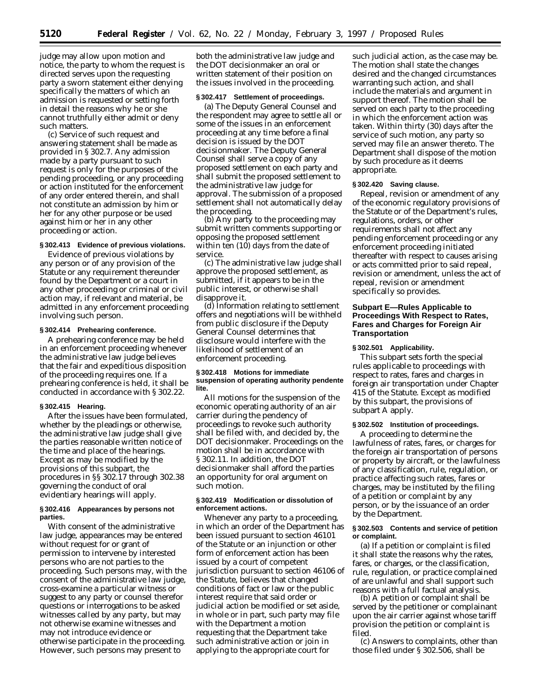judge may allow upon motion and notice, the party to whom the request is directed serves upon the requesting party a sworn statement either denying specifically the matters of which an admission is requested or setting forth in detail the reasons why he or she cannot truthfully either admit or deny such matters.

(c) Service of such request and answering statement shall be made as provided in § 302.7. Any admission made by a party pursuant to such request is only for the purposes of the pending proceeding, or any proceeding or action instituted for the enforcement of any order entered therein, and shall not constitute an admission by him or her for any other purpose or be used against him or her in any other proceeding or action.

# **§ 302.413 Evidence of previous violations.**

Evidence of previous violations by any person or of any provision of the Statute or any requirement thereunder found by the Department or a court in any other proceeding or criminal or civil action may, if relevant and material, be admitted in any enforcement proceeding involving such person.

#### **§ 302.414 Prehearing conference.**

A prehearing conference may be held in an enforcement proceeding whenever the administrative law judge believes that the fair and expeditious disposition of the proceeding requires one. If a prehearing conference is held, it shall be conducted in accordance with § 302.22.

## **§ 302.415 Hearing.**

After the issues have been formulated, whether by the pleadings or otherwise, the administrative law judge shall give the parties reasonable written notice of the time and place of the hearings. Except as may be modified by the provisions of this subpart, the procedures in §§ 302.17 through 302.38 governing the conduct of oral evidentiary hearings will apply.

#### **§ 302.416 Appearances by persons not parties.**

With consent of the administrative law judge, appearances may be entered without request for or grant of permission to intervene by interested persons who are not parties to the proceeding. Such persons may, with the consent of the administrative law judge, cross-examine a particular witness or suggest to any party or counsel therefor questions or interrogations to be asked witnesses called by any party, but may not otherwise examine witnesses and may not introduce evidence or otherwise participate in the proceeding. However, such persons may present to

both the administrative law judge and the DOT decisionmaker an oral or written statement of their position on the issues involved in the proceeding.

#### **§ 302.417 Settlement of proceedings.**

(a) The Deputy General Counsel and the respondent may agree to settle all or some of the issues in an enforcement proceeding at any time before a final decision is issued by the DOT decisionmaker. The Deputy General Counsel shall serve a copy of any proposed settlement on each party and shall submit the proposed settlement to the administrative law judge for approval. The submission of a proposed settlement shall not automatically delay the proceeding.

(b) Any party to the proceeding may submit written comments supporting or opposing the proposed settlement within ten (10) days from the date of service.

(c) The administrative law judge shall approve the proposed settlement, as submitted, if it appears to be in the public interest, or otherwise shall disapprove it.

(d) Information relating to settlement offers and negotiations will be withheld from public disclosure if the Deputy General Counsel determines that disclosure would interfere with the likelihood of settlement of an enforcement proceeding.

### **§ 302.418 Motions for immediate suspension of operating authority pendente lite.**

All motions for the suspension of the economic operating authority of an air carrier during the pendency of proceedings to revoke such authority shall be filed with, and decided by, the DOT decisionmaker. Proceedings on the motion shall be in accordance with § 302.11. In addition, the DOT decisionmaker shall afford the parties an opportunity for oral argument on such motion.

## **§ 302.419 Modification or dissolution of enforcement actions.**

Whenever any party to a proceeding, in which an order of the Department has been issued pursuant to section 46101 of the Statute or an injunction or other form of enforcement action has been issued by a court of competent jurisdiction pursuant to section 46106 of the Statute, believes that changed conditions of fact or law or the public interest require that said order or judicial action be modified or set aside, in whole or in part, such party may file with the Department a motion requesting that the Department take such administrative action or join in applying to the appropriate court for

such judicial action, as the case may be. The motion shall state the changes desired and the changed circumstances warranting such action, and shall include the materials and argument in support thereof. The motion shall be served on each party to the proceeding in which the enforcement action was taken. Within thirty (30) days after the service of such motion, any party so served may file an answer thereto. The Department shall dispose of the motion by such procedure as it deems appropriate.

### **§ 302.420 Saving clause.**

Repeal, revision or amendment of any of the economic regulatory provisions of the Statute or of the Department's rules, regulations, orders, or other requirements shall not affect any pending enforcement proceeding or any enforcement proceeding initiated thereafter with respect to causes arising or acts committed prior to said repeal, revision or amendment, unless the act of repeal, revision or amendment specifically so provides.

# **Subpart E—Rules Applicable to Proceedings With Respect to Rates, Fares and Charges for Foreign Air Transportation**

#### **§ 302.501 Applicability.**

This subpart sets forth the special rules applicable to proceedings with respect to rates, fares and charges in foreign air transportation under Chapter 415 of the Statute. Except as modified by this subpart, the provisions of subpart A apply.

# **§ 302.502 Institution of proceedings.**

A proceeding to determine the lawfulness of rates, fares, or charges for the foreign air transportation of persons or property by aircraft, or the lawfulness of any classification, rule, regulation, or practice affecting such rates, fares or charges, may be instituted by the filing of a petition or complaint by any person, or by the issuance of an order by the Department.

#### **§ 302.503 Contents and service of petition or complaint.**

(a) If a petition or complaint is filed it shall state the reasons why the rates, fares, or charges, or the classification, rule, regulation, or practice complained of are unlawful and shall support such reasons with a full factual analysis.

(b) A petition or complaint shall be served by the petitioner or complainant upon the air carrier against whose tariff provision the petition or complaint is filed.

(c) Answers to complaints, other than those filed under § 302.506, shall be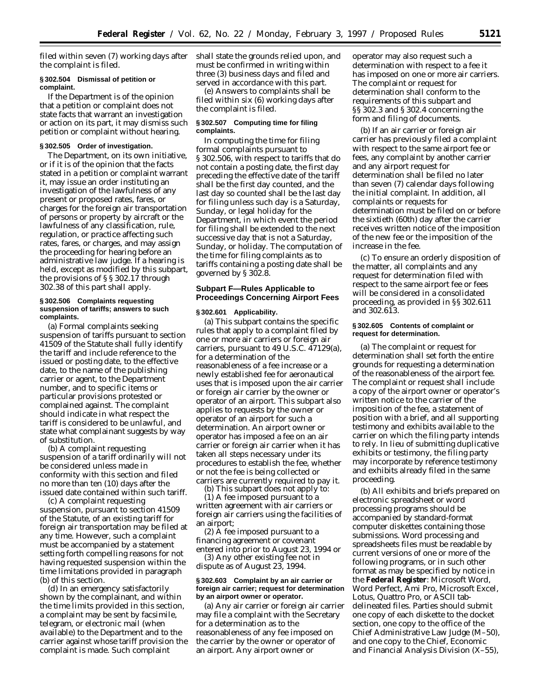filed within seven (7) working days after the complaint is filed.

#### **§ 302.504 Dismissal of petition or complaint.**

If the Department is of the opinion that a petition or complaint does not state facts that warrant an investigation or action on its part, it may dismiss such petition or complaint without hearing.

#### **§ 302.505 Order of investigation.**

The Department, on its own initiative, or if it is of the opinion that the facts stated in a petition or complaint warrant it, may issue an order instituting an investigation of the lawfulness of any present or proposed rates, fares, or charges for the foreign air transportation of persons or property by aircraft or the lawfulness of any classification, rule, regulation, or practice affecting such rates, fares, or charges, and may assign the proceeding for hearing before an administrative law judge. If a hearing is held, except as modified by this subpart, the provisions of § § 302.17 through 302.38 of this part shall apply.

#### **§ 302.506 Complaints requesting suspension of tariffs; answers to such complaints.**

(a) Formal complaints seeking suspension of tariffs pursuant to section 41509 of the Statute shall fully identify the tariff and include reference to the issued or posting date, to the effective date, to the name of the publishing carrier or agent, to the Department number, and to specific items or particular provisions protested or complained against. The complaint should indicate in what respect the tariff is considered to be unlawful, and state what complainant suggests by way of substitution.

(b) A complaint requesting suspension of a tariff ordinarily will not be considered unless made in conformity with this section and filed no more than ten (10) days after the issued date contained within such tariff.

(c) A complaint requesting suspension, pursuant to section 41509 of the Statute, of an existing tariff for foreign air transportation may be filed at any time. However, such a complaint must be accompanied by a statement setting forth compelling reasons for not having requested suspension within the time limitations provided in paragraph (b) of this section.

(d) In an emergency satisfactorily shown by the complainant, and within the time limits provided in this section, a complaint may be sent by facsimile, telegram, or electronic mail (when available) to the Department and to the carrier against whose tariff provision the complaint is made. Such complaint

shall state the grounds relied upon, and must be confirmed in writing within three (3) business days and filed and served in accordance with this part.

(e) Answers to complaints shall be filed within six (6) working days after the complaint is filed.

#### **§ 302.507 Computing time for filing complaints.**

In computing the time for filing formal complaints pursuant to § 302.506, with respect to tariffs that do not contain a posting date, the first day preceding the effective date of the tariff shall be the first day counted, and the last day so counted shall be the last day for filing unless such day is a Saturday, Sunday, or legal holiday for the Department, in which event the period for filing shall be extended to the next successive day that is not a Saturday, Sunday, or holiday. The computation of the time for filing complaints as to tariffs containing a posting date shall be governed by § 302.8.

# **Subpart F—Rules Applicable to Proceedings Concerning Airport Fees**

## **§ 302.601 Applicability.**

(a) This subpart contains the specific rules that apply to a complaint filed by one or more air carriers or foreign air carriers, pursuant to 49 U.S.C. 47129(a), for a determination of the reasonableness of a fee increase or a newly established fee for aeronautical uses that is imposed upon the air carrier or foreign air carrier by the owner or operator of an airport. This subpart also applies to requests by the owner or operator of an airport for such a determination. An airport owner or operator has imposed a fee on an air carrier or foreign air carrier when it has taken all steps necessary under its procedures to establish the fee, whether or not the fee is being collected or carriers are currently required to pay it.

(b) This subpart does not apply to: (1) A fee imposed pursuant to a written agreement with air carriers or foreign air carriers using the facilities of an airport;

(2) A fee imposed pursuant to a financing agreement or covenant entered into prior to August 23, 1994 or

(3) Any other existing fee not in dispute as of August 23, 1994.

#### **§ 302.603 Complaint by an air carrier or foreign air carrier; request for determination by an airport owner or operator.**

(a) Any air carrier or foreign air carrier may file a complaint with the Secretary for a determination as to the reasonableness of any fee imposed on the carrier by the owner or operator of an airport. Any airport owner or

operator may also request such a determination with respect to a fee it has imposed on one or more air carriers. The complaint or request for determination shall conform to the requirements of this subpart and §§ 302.3 and § 302.4 concerning the form and filing of documents.

(b) If an air carrier or foreign air carrier has previously filed a complaint with respect to the same airport fee or fees, any complaint by another carrier and any airport request for determination shall be filed no later than seven (7) calendar days following the initial complaint. In addition, all complaints or requests for determination must be filed on or before the sixtieth (60th) day after the carrier receives written notice of the imposition of the new fee or the imposition of the increase in the fee.

(c) To ensure an orderly disposition of the matter, all complaints and any request for determination filed with respect to the same airport fee or fees will be considered in a consolidated proceeding, as provided in §§ 302.611 and 302.613.

#### **§ 302.605 Contents of complaint or request for determination.**

(a) The complaint or request for determination shall set forth the entire grounds for requesting a determination of the reasonableness of the airport fee. The complaint or request shall include a copy of the airport owner or operator's written notice to the carrier of the imposition of the fee, a statement of position with a brief, and all supporting testimony and exhibits available to the carrier on which the filing party intends to rely. In lieu of submitting duplicative exhibits or testimony, the filing party may incorporate by reference testimony and exhibits already filed in the same proceeding.

(b) All exhibits and briefs prepared on electronic spreadsheet or word processing programs should be accompanied by standard-format computer diskettes containing those submissions. Word processing and spreadsheets files must be readable by current versions of one or more of the following programs, or in such other format as may be specified by notice in the **Federal Register**: Microsoft Word, Word Perfect, Ami Pro, Microsoft Excel, Lotus, Quattro Pro, or ASCII tabdelineated files. Parties should submit one copy of each diskette to the docket section, one copy to the office of the Chief Administrative Law Judge (M–50), and one copy to the Chief, Economic and Financial Analysis Division (X–55),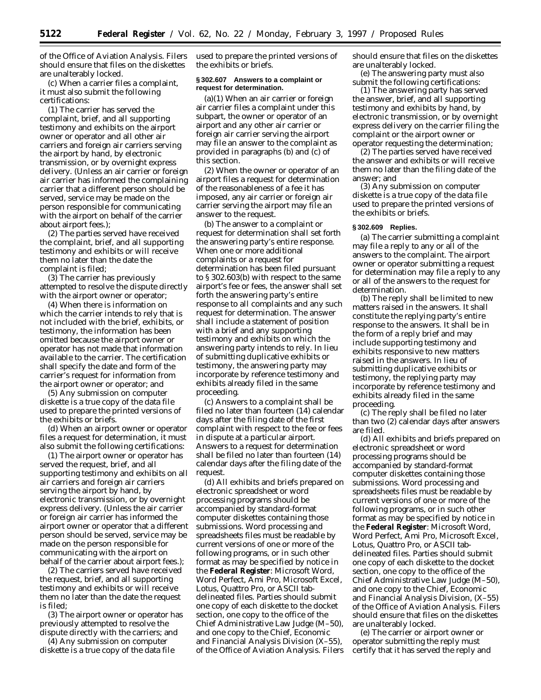of the Office of Aviation Analysis. Filers should ensure that files on the diskettes are unalterably locked.

(c) When a carrier files a complaint, it must also submit the following certifications:

(1) The carrier has served the complaint, brief, and all supporting testimony and exhibits on the airport owner or operator and all other air carriers and foreign air carriers serving the airport by hand, by electronic transmission, or by overnight express delivery. (Unless an air carrier or foreign air carrier has informed the complaining carrier that a different person should be served, service may be made on the person responsible for communicating with the airport on behalf of the carrier about airport fees.);

(2) The parties served have received the complaint, brief, and all supporting testimony and exhibits or will receive them no later than the date the complaint is filed;

(3) The carrier has previously attempted to resolve the dispute directly with the airport owner or operator;

(4) When there is information on which the carrier intends to rely that is not included with the brief, exhibits, or testimony, the information has been omitted because the airport owner or operator has not made that information available to the carrier. The certification shall specify the date and form of the carrier's request for information from the airport owner or operator; and

(5) Any submission on computer diskette is a true copy of the data file used to prepare the printed versions of the exhibits or briefs.

(d) When an airport owner or operator files a request for determination, it must also submit the following certifications:

(1) The airport owner or operator has served the request, brief, and all supporting testimony and exhibits on all air carriers and foreign air carriers serving the airport by hand, by electronic transmission, or by overnight express delivery. (Unless the air carrier or foreign air carrier has informed the airport owner or operator that a different person should be served, service may be made on the person responsible for communicating with the airport on behalf of the carrier about airport fees.);

(2) The carriers served have received the request, brief, and all supporting testimony and exhibits or will receive them no later than the date the request is filed;

(3) The airport owner or operator has previously attempted to resolve the dispute directly with the carriers; and

(4) Any submission on computer diskette is a true copy of the data file used to prepare the printed versions of the exhibits or briefs.

## **§ 302.607 Answers to a complaint or request for determination.**

(a)(1) When an air carrier or foreign air carrier files a complaint under this subpart, the owner or operator of an airport and any other air carrier or foreign air carrier serving the airport may file an answer to the complaint as provided in paragraphs (b) and (c) of this section.

(2) When the owner or operator of an airport files a request for determination of the reasonableness of a fee it has imposed, any air carrier or foreign air carrier serving the airport may file an answer to the request.

(b) The answer to a complaint or request for determination shall set forth the answering party's entire response. When one or more additional complaints or a request for determination has been filed pursuant to § 302.603(b) with respect to the same airport's fee or fees, the answer shall set forth the answering party's entire response to all complaints and any such request for determination. The answer shall include a statement of position with a brief and any supporting testimony and exhibits on which the answering party intends to rely. In lieu of submitting duplicative exhibits or testimony, the answering party may incorporate by reference testimony and exhibits already filed in the same proceeding.

(c) Answers to a complaint shall be filed no later than fourteen (14) calendar days after the filing date of the first complaint with respect to the fee or fees in dispute at a particular airport. Answers to a request for determination shall be filed no later than fourteen (14) calendar days after the filing date of the request.

(d) All exhibits and briefs prepared on electronic spreadsheet or word processing programs should be accompanied by standard-format computer diskettes containing those submissions. Word processing and spreadsheets files must be readable by current versions of one or more of the following programs, or in such other format as may be specified by notice in the **Federal Register**: Microsoft Word, Word Perfect, Ami Pro, Microsoft Excel, Lotus, Quattro Pro, or ASCII tabdelineated files. Parties should submit one copy of each diskette to the docket section, one copy to the office of the Chief Administrative Law Judge (M–50), and one copy to the Chief, Economic and Financial Analysis Division (X–55), of the Office of Aviation Analysis. Filers

should ensure that files on the diskettes are unalterably locked.

(e) The answering party must also submit the following certifications:

(1) The answering party has served the answer, brief, and all supporting testimony and exhibits by hand, by electronic transmission, or by overnight express delivery on the carrier filing the complaint or the airport owner or operator requesting the determination;

(2) The parties served have received the answer and exhibits or will receive them no later than the filing date of the answer; and

(3) Any submission on computer diskette is a true copy of the data file used to prepare the printed versions of the exhibits or briefs.

#### **§ 302.609 Replies.**

(a) The carrier submitting a complaint may file a reply to any or all of the answers to the complaint. The airport owner or operator submitting a request for determination may file a reply to any or all of the answers to the request for determination.

(b) The reply shall be limited to new matters raised in the answers. It shall constitute the replying party's entire response to the answers. It shall be in the form of a reply brief and may include supporting testimony and exhibits responsive to new matters raised in the answers. In lieu of submitting duplicative exhibits or testimony, the replying party may incorporate by reference testimony and exhibits already filed in the same proceeding.

(c) The reply shall be filed no later than two (2) calendar days after answers are filed.

(d) All exhibits and briefs prepared on electronic spreadsheet or word processing programs should be accompanied by standard-format computer diskettes containing those submissions. Word processing and spreadsheets files must be readable by current versions of one or more of the following programs, or in such other format as may be specified by notice in the **Federal Register**: Microsoft Word, Word Perfect, Ami Pro, Microsoft Excel, Lotus, Quattro Pro, or ASCII tabdelineated files. Parties should submit one copy of each diskette to the docket section, one copy to the office of the Chief Administrative Law Judge (M–50), and one copy to the Chief, Economic and Financial Analysis Division, (X–55) of the Office of Aviation Analysis. Filers should ensure that files on the diskettes are unalterably locked.

(e) The carrier or airport owner or operator submitting the reply must certify that it has served the reply and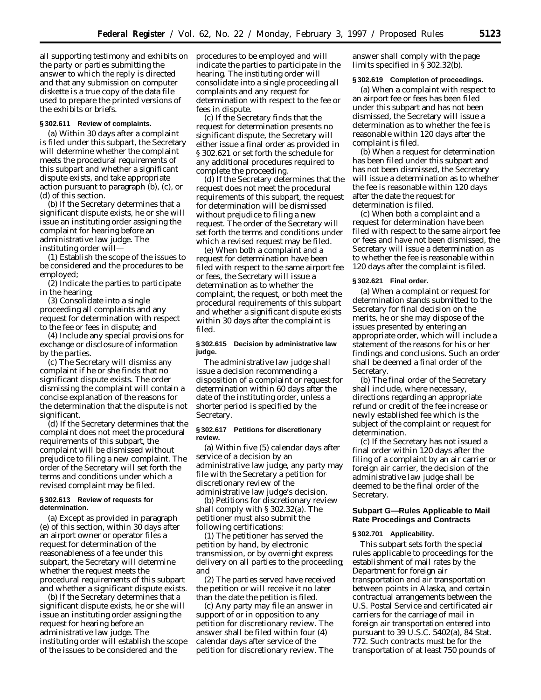all supporting testimony and exhibits on the party or parties submitting the answer to which the reply is directed and that any submission on computer diskette is a true copy of the data file used to prepare the printed versions of the exhibits or briefs.

## **§ 302.611 Review of complaints.**

(a) Within 30 days after a complaint is filed under this subpart, the Secretary will determine whether the complaint meets the procedural requirements of this subpart and whether a significant dispute exists, and take appropriate action pursuant to paragraph (b), (c), or (d) of this section.

(b) If the Secretary determines that a significant dispute exists, he or she will issue an instituting order assigning the complaint for hearing before an administrative law judge. The instituting order will—

(1) Establish the scope of the issues to be considered and the procedures to be employed;

(2) Indicate the parties to participate in the hearing;

(3) Consolidate into a single proceeding all complaints and any request for determination with respect to the fee or fees in dispute; and

(4) Include any special provisions for exchange or disclosure of information by the parties.

(c) The Secretary will dismiss any complaint if he or she finds that no significant dispute exists. The order dismissing the complaint will contain a concise explanation of the reasons for the determination that the dispute is not significant.

(d) If the Secretary determines that the complaint does not meet the procedural requirements of this subpart, the complaint will be dismissed without prejudice to filing a new complaint. The order of the Secretary will set forth the terms and conditions under which a revised complaint may be filed.

#### **§ 302.613 Review of requests for determination.**

(a) Except as provided in paragraph (e) of this section, within 30 days after an airport owner or operator files a request for determination of the reasonableness of a fee under this subpart, the Secretary will determine whether the request meets the procedural requirements of this subpart and whether a significant dispute exists.

(b) If the Secretary determines that a significant dispute exists, he or she will issue an instituting order assigning the request for hearing before an administrative law judge. The instituting order will establish the scope of the issues to be considered and the

procedures to be employed and will indicate the parties to participate in the hearing. The instituting order will consolidate into a single proceeding all complaints and any request for determination with respect to the fee or fees in dispute.

(c) If the Secretary finds that the request for determination presents no significant dispute, the Secretary will either issue a final order as provided in § 302.621 or set forth the schedule for any additional procedures required to complete the proceeding.

(d) If the Secretary determines that the request does not meet the procedural requirements of this subpart, the request for determination will be dismissed without prejudice to filing a new request. The order of the Secretary will set forth the terms and conditions under which a revised request may be filed.

(e) When both a complaint and a request for determination have been filed with respect to the same airport fee or fees, the Secretary will issue a determination as to whether the complaint, the request, or both meet the procedural requirements of this subpart and whether a significant dispute exists within 30 days after the complaint is filed.

## **§ 302.615 Decision by administrative law judge.**

The administrative law judge shall issue a decision recommending a disposition of a complaint or request for determination within 60 days after the date of the instituting order, unless a shorter period is specified by the Secretary.

## **§ 302.617 Petitions for discretionary review.**

(a) Within five (5) calendar days after service of a decision by an administrative law judge, any party may file with the Secretary a petition for discretionary review of the administrative law judge's decision.

(b) Petitions for discretionary review shall comply with § 302.32(a). The petitioner must also submit the following certifications:

(1) The petitioner has served the petition by hand, by electronic transmission, or by overnight express delivery on all parties to the proceeding; and

(2) The parties served have received the petition or will receive it no later than the date the petition is filed.

(c) Any party may file an answer in support of or in opposition to any petition for discretionary review. The answer shall be filed within four (4) calendar days after service of the petition for discretionary review. The answer shall comply with the page limits specified in § 302.32(b).

## **§ 302.619 Completion of proceedings.**

(a) When a complaint with respect to an airport fee or fees has been filed under this subpart and has not been dismissed, the Secretary will issue a determination as to whether the fee is reasonable within 120 days after the complaint is filed.

(b) When a request for determination has been filed under this subpart and has not been dismissed, the Secretary will issue a determination as to whether the fee is reasonable within 120 days after the date the request for determination is filed.

(c) When both a complaint and a request for determination have been filed with respect to the same airport fee or fees and have not been dismissed, the Secretary will issue a determination as to whether the fee is reasonable within 120 days after the complaint is filed.

#### **§ 302.621 Final order.**

(a) When a complaint or request for determination stands submitted to the Secretary for final decision on the merits, he or she may dispose of the issues presented by entering an appropriate order, which will include a statement of the reasons for his or her findings and conclusions. Such an order shall be deemed a final order of the **Secretary**.

(b) The final order of the Secretary shall include, where necessary, directions regarding an appropriate refund or credit of the fee increase or newly established fee which is the subject of the complaint or request for determination.

(c) If the Secretary has not issued a final order within 120 days after the filing of a complaint by an air carrier or foreign air carrier, the decision of the administrative law judge shall be deemed to be the final order of the Secretary.

## **Subpart G—Rules Applicable to Mail Rate Procedings and Contracts**

## **§ 302.701 Applicability.**

This subpart sets forth the special rules applicable to proceedings for the establishment of mail rates by the Department for foreign air transportation and air transportation between points in Alaska, and certain contractual arrangements between the U.S. Postal Service and certificated air carriers for the carriage of mail in foreign air transportation entered into pursuant to 39 U.S.C. 5402(a), 84 Stat. 772. Such contracts must be for the transportation of at least 750 pounds of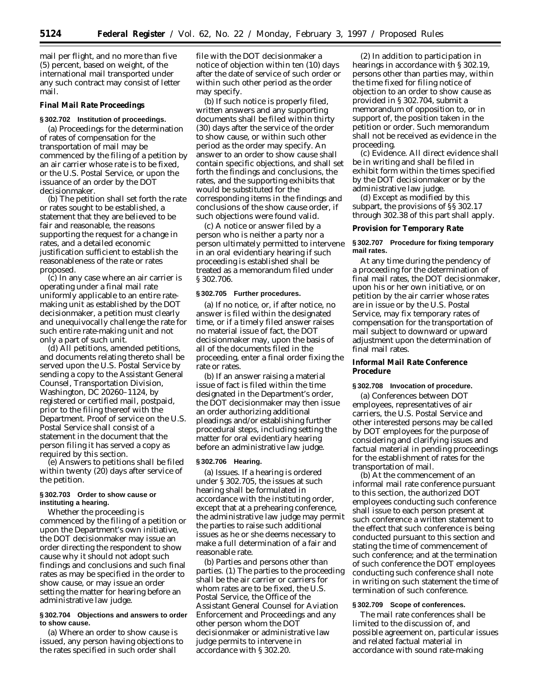mail per flight, and no more than five (5) percent, based on weight, of the international mail transported under any such contract may consist of letter mail.

#### **Final Mail Rate Proceedings**

# **§ 302.702 Institution of proceedings.**

(a) Proceedings for the determination of rates of compensation for the transportation of mail may be commenced by the filing of a petition by an air carrier whose rate is to be fixed, or the U.S. Postal Service, or upon the issuance of an order by the DOT decisionmaker.

(b) The petition shall set forth the rate or rates sought to be established, a statement that they are believed to be fair and reasonable, the reasons supporting the request for a change in rates, and a detailed economic justification sufficient to establish the reasonableness of the rate or rates proposed.

(c) In any case where an air carrier is operating under a final mail rate uniformly applicable to an entire ratemaking unit as established by the DOT decisionmaker, a petition must clearly and unequivocally challenge the rate for such entire rate-making unit and not only a part of such unit.

(d) All petitions, amended petitions, and documents relating thereto shall be served upon the U.S. Postal Service by sending a copy to the Assistant General Counsel, Transportation Division, Washington, DC 20260–1124, by registered or certified mail, postpaid, prior to the filing thereof with the Department. Proof of service on the U.S. Postal Service shall consist of a statement in the document that the person filing it has served a copy as required by this section.

(e) Answers to petitions shall be filed within twenty (20) days after service of the petition.

### **§ 302.703 Order to show cause or instituting a hearing.**

Whether the proceeding is commenced by the filing of a petition or upon the Department's own initiative, the DOT decisionmaker may issue an order directing the respondent to show cause why it should not adopt such findings and conclusions and such final rates as may be specified in the order to show cause, or may issue an order setting the matter for hearing before an administrative law judge.

#### **§ 302.704 Objections and answers to order to show cause.**

(a) Where an order to show cause is issued, any person having objections to the rates specified in such order shall

file with the DOT decisionmaker a notice of objection within ten (10) days after the date of service of such order or within such other period as the order may specify.

(b) If such notice is properly filed, written answers and any supporting documents shall be filed within thirty (30) days after the service of the order to show cause, or within such other period as the order may specify. An answer to an order to show cause shall contain specific objections, and shall set forth the findings and conclusions, the rates, and the supporting exhibits that would be substituted for the corresponding items in the findings and conclusions of the show cause order, if such objections were found valid.

(c) A notice or answer filed by a person who is neither a party nor a person ultimately permitted to intervene in an oral evidentiary hearing if such proceeding is established shall be treated as a memorandum filed under § 302.706.

#### **§ 302.705 Further procedures.**

(a) If no notice, or, if after notice, no answer is filed within the designated time, or if a timely filed answer raises no material issue of fact, the DOT decisionmaker may, upon the basis of all of the documents filed in the proceeding, enter a final order fixing the rate or rates.

(b) If an answer raising a material issue of fact is filed within the time designated in the Department's order, the DOT decisionmaker may then issue an order authorizing additional pleadings and/or establishing further procedural steps, including setting the matter for oral evidentiary hearing before an administrative law judge.

#### **§ 302.706 Hearing.**

(a) *Issues.* If a hearing is ordered under § 302.705, the issues at such hearing shall be formulated in accordance with the instituting order, except that at a prehearing conference, the administrative law judge may permit the parties to raise such additional issues as he or she deems necessary to make a full determination of a fair and reasonable rate.

(b) *Parties and persons other than parties.* (1) The parties to the proceeding shall be the air carrier or carriers for whom rates are to be fixed, the U.S. Postal Service, the Office of the Assistant General Counsel for Aviation Enforcement and Proceedings and any other person whom the DOT decisionmaker or administrative law judge permits to intervene in accordance with § 302.20.

(2) In addition to participation in hearings in accordance with § 302.19, persons other than parties may, within the time fixed for filing notice of objection to an order to show cause as provided in § 302.704, submit a memorandum of opposition to, or in support of, the position taken in the petition or order. Such memorandum shall not be received as evidence in the proceeding.

(c) *Evidence.* All direct evidence shall be in writing and shall be filed in exhibit form within the times specified by the DOT decisionmaker or by the administrative law judge.

(d) Except as modified by this subpart, the provisions of §§ 302.17 through 302.38 of this part shall apply.

**Provision for Temporary Rate**

## **§ 302.707 Procedure for fixing temporary mail rates.**

At any time during the pendency of a proceeding for the determination of final mail rates, the DOT decisionmaker, upon his or her own initiative, or on petition by the air carrier whose rates are in issue or by the U.S. Postal Service, may fix temporary rates of compensation for the transportation of mail subject to downward or upward adjustment upon the determination of final mail rates.

**Informal Mail Rate Conference Procedure**

#### **§ 302.708 Invocation of procedure.**

(a) Conferences between DOT employees, representatives of air carriers, the U.S. Postal Service and other interested persons may be called by DOT employees for the purpose of considering and clarifying issues and factual material in pending proceedings for the establishment of rates for the transportation of mail.

(b) At the commencement of an informal mail rate conference pursuant to this section, the authorized DOT employees conducting such conference shall issue to each person present at such conference a written statement to the effect that such conference is being conducted pursuant to this section and stating the time of commencement of such conference; and at the termination of such conference the DOT employees conducting such conference shall note in writing on such statement the time of termination of such conference.

### **§ 302.709 Scope of conferences.**

The mail rate conferences shall be limited to the discussion of, and possible agreement on, particular issues and related factual material in accordance with sound rate-making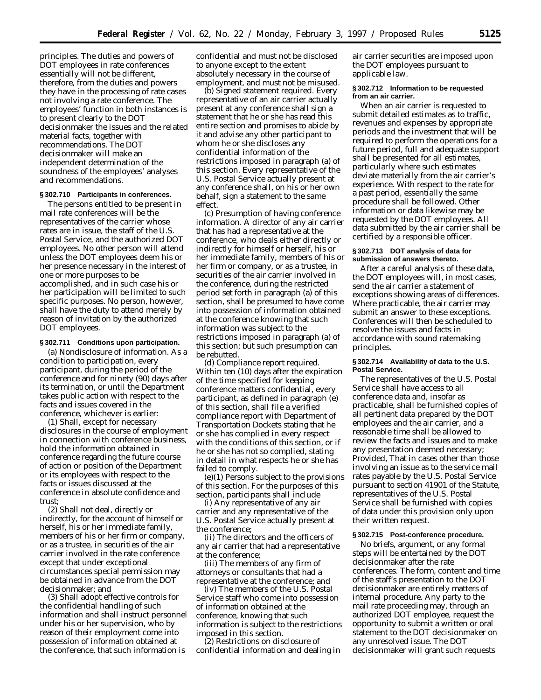principles. The duties and powers of DOT employees in rate conferences essentially will not be different, therefore, from the duties and powers they have in the processing of rate cases not involving a rate conference. The employees' function in both instances is to present clearly to the DOT decisionmaker the issues and the related material facts, together with recommendations. The DOT decisionmaker will make an independent determination of the soundness of the employees' analyses and recommendations.

# **§ 302.710 Participants in conferences.**

The persons entitled to be present in mail rate conferences will be the representatives of the carrier whose rates are in issue, the staff of the U.S. Postal Service, and the authorized DOT employees. No other person will attend unless the DOT employees deem his or her presence necessary in the interest of one or more purposes to be accomplished, and in such case his or her participation will be limited to such specific purposes. No person, however, shall have the duty to attend merely by reason of invitation by the authorized DOT employees.

#### **§ 302.711 Conditions upon participation.**

(a) *Nondisclosure of information.* As a condition to participation, every participant, during the period of the conference and for ninety (90) days after its termination, or until the Department takes public action with respect to the facts and issues covered in the conference, whichever is earlier:

(1) Shall, except for necessary disclosures in the course of employment in connection with conference business, hold the information obtained in conference regarding the future course of action or position of the Department or its employees with respect to the facts or issues discussed at the conference in absolute confidence and trust;

(2) Shall not deal, directly or indirectly, for the account of himself or herself, his or her immediate family, members of his or her firm or company, or as a trustee, in securities of the air carrier involved in the rate conference except that under exceptional circumstances special permission may be obtained in advance from the DOT decisionmaker; and

(3) Shall adopt effective controls for the confidential handling of such information and shall instruct personnel under his or her supervision, who by reason of their employment come into possession of information obtained at the conference, that such information is

confidential and must not be disclosed to anyone except to the extent absolutely necessary in the course of employment, and must not be misused.

(b) *Signed statement required.* Every representative of an air carrier actually present at any conference shall sign a statement that he or she has read this entire section and promises to abide by it and advise any other participant to whom he or she discloses any confidential information of the restrictions imposed in paragraph (a) of this section. Every representative of the U.S. Postal Service actually present at any conference shall, on his or her own behalf, sign a statement to the same effect.

(c) *Presumption of having conference information.* A director of any air carrier that has had a representative at the conference, who deals either directly or indirectly for himself or herself, his or her immediate family, members of his or her firm or company, or as a trustee, in securities of the air carrier involved in the conference, during the restricted period set forth in paragraph (a) of this section, shall be presumed to have come into possession of information obtained at the conference knowing that such information was subject to the restrictions imposed in paragraph (a) of this section; but such presumption can be rebutted.

(d) *Compliance report required.* Within ten (10) days after the expiration of the time specified for keeping conference matters confidential, every participant, as defined in paragraph (e) of this section, shall file a verified compliance report with Department of Transportation Dockets stating that he or she has complied in every respect with the conditions of this section, or if he or she has not so complied, stating in detail in what respects he or she has failed to comply.

(e)(1) *Persons subject to the provisions of this section.* For the purposes of this section, participants shall include

(i) Any representative of any air carrier and any representative of the U.S. Postal Service actually present at the conference;

(ii) The directors and the officers of any air carrier that had a representative at the conference;

(iii) The members of any firm of attorneys or consultants that had a representative at the conference; and

(iv) The members of the U.S. Postal Service staff who come into possession of information obtained at the conference, knowing that such information is subject to the restrictions imposed in this section.

(2) Restrictions on disclosure of confidential information and dealing in air carrier securities are imposed upon the DOT employees pursuant to applicable law.

#### **§ 302.712 Information to be requested from an air carrier.**

When an air carrier is requested to submit detailed estimates as to traffic, revenues and expenses by appropriate periods and the investment that will be required to perform the operations for a future period, full and adequate support shall be presented for all estimates, particularly where such estimates deviate materially from the air carrier's experience. With respect to the rate for a past period, essentially the same procedure shall be followed. Other information or data likewise may be requested by the DOT employees. All data submitted by the air carrier shall be certified by a responsible officer.

#### **§ 302.713 DOT analysis of data for submission of answers thereto.**

After a careful analysis of these data, the DOT employees will, in most cases, send the air carrier a statement of exceptions showing areas of differences. Where practicable, the air carrier may submit an answer to these exceptions. Conferences will then be scheduled to resolve the issues and facts in accordance with sound ratemaking principles.

### **§ 302.714 Availability of data to the U.S. Postal Service.**

The representatives of the U.S. Postal Service shall have access to all conference data and, insofar as practicable, shall be furnished copies of all pertinent data prepared by the DOT employees and the air carrier, and a reasonable time shall be allowed to review the facts and issues and to make any presentation deemed necessary; *Provided,* That in cases other than those involving an issue as to the service mail rates payable by the U.S. Postal Service pursuant to section 41901 of the Statute, representatives of the U.S. Postal Service shall be furnished with copies of data under this provision only upon their written request.

## **§ 302.715 Post-conference procedure.**

No briefs, argument, or any formal steps will be entertained by the DOT decisionmaker after the rate conferences. The form, content and time of the staff's presentation to the DOT decisionmaker are entirely matters of internal procedure. Any party to the mail rate proceeding may, through an authorized DOT employee, request the opportunity to submit a written or oral statement to the DOT decisionmaker on any unresolved issue. The DOT decisionmaker will grant such requests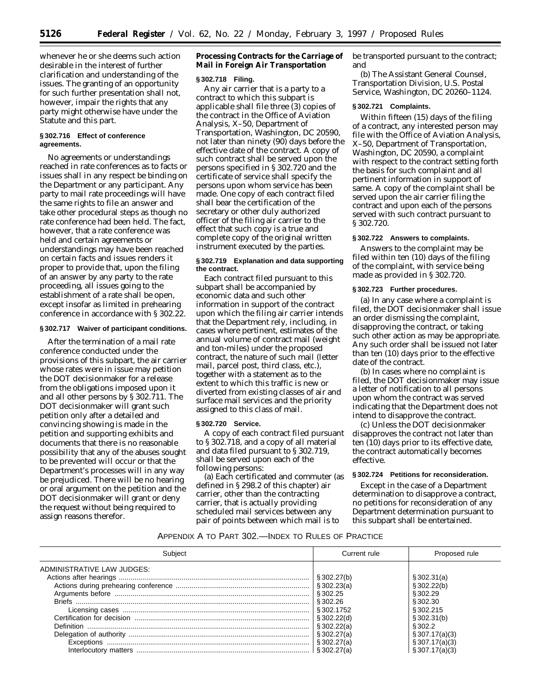whenever he or she deems such action desirable in the interest of further clarification and understanding of the issues. The granting of an opportunity for such further presentation shall not, however, impair the rights that any party might otherwise have under the Statute and this part.

# **§ 302.716 Effect of conference agreements.**

No agreements or understandings reached in rate conferences as to facts or issues shall in any respect be binding on the Department or any participant. Any party to mail rate proceedings will have the same rights to file an answer and take other procedural steps as though no rate conference had been held. The fact, however, that a rate conference was held and certain agreements or understandings may have been reached on certain facts and issues renders it proper to provide that, upon the filing of an answer by any party to the rate proceeding, all issues going to the establishment of a rate shall be open, except insofar as limited in prehearing conference in accordance with § 302.22.

# **§ 302.717 Waiver of participant conditions.**

After the termination of a mail rate conference conducted under the provisions of this subpart, the air carrier whose rates were in issue may petition the DOT decisionmaker for a release from the obligations imposed upon it and all other persons by § 302.711. The DOT decisionmaker will grant such petition only after a detailed and convincing showing is made in the petition and supporting exhibits and documents that there is no reasonable possibility that any of the abuses sought to be prevented will occur or that the Department's processes will in any way be prejudiced. There will be no hearing or oral argument on the petition and the DOT decisionmaker will grant or deny the request without being required to assign reasons therefor.

**Processing Contracts for the Carriage of Mail in Foreign Air Transportation**

#### **§ 302.718 Filing.**

Any air carrier that is a party to a contract to which this subpart is applicable shall file three (3) copies of the contract in the Office of Aviation Analysis, X–50, Department of Transportation, Washington, DC 20590, not later than ninety (90) days before the effective date of the contract. A copy of such contract shall be served upon the persons specified in § 302.720 and the certificate of service shall specify the persons upon whom service has been made. One copy of each contract filed shall bear the certification of the secretary or other duly authorized officer of the filing air carrier to the effect that such copy is a true and complete copy of the original written instrument executed by the parties.

## **§ 302.719 Explanation and data supporting the contract.**

Each contract filed pursuant to this subpart shall be accompanied by economic data and such other information in support of the contract upon which the filing air carrier intends that the Department rely, including, in cases where pertinent, estimates of the annual volume of contract mail (weight and ton-miles) under the proposed contract, the nature of such mail (letter mail, parcel post, third class, etc.), together with a statement as to the extent to which this traffic is new or diverted from existing classes of air and surface mail services and the priority assigned to this class of mail.

#### **§ 302.720 Service.**

A copy of each contract filed pursuant to § 302.718, and a copy of all material and data filed pursuant to § 302.719, shall be served upon each of the following persons:

(a) Each certificated and commuter (as defined in § 298.2 of this chapter) air carrier, other than the contracting carrier, that is actually providing scheduled mail services between any pair of points between which mail is to

be transported pursuant to the contract; and

(b) The Assistant General Counsel, Transportation Division, U.S. Postal Service, Washington, DC 20260–1124.

# **§ 302.721 Complaints.**

Within fifteen (15) days of the filing of a contract, any interested person may file with the Office of Aviation Analysis, X–50, Department of Transportation, Washington, DC 20590, a complaint with respect to the contract setting forth the basis for such complaint and all pertinent information in support of same. A copy of the complaint shall be served upon the air carrier filing the contract and upon each of the persons served with such contract pursuant to § 302.720.

## **§ 302.722 Answers to complaints.**

Answers to the complaint may be filed within ten (10) days of the filing of the complaint, with service being made as provided in § 302.720.

## **§ 302.723 Further procedures.**

(a) In any case where a complaint is filed, the DOT decisionmaker shall issue an order dismissing the complaint, disapproving the contract, or taking such other action as may be appropriate. Any such order shall be issued not later than ten (10) days prior to the effective date of the contract.

(b) In cases where no complaint is filed, the DOT decisionmaker may issue a letter of notification to all persons upon whom the contract was served indicating that the Department does not intend to disapprove the contract.

(c) Unless the DOT decisionmaker disapproves the contract not later than ten (10) days prior to its effective date, the contract automatically becomes effective.

## **§ 302.724 Petitions for reconsideration.**

Except in the case of a Department determination to disapprove a contract, no petitions for reconsideration of any Department determination pursuant to this subpart shall be entertained.

#### APPENDIX A TO PART 302.—INDEX TO RULES OF PRACTICE

| Subject                    | Current rule   | Proposed rule  |
|----------------------------|----------------|----------------|
| ADMINISTRATIVE LAW JUDGES: |                |                |
|                            | $\S 302.27(b)$ | \$302.31(a)    |
|                            | § 302.23(a)    | \$302.22(b)    |
|                            | \$302.25       | \$302.29       |
| <b>Briefs</b>              | § 302.26       | \$302.30       |
|                            | § 302.1752     | \$302.215      |
|                            | \$302.22(d)    | \$302.31(b)    |
|                            | § 302.22(a)    | S 302.2        |
|                            | §302.27(a)     | \$307.17(a)(3) |
|                            | §302.27(a`     | \$307.17(a)(3) |
|                            |                | \$307.17(a)(3) |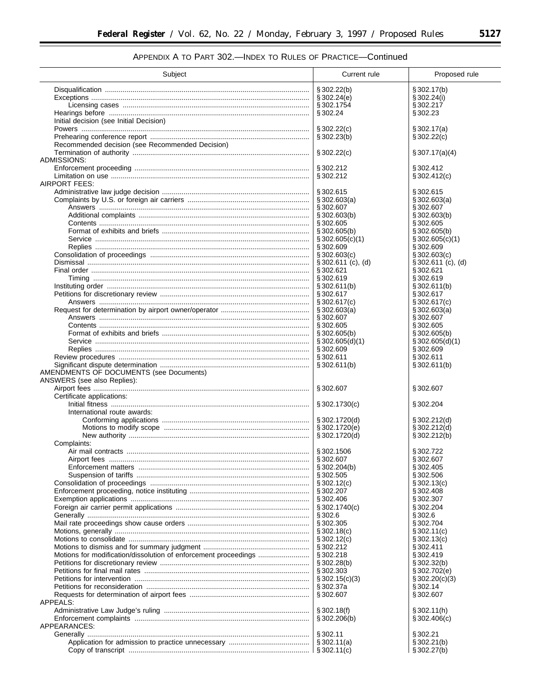$\equiv$ 

# APPENDIX A TO PART 302.-INDEX TO RULES OF PRACTICE-Continued

| Subject                                         | Current rule                             | Proposed rule                       |
|-------------------------------------------------|------------------------------------------|-------------------------------------|
|                                                 | $\S 302.22(b)$                           | § 302.17(b)                         |
|                                                 | \$302.24(e)                              | § 302.24(i)                         |
|                                                 | §302.1754                                | §302.217                            |
|                                                 | § 302.24                                 | §302.23                             |
| Initial decision (see Initial Decision)         |                                          |                                     |
|                                                 | $\S 302.22(c)$                           | \$302.17(a)                         |
|                                                 | § 302.23(b)                              | \$302.22(c)                         |
| Recommended decision (see Recommended Decision) |                                          |                                     |
|                                                 | \$302.22(c)                              | § 307.17(a)(4)                      |
| ADMISSIONS:                                     | §302.212                                 | §302.412                            |
|                                                 | §302.212                                 | \$302.412(c)                        |
| AIRPORT FEES:                                   |                                          |                                     |
|                                                 | §302.615                                 | § 302.615                           |
|                                                 | $\S 302.603(a)$                          | $\S 302.603(a)$                     |
|                                                 | §302.607                                 | § 302.607                           |
|                                                 | $\S 302.603(b)$                          | $\S 302.603(b)$                     |
|                                                 | §302.605                                 | §302.605                            |
|                                                 | \$302.605(b)                             | $\S 302.605(b)$                     |
|                                                 | $\S 302.605(c)(1)$                       | \$302.605(c)(1)                     |
|                                                 | § 302.609                                | §302.609                            |
|                                                 | $\S 302.603(c)$<br>$\S 302.611$ (c), (d) | \$302.603(c)<br>$$302.611$ (c), (d) |
|                                                 | § 302.621                                | §302.621                            |
|                                                 |                                          | §302.619                            |
|                                                 | $\S 302.611(b)$                          | \$302.611(b)                        |
|                                                 | § 302.617                                | §302.617                            |
|                                                 | \$302.617(c)                             | $\S 302.617(c)$                     |
|                                                 |                                          | $\S 302.603(a)$                     |
|                                                 | § 302.607                                | § 302.607                           |
|                                                 | § 302.605                                | § 302.605                           |
|                                                 | $\S 302.605(b)$                          | $\S 302.605(b)$                     |
|                                                 | $\S 302.605(d)(1)$<br>§ 302.609          | $\S 302.605(d)(1)$<br>§302.609      |
|                                                 | § 302.611                                | §302.611                            |
| AMENDMENTS OF DOCUMENTS (see Documents)         | \$302.611(b)                             | § 302.611(b)                        |
| ANSWERS (see also Replies):                     | §302.607                                 | § 302.607                           |
| Certificate applications:                       |                                          |                                     |
|                                                 | $\S 302.1730(c)$                         | §302.204                            |
| International route awards:                     |                                          |                                     |
|                                                 | §302.1720(d)                             | $\S 302.212(d)$                     |
|                                                 | §302.1720(e)                             | $\S 302.212(d)$                     |
|                                                 | § 302.1720(d)                            | § 302.212(b)                        |
| Complaints:                                     | §302.1506                                | §302.722                            |
| Airport fees                                    | §302.607                                 | §302.607                            |
|                                                 | $\S 302.204(b)$                          | §302.405                            |
|                                                 |                                          | § 302.506                           |
|                                                 |                                          | $\S 302.13(c)$                      |
|                                                 | § 302.207                                | § 302.408                           |
|                                                 | § 302.406                                | § 302.307                           |
|                                                 |                                          | §302.204                            |
|                                                 | § 302.6<br>§ 302.305                     | § 302.6<br>§302.704                 |
|                                                 | $\S 302.18(c)$                           | $\S 302.11(c)$                      |
|                                                 | $\S 302.12(c)$                           | $\S 302.13(c)$                      |
|                                                 | § 302.212                                | § 302.411                           |
|                                                 | § 302.218                                | §302.419                            |
|                                                 | $\S 302.28(b)$                           | § 302.32(b)                         |
|                                                 | § 302.303                                | $\S 302.702(e)$                     |
|                                                 | $\S 302.15(c)(3)$                        | $\S 302.20(c)(3)$                   |
|                                                 | § 302.37a                                | § 302.14                            |
| APPEALS:                                        | § 302.607                                | §302.607                            |
|                                                 | \$302.18(f)                              | § 302.11(h)                         |
|                                                 | $\S 302.206(b)$                          | $\S 302.406(c)$                     |
| APPEARANCES:                                    |                                          |                                     |
|                                                 | § 302.11                                 | § 302.21                            |
|                                                 | \$302.11(a)                              | \$302.21(b)                         |
|                                                 |                                          | $\S 302.27(b)$                      |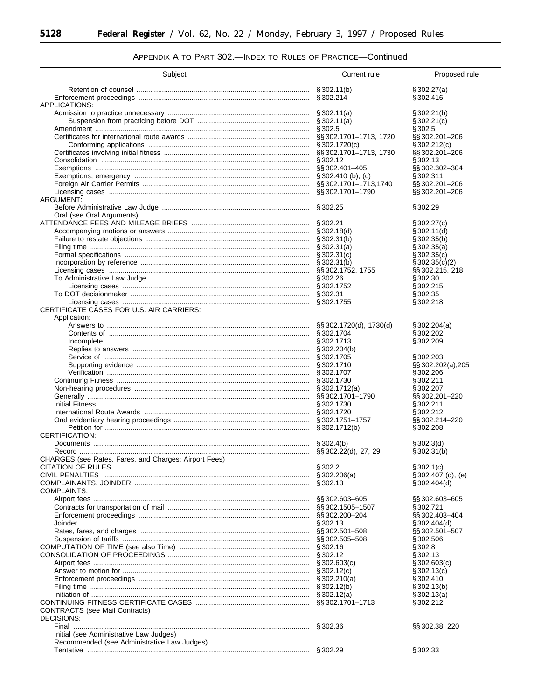$\equiv$ 

| Subject                                               | Current rule                               | Proposed rule                         |
|-------------------------------------------------------|--------------------------------------------|---------------------------------------|
|                                                       | $\S 302.11(b)$                             | § 302.27(a)                           |
|                                                       | §302.214                                   | §302.416                              |
| APPLICATIONS:                                         |                                            |                                       |
|                                                       | § 302.11(a)                                | \$302.21(b)                           |
|                                                       | \$302.11(a)                                | § 302.21(c)                           |
|                                                       | § 302.5                                    | § 302.5                               |
|                                                       | §§ 302.1701-1713, 1720<br>$\S 302.1720(c)$ | §§ 302.201-206<br>\$302.212(c)        |
|                                                       | §§ 302.1701-1713, 1730                     | §§ 302.201-206                        |
|                                                       | § 302.12                                   | §302.13                               |
|                                                       | §§302.401-405                              | §§ 302.302-304                        |
|                                                       | $\S 302.410$ (b), (c)                      | § 302.311                             |
|                                                       | §§302.1701-1713,1740                       | §§ 302.201-206                        |
|                                                       | §§ 302.1701-1790                           | §§ 302.201–206                        |
| ARGUMENT:                                             |                                            |                                       |
|                                                       | § 302.25                                   | §302.29                               |
| Oral (see Oral Arguments)                             | § 302.21                                   | $\S 302.27(c)$                        |
|                                                       | $\S 302.18(d)$                             | $\S 302.11(d)$                        |
|                                                       | § 302.31(b)                                | $\S 302.35(b)$                        |
|                                                       |                                            | § 302.35(a)                           |
|                                                       | \$302.31(c)                                | $\S 302.35(c)$                        |
|                                                       | $\frac{1}{3}302.31(b)$                     | $\S 302.35(c)(2)$                     |
|                                                       | §§302.1752, 1755                           | §§ 302.215, 218                       |
|                                                       |                                            | § 302.30                              |
|                                                       | § 302.1752                                 | §302.215                              |
|                                                       |                                            | §302.35                               |
| CERTIFICATE CASES FOR U.S. AIR CARRIERS:              | § 302.1755                                 | §302.218                              |
| Application:                                          |                                            |                                       |
|                                                       | $\S$ SS 302.1720(d), 1730(d)               | $\S 302.204(a)$                       |
|                                                       | § 302.1704                                 | §302.202                              |
|                                                       | § 302.1713                                 | §302.209                              |
|                                                       | $\S 302.204(b)$                            |                                       |
|                                                       | § 302.1705                                 | §302.203                              |
|                                                       | §302.1710                                  | §§ 302.202(a), 205                    |
|                                                       | § 302.1707                                 | §302.206                              |
|                                                       | §302.1730                                  | §302.211                              |
|                                                       | \$302.1712(a)<br>§§302.1701-1790           | §302.207<br>§§ 302.201-220            |
|                                                       | § 302.1730                                 | §302.211                              |
|                                                       | §302.1720                                  | §302.212                              |
|                                                       | §302.1751-1757                             | §§302.214-220                         |
|                                                       | §302.1712(b)                               | §302.208                              |
| CERTIFICATION:                                        |                                            |                                       |
|                                                       | $\S 302.4(b)$                              | $\S 302.3(d)$                         |
|                                                       | $\S$ SS 302.22(d), 27, 29                  | $\S 302.31(b)$                        |
| CHARGES (see Rates, Fares, and Charges; Airport Fees) |                                            |                                       |
|                                                       | § 302.2                                    | \$302.1(c)                            |
|                                                       | \$302.206(a)<br>§ 302.13                   | $\S 302.407$ (d), (e)<br>\$302.404(d) |
| COMPLAINTS:                                           |                                            |                                       |
|                                                       | §§ 302.603-605                             | §§ 302.603-605                        |
|                                                       | §§302.1505-1507                            | §302.721                              |
|                                                       | §§ 302.200-204                             | §§ 302.403-404                        |
|                                                       | § 302.13                                   | $\S 302.404(d)$                       |
|                                                       | §§ 302.501-508                             | §§ 302.501-507                        |
|                                                       | §§ 302.505-508                             | §302.506                              |
|                                                       | § 302.16                                   | § 302.8                               |
|                                                       | § 302.12                                   | §302.13                               |
|                                                       | $\S 302.603(c)$                            | \$302.603(c)                          |
|                                                       | $\S 302.12(c)$<br>\$302.210(a)             | $\S 302.13(c)$<br>§ 302.410           |
|                                                       | $\S 302.12(b)$                             | $\S 302.13(b)$                        |
|                                                       | $\S 302.12(a)$                             | $\S 302.13(a)$                        |
|                                                       | §§302.1701-1713                            | §302.212                              |
| <b>CONTRACTS</b> (see Mail Contracts)                 |                                            |                                       |
| DECISIONS:                                            |                                            |                                       |
|                                                       | § 302.36                                   | §§ 302.38, 220                        |
| Initial (see Administrative Law Judges)               |                                            |                                       |
| Recommended (see Administrative Law Judges)           |                                            |                                       |
|                                                       | § 302.29                                   | §302.33                               |

# APPENDIX A TO PART 302.-INDEX TO RULES OF PRACTICE-Continued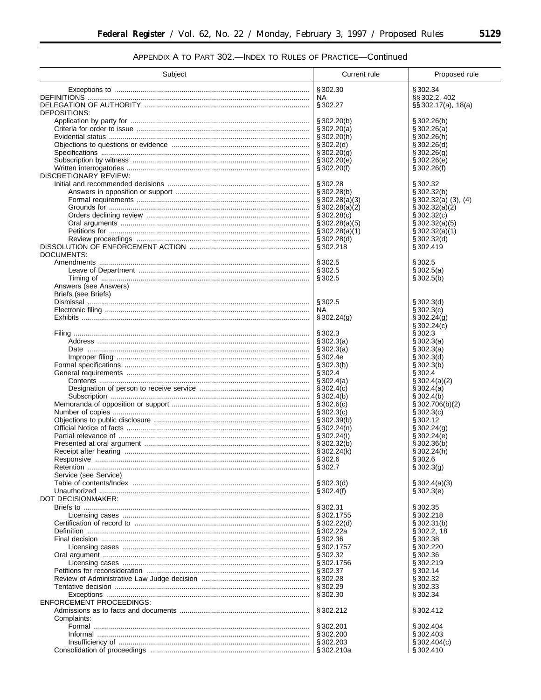$\equiv$ 

# APPENDIX A TO PART 302.-INDEX TO RULES OF PRACTICE-Continued

| Subject                         | Current rule                        | Proposed rule                       |
|---------------------------------|-------------------------------------|-------------------------------------|
|                                 | § 302.30                            | §302.34                             |
|                                 | NA.                                 | §§ 302.2, 402                       |
|                                 | § 302.27                            | $\S$ § 302.17(a), 18(a)             |
| DEPOSITIONS:                    |                                     |                                     |
|                                 | $\S 302.20(b)$<br>\$302.20(a)       | § 302.26(b)<br>\$302.26(a)          |
|                                 | § 302.20(h)                         | § 302.26(h)                         |
|                                 | \$302.2(d)                          | $\S 302.26(d)$                      |
|                                 | $\S 302.20(g)$                      | \$302.26(g)                         |
|                                 | \$302.20(e)                         | \$302.26(e)                         |
| DISCRETIONARY REVIEW:           | \$302.20(f)                         | § 302.26(f)                         |
|                                 | § 302.28                            | § 302.32                            |
|                                 | $\S 302.28(b)$                      | $\S 302.32(b)$                      |
|                                 | \$302.28(a)(3)                      | $\S 302.32(a)$ (3), (4)             |
|                                 | $\S 302.28(a)(2)$                   | $\S 302.32(a)(2)$                   |
|                                 | \$302.28(c)                         | $\S 302.32(c)$                      |
|                                 | $\S 302.28(a)(5)$<br>\$302.28(a)(1) | $\S 302.32(a)(5)$<br>\$302.32(a)(1) |
|                                 | \$302.28(d)                         | § 302.32(d)                         |
|                                 | § 302.218                           | §302.419                            |
| DOCUMENTS:                      |                                     |                                     |
|                                 | § 302.5                             | § 302.5                             |
|                                 | § 302.5<br>§ 302.5                  | \$302.5(a)<br>§ 302.5(b)            |
| Answers (see Answers)           |                                     |                                     |
| Briefs (see Briefs)             |                                     |                                     |
|                                 | § 302.5                             | $\S 302.3(d)$                       |
|                                 | NA.                                 | § 302.3(c)                          |
|                                 | $\S 302.24(g)$                      | \$302.24(q)                         |
|                                 | § 302.3                             | $\S 302.24(c)$<br>§ 302.3           |
|                                 | \$302.3(a)                          | § 302.3(a)                          |
|                                 | \$302.3(a)                          | § 302.3(a)                          |
|                                 | § 302.4e                            | § 302.3(d)                          |
|                                 | \$302.3(b)                          | \$302.3(b)                          |
|                                 | § 302.4<br>\$302.4(a)               | § 302.4                             |
|                                 | \$302.4(c)                          | $\S 302.4(a)(2)$<br>§ 302.4(a)      |
|                                 | \$302.4(b)                          | \$302.4(b)                          |
|                                 | $\S 302.6(c)$                       | \$302.706(b)(2)                     |
|                                 | \$302.3(c)                          | § 302.3(c)                          |
|                                 | $\S 302.39(b)$                      | § 302.12                            |
|                                 | $\S 302.24(n)$<br>\$302.24(l)       | $\S 302.24(g)$<br>$\S 302.24(e)$    |
|                                 | $\S 302.32(b)$                      | \$302.36(b)                         |
|                                 | $\S 302.24(k)$                      | $\S 302.24(h)$                      |
| Responsive                      | §302.6                              | § 302.6                             |
|                                 | \$302.7                             | \$302.3(q)                          |
| Service (see Service)           | \$302.3(d)                          | \$302.4(a)(3)                       |
|                                 | \$302.4(f)                          | § 302.3(e)                          |
| DOT DECISIONMAKER:              |                                     |                                     |
|                                 | §302.31                             | §302.35                             |
|                                 | § 302.1755                          | §302.218                            |
|                                 | \$302.22(d)                         | § 302.31(b)                         |
|                                 | § 302.22a<br>§ 302.36               | § 302.2, 18<br>§302.38              |
|                                 | § 302.1757                          | §302.220                            |
|                                 | § 302.32                            | §302.36                             |
|                                 | §302.1756                           | §302.219                            |
|                                 | $\S 302.37$                         | § 302.14                            |
|                                 | § 302.28                            | § 302.32                            |
|                                 | § 302.29<br>§ 302.30                | §302.33<br>§302.34                  |
| <b>ENFORCEMENT PROCEEDINGS:</b> |                                     |                                     |
|                                 | § 302.212                           | §302.412                            |
| Complaints:                     |                                     |                                     |
|                                 | § 302.201                           | §302.404                            |
|                                 | §302.200                            | §302.403                            |
|                                 | § 302.203                           | \$302.404(c)<br>§302.410            |
|                                 |                                     |                                     |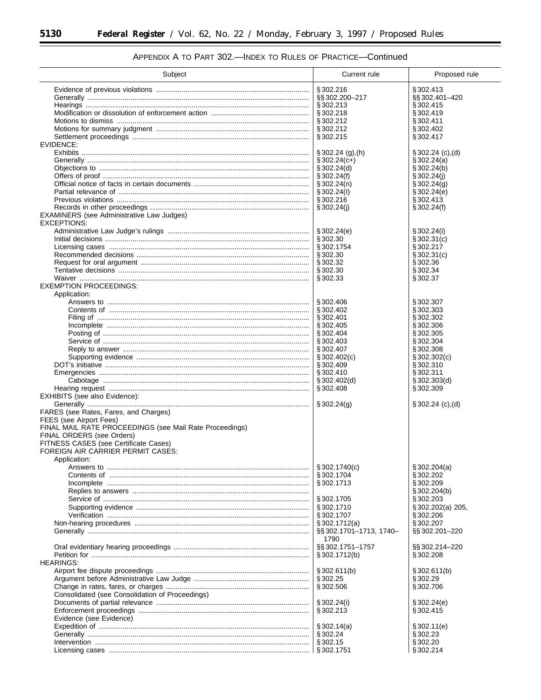$\equiv$ 

| Subject                                                  | Current rule                   | Proposed rule            |
|----------------------------------------------------------|--------------------------------|--------------------------|
|                                                          | § 302.216                      | §302.413                 |
|                                                          | §§302.200-217                  | §§ 302.401-420           |
|                                                          | § 302.213                      | §302.415                 |
|                                                          | § 302.218                      | §302.419                 |
|                                                          | § 302.212                      | §302.411                 |
|                                                          | §302.212                       | §302.402                 |
|                                                          | §302.215                       | §302.417                 |
| EVIDENCE:                                                |                                |                          |
|                                                          | $\S 302.24$ (g),(h)            | $\S 302.24$ (c), (d)     |
|                                                          | $\S 302.24(c+)$                | $\S 302.24(a)$           |
|                                                          | $\S 302.24(d)$                 | § 302.24(b)              |
|                                                          | \$302.24(f)                    | $\S 302.24(i)$           |
|                                                          | $\S 302.24(n)$                 | $\S 302.24(g)$           |
|                                                          | $\S 302.24(l)$                 | $\S 302.24(e)$           |
|                                                          | §302.216                       | §302.413                 |
| EXAMINERS (see Administrative Law Judges)<br>EXCEPTIONS: | \$302.24(i)                    | $\S 302.24(f)$           |
|                                                          | \$302.24(e)                    | $\S 302.24(i)$           |
|                                                          | § 302.30                       | $\S 302.31(c)$           |
|                                                          | §302.1754                      | §302.217                 |
|                                                          | § 302.30                       | $\S 302.31(c)$           |
|                                                          | §302.32                        | §302.36                  |
|                                                          | § 302.30                       | §302.34                  |
|                                                          | § 302.33                       | § 302.37                 |
| <b>EXEMPTION PROCEEDINGS:</b>                            |                                |                          |
| Application:                                             |                                |                          |
|                                                          | § 302.406                      | § 302.307                |
|                                                          | § 302.402                      | §302.303                 |
|                                                          | § 302.401                      | § 302.302                |
|                                                          | § 302.405                      | § 302.306                |
|                                                          | § 302.404                      | § 302.305                |
|                                                          | § 302.403                      | §302.304                 |
|                                                          | §302.407                       | §302.308                 |
|                                                          | $\S 302.402(c)$                | $\S 302.302(c)$          |
|                                                          | $\S 302.409$                   | §302.310                 |
|                                                          | § 302.410                      | §302.311                 |
|                                                          | §302.402(d)<br>§ 302.408       | \$302.303(d)<br>§302.309 |
| EXHIBITS (see also Evidence):                            |                                |                          |
|                                                          | $\S 302.24(g)$                 | \$302.24 (c), (d)        |
| FARES (see Rates, Fares, and Charges)                    |                                |                          |
| FEES (see Airport Fees)                                  |                                |                          |
| FINAL MAIL RATE PROCEEDINGS (see Mail Rate Proceedings)  |                                |                          |
| FINAL ORDERS (see Orders)                                |                                |                          |
| FITNESS CASES (see Certificate Cases)                    |                                |                          |
| FOREIGN AIR CARRIER PERMIT CASES:                        |                                |                          |
| Application:                                             |                                |                          |
|                                                          | $\S 302.1740(c)$               | \$302.204(a)             |
|                                                          | §302.1704                      | §302.202                 |
|                                                          | § 302.1713                     | § 302.209                |
|                                                          |                                | \$302.204(b)             |
|                                                          | § 302.1705                     | § 302.203                |
|                                                          | §302.1710                      | §302.202(a) 205,         |
|                                                          | § 302.1707                     | §302.206                 |
|                                                          | $\S 302.1712(a)$               | §302.207                 |
|                                                          | §§302.1701-1713, 1740-<br>1790 | §§ 302.201-220           |
|                                                          | §§302.1751-1757                | §§302.214–220            |
|                                                          | $\S 302.1712(b)$               | §302.208                 |
| <b>HEARINGS:</b>                                         | \$302.611(b)                   | § 302.611(b)             |
|                                                          |                                |                          |
|                                                          | § 302.25<br>§ 302.506          | § 302.29<br>§302.706     |
| Consolidated (see Consolidation of Proceedings)          |                                |                          |
|                                                          | $\S 302.24(i)$                 | \$302.24(e)              |
|                                                          | §302.213                       | §302.415                 |
| Evidence (see Evidence)                                  |                                |                          |
|                                                          | $\S 302.14(a)$                 | § 302.11(e)              |
|                                                          | § 302.24                       | §302.23                  |
|                                                          | § 302.15                       | §302.20                  |
|                                                          |                                | §302.214                 |
|                                                          |                                |                          |

# APPENDIX A TO PART 302.-INDEX TO RULES OF PRACTICE-Continued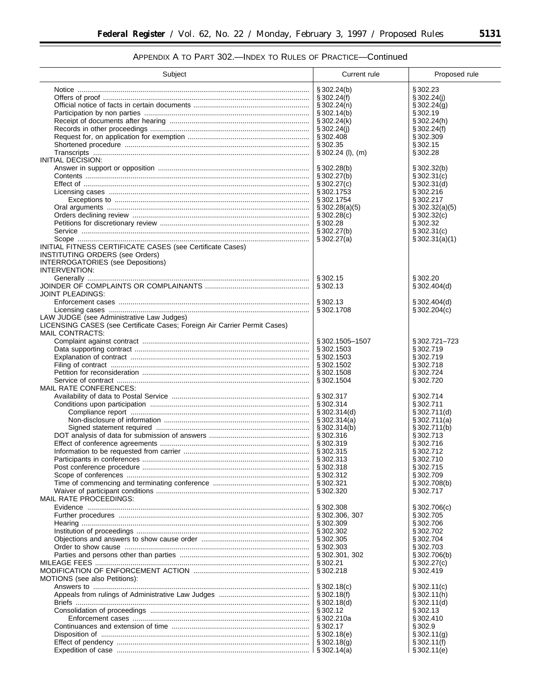# APPENDIX A TO PART 302.—INDEX TO RULES OF PRACTICE—Continued

| Subject                                                                                      | Current rule                    | Proposed rule               |
|----------------------------------------------------------------------------------------------|---------------------------------|-----------------------------|
|                                                                                              | \$302.24(b)                     | §302.23                     |
|                                                                                              | \$302.24(f)                     | \$302.24(j)                 |
|                                                                                              | $\S 302.24(n)$                  | \$302.24(g)                 |
|                                                                                              | $\S 302.14(b)$                  | § 302.19                    |
|                                                                                              | $\S 302.24(k)$                  | §302.24(h)                  |
|                                                                                              | $\S 302.24(j)$<br>§ 302.408     | $\S 302.24(f)$<br>§302.309  |
|                                                                                              | §302.35                         | §302.15                     |
|                                                                                              | $\S 302.24$ (I), (m)            | §302.28                     |
| INITIAL DECISION:                                                                            |                                 |                             |
|                                                                                              | \$302.28(b)                     | $\S 302.32(b)$              |
|                                                                                              | $\S 302.27(b)$                  | $\S 302.31(c)$              |
|                                                                                              | $\S 302.27(c)$                  | $\S 302.31(d)$              |
|                                                                                              | § 302.1753                      | §302.216                    |
|                                                                                              | §302.1754                       | §302.217                    |
|                                                                                              | $\S 302.28(a)(5)$               | $\S 302.32(a)(5)$           |
|                                                                                              | \$302.28(c)<br>§ 302.28         | \$302.32(c)<br>§302.32      |
|                                                                                              | \$302.27(b)                     | \$302.31(c)                 |
|                                                                                              | \$302.27(a)                     | $\S 302.31(a)(1)$           |
| INITIAL FITNESS CERTIFICATE CASES (see Certificate Cases)                                    |                                 |                             |
| <b>INSTITUTING ORDERS (see Orders)</b>                                                       |                                 |                             |
| <b>INTERROGATORIES</b> (see Depositions)                                                     |                                 |                             |
| INTERVENTION:                                                                                |                                 |                             |
|                                                                                              | § 302.15                        | §302.20                     |
|                                                                                              | § 302.13                        | \$302.404(d)                |
| JOINT PLEADINGS:                                                                             |                                 |                             |
|                                                                                              | §302.13                         | § 302.404(d)                |
|                                                                                              | §302.1708                       | $\S 302.204(c)$             |
| LAW JUDGE (see Administrative Law Judges)                                                    |                                 |                             |
| LICENSING CASES (see Certificate Cases; Foreign Air Carrier Permit Cases)<br>MAIL CONTRACTS: |                                 |                             |
|                                                                                              | §302.1505-1507                  | §302.721–723                |
|                                                                                              | §302.1503                       | §302.719                    |
|                                                                                              | §302.1503                       | §302.719                    |
|                                                                                              | §302.1502                       | § 302.718                   |
|                                                                                              | §302.1508                       | §302.724                    |
|                                                                                              | § 302.1504                      | §302.720                    |
| MAIL RATE CONFERENCES:                                                                       |                                 |                             |
|                                                                                              | $\S 302.317$                    | §302.714                    |
|                                                                                              | $\S 302.314$                    | §302.711                    |
|                                                                                              | § 302.314(d)                    | § 302.711(d)<br>§302.711(a) |
|                                                                                              | $\S 302.314(a)$<br>\$302.314(b) | $\S 302.711(b)$             |
|                                                                                              | § 302.316                       | §302.713                    |
|                                                                                              | §302.319                        | §302.716                    |
|                                                                                              | § 302.315                       | §302.712                    |
|                                                                                              | § 302.313                       | §302.710                    |
|                                                                                              | §302.318                        | §302.715                    |
|                                                                                              | §302.312                        | §302.709                    |
|                                                                                              | § 302.321                       | $\S 302.708(b)$             |
|                                                                                              | § 302.320                       | §302.717                    |
| MAIL RATE PROCEEDINGS:                                                                       |                                 |                             |
|                                                                                              | § 302.308                       | \$302.706(c)                |
|                                                                                              | §302.306, 307<br>§302.309       | §302.705<br>§302.706        |
|                                                                                              | § 302.302                       | §302.702                    |
|                                                                                              | § 302.305                       | §302.704                    |
|                                                                                              | §302.303                        | §302.703                    |
|                                                                                              | §302.301, 302                   | $\S 302.706(b)$             |
|                                                                                              | § 302.21                        | $\S 302.27(c)$              |
|                                                                                              | § 302.218                       | §302.419                    |
| MOTIONS (see also Petitions):                                                                |                                 |                             |
|                                                                                              | \$302.18(c)                     | $\S 302.11(c)$              |
|                                                                                              | $\S 302.18(f)$                  | $\S 302.11(h)$              |
|                                                                                              | $\S 302.18(d)$                  | $\S 302.11(d)$              |
|                                                                                              | § 302.12                        | §302.13                     |
|                                                                                              | § 302.210a                      | §302.410                    |
|                                                                                              | $\S 302.17$<br>\$302.18(e)      | § 302.9<br>$\S 302.11(g)$   |
|                                                                                              | $\S 302.18(g)$                  | $\S 302.11(f)$              |
|                                                                                              | $\S 302.14(a)$                  | § 302.11(e)                 |
|                                                                                              |                                 |                             |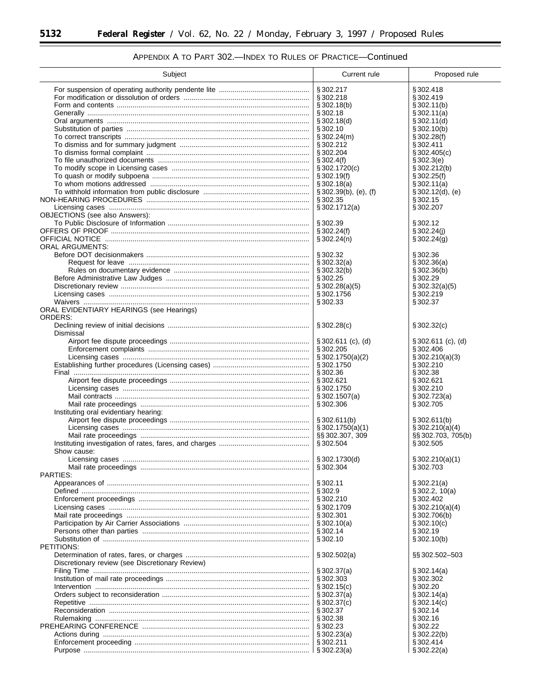| Subject                                             | Current rule                           | Proposed rule                         |
|-----------------------------------------------------|----------------------------------------|---------------------------------------|
|                                                     | §302.217                               | § 302.418                             |
|                                                     | §302.218                               | §302.419                              |
|                                                     | \$302.18(b)                            | § 302.11(b)                           |
|                                                     | § 302.18                               | $\S 302.11(a)$                        |
|                                                     | \$302.18(d)                            | $\S 302.11(d)$                        |
|                                                     | § 302.10                               | $\S 302.10(b)$<br>\$302.28(f)         |
|                                                     | $\S 302.24(m)$<br>§ 302.212            | §302.411                              |
|                                                     | §302.204                               | $\S 302.405(c)$                       |
|                                                     | $\S 302.4(f)$                          | § 302.3(e)                            |
|                                                     | \$302.1720(c)                          | \$302.212(b)                          |
|                                                     | $\S 302.19(f)$                         | \$302.25(f)                           |
|                                                     | $\S 302.18(a)$                         | $\S 302.11(a)$                        |
|                                                     | $\S 302.39(b)$ , (e), (f)              | $\S 302.12(d), (e)$                   |
|                                                     | § 302.35<br>$\S 302.1712(a)$           | § 302.15<br>§ 302.207                 |
| <b>OBJECTIONS</b> (see also Answers):               |                                        |                                       |
|                                                     | § 302.39                               | § 302.12                              |
|                                                     | \$302.24(f)                            | § 302.24(i)                           |
|                                                     | $\S 302.24(n)$                         | $\S 302.24(g)$                        |
| <b>ORAL ARGUMENTS:</b>                              |                                        |                                       |
|                                                     | § 302.32                               | §302.36                               |
|                                                     | \$302.32(a)<br>\$302.32(b)             | \$302.36(a)<br>§ 302.36(b)            |
|                                                     |                                        | §302.29                               |
|                                                     | \$302.28(a)(5)                         | $\S 302.32(a)(5)$                     |
|                                                     |                                        | §302.219                              |
|                                                     | § 302.33                               | § 302.37                              |
| ORAL EVIDENTIARY HEARINGS (see Hearings)<br>ORDERS: |                                        |                                       |
| Dismissal                                           | $\S 302.28(c)$                         | $\S 302.32(c)$                        |
|                                                     | $\S 302.611$ (c), (d)                  | $\S 302.611$ (c), (d)                 |
|                                                     | § 302.205                              | §302.406                              |
|                                                     | \$302.1750(a)(2)<br>§302.1750          | \$302.210(a)(3)                       |
|                                                     | § 302.36                               | §302.210<br>§302.38                   |
|                                                     | §302.621                               | §302.621                              |
|                                                     | § 302.1750                             | §302.210                              |
|                                                     | \$302.1507(a)                          | \$302.723(a)                          |
|                                                     | § 302.306                              | §302.705                              |
| Instituting oral evidentiary hearing:               |                                        |                                       |
|                                                     | §302.611(b)                            | $\S 302.611(b)$                       |
|                                                     | $\S 302.1750(a)(1)$<br>§§ 302.307, 309 | \$302.210(a)(4)<br>§§ 302.703, 705(b) |
|                                                     | § 302.504                              | § 302.505                             |
| Show cause:                                         |                                        |                                       |
|                                                     | §302.1730(d)                           | \$302.210(a)(1)                       |
|                                                     | § 302.304                              | §302.703                              |
| PARTIES:                                            |                                        |                                       |
|                                                     | § 302.11                               | § 302.21(a)                           |
|                                                     | § 302.9<br>§ 302.210                   | $\S 302.2, 10(a)$<br>§ 302.402        |
|                                                     | §302.1709                              | \$302.210(a)(4)                       |
|                                                     | § 302.301                              | \$302.706(b)                          |
|                                                     | $\S 302.10(a)$                         | $\S 302.10(c)$                        |
|                                                     | § 302.14                               | § 302.19                              |
|                                                     | § 302.10                               | \$302.10(b)                           |
| PETITIONS:                                          |                                        |                                       |
|                                                     | \$302.502(a)                           | §§302.502-503                         |
| Discretionary review (see Discretionary Review)     | \$302.37(a)                            |                                       |
|                                                     | § 302.303                              | $\S 302.14(a)$<br>§302.302            |
|                                                     | $\S 302.15(c)$                         | § 302.20                              |
|                                                     | $\S 302.37(a)$                         | $\S 302.14(a)$                        |
| Repetitive ……………………………………………………………………………………………      | $\S 302.37(c)$                         | $\S 302.14(c)$                        |
|                                                     | § 302.37                               | § 302.14                              |
|                                                     | § 302.38                               | § 302.16                              |
|                                                     | § 302.23                               | § 302.22                              |
|                                                     | $\S 302.23(a)$                         | $\S 302.22(b)$                        |
|                                                     | § 302.211                              | §302.414<br>\$302.22(a)               |
|                                                     |                                        |                                       |

# APPENDIX A TO PART 302.-INDEX TO RULES OF PRACTICE-Continued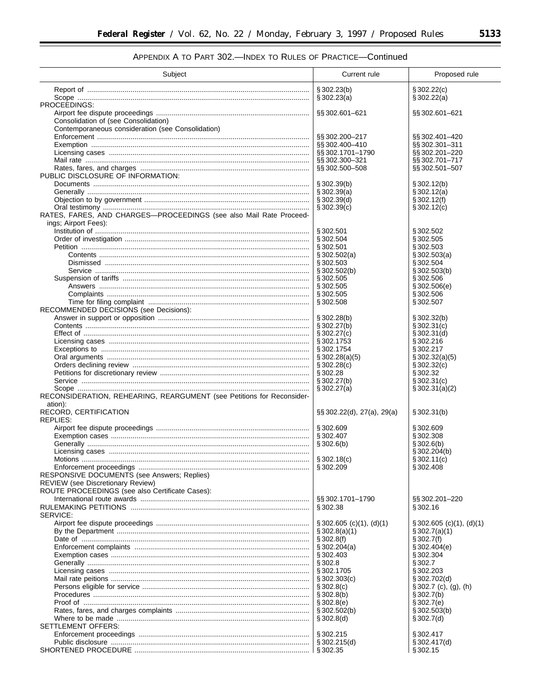# APPENDIX A TO PART 302.-INDEX TO RULES OF PRACTICE-Continued

| Subject                                                                                    | Current rule                                            | Proposed rule                                |
|--------------------------------------------------------------------------------------------|---------------------------------------------------------|----------------------------------------------|
|                                                                                            |                                                         |                                              |
|                                                                                            | \$302.23(b)<br>\$302.23(a)                              | $\S 302.22(c)$<br>§ 302.22(a)                |
| PROCEEDINGS:                                                                               |                                                         |                                              |
|                                                                                            | §§ 302.601-621                                          | §§ 302.601-621                               |
| Consolidation of (see Consolidation)<br>Contemporaneous consideration (see Consolidation)  |                                                         |                                              |
|                                                                                            | §§ 302.200-217                                          | §§ 302.401-420                               |
|                                                                                            | §§ 302.400-410                                          | §§302.301-311                                |
|                                                                                            | §§302.1701-1790<br>§§302.300-321                        | §§ 302.201-220<br>§§302.701-717              |
|                                                                                            | §§ 302.500-508                                          | §§ 302.501-507                               |
| PUBLIC DISCLOSURE OF INFORMATION:                                                          |                                                         |                                              |
|                                                                                            | $\S 302.39(b)$<br>$\S 302.39(a)$                        | § 302.12(b)<br>\$302.12(a)                   |
|                                                                                            | $\S 302.39(d)$                                          | § 302.12(f)                                  |
|                                                                                            | \$302.39(c)                                             | $\S 302.12(c)$                               |
| RATES, FARES, AND CHARGES—PROCEEDINGS (see also Mail Rate Proceed-<br>ings; Airport Fees): |                                                         |                                              |
|                                                                                            | § 302.501                                               | §302.502                                     |
|                                                                                            | §302.504                                                | §302.505                                     |
|                                                                                            | §302.501<br>$\S 302.502(a)$                             | §302.503<br>$\S 302.503(a)$                  |
|                                                                                            | § 302.503                                               | §302.504                                     |
|                                                                                            | $\S 302.502(b)$                                         | \$302.503(b)                                 |
|                                                                                            | § 302.505<br>§ 302.505                                  | § 302.506<br>§ 302.506(e)                    |
|                                                                                            | § 302.505                                               | §302.506                                     |
|                                                                                            | § 302.508                                               | $\S 302.507$                                 |
| RECOMMENDED DECISIONS (see Decisions):                                                     | \$302.28(b)                                             | $\S 302.32(b)$                               |
|                                                                                            | $\S 302.27(b)$                                          | $\S 302.31(c)$                               |
|                                                                                            | $\S 302.27(c)$                                          | $\S 302.31(d)$                               |
|                                                                                            | § 302.1753<br>§ 302.1754                                | §302.216<br>§302.217                         |
|                                                                                            | \$302.28(a)(5)                                          | $\S 302.32(a)(5)$                            |
|                                                                                            | $\S 302.28(c)$                                          | $\S 302.32(c)$                               |
|                                                                                            | § 302.28<br>$\S 302.27(b)$                              | §302.32<br>§ 302.31(c)                       |
|                                                                                            | \$302.27(a)                                             | $\S 302.31(a)(2)$                            |
| RECONSIDERATION, REHEARING, REARGUMENT (see Petitions for Reconsider-                      |                                                         |                                              |
| ation):<br>RECORD, CERTIFICATION                                                           | $\S$ § 302.22(d), 27(a), 29(a)                          | \$302.31(b)                                  |
| REPLIES:                                                                                   |                                                         |                                              |
|                                                                                            | §302.609<br>§ 302.407                                   | §302.609<br>§302.308                         |
|                                                                                            | $\frac{1}{3}302.6(b)$                                   | \$302.6(b)                                   |
|                                                                                            |                                                         | $\S 302.204(b)$                              |
|                                                                                            | \$302.18(c)<br>\$302.209                                | \$302.11(c)<br>§302.408                      |
| RESPONSIVE DOCUMENTS (see Answers; Replies)                                                |                                                         |                                              |
| <b>REVIEW</b> (see Discretionary Review)                                                   |                                                         |                                              |
| ROUTE PROCEEDINGS (see also Certificate Cases):                                            | §§ 302.1701-1790                                        | §§ 302.201-220                               |
|                                                                                            | § 302.38                                                | §302.16                                      |
| SERVICE:                                                                                   |                                                         |                                              |
|                                                                                            | $\S 302.605$ (c)(1), (d)(1)<br>$\frac{1}{3}302.8(a)(1)$ | $\S 302.605$ (c)(1), (d)(1)<br>\$302.7(a)(1) |
|                                                                                            | \$302.8(f)                                              | \$302.7(f)                                   |
|                                                                                            |                                                         | \$302.404(e)                                 |
|                                                                                            | § 302.403                                               | §302.304<br>§ 302.7                          |
|                                                                                            | §302.1705                                               | §302.203                                     |
|                                                                                            |                                                         | \$302.702(d)                                 |
|                                                                                            | \$302.8(c)                                              | $§ 302.7$ (c), (g), (h)<br>§ 302.7(b)        |
|                                                                                            | \$302.8(e)                                              | \$302.7(e)                                   |
|                                                                                            |                                                         | \$302.503(b)                                 |
| SETTLEMENT OFFERS:                                                                         | \$302.8(d)                                              | § 302.7(d)                                   |
|                                                                                            | § 302.215                                               | §302.417                                     |
|                                                                                            |                                                         | \$302.417(d)                                 |
|                                                                                            |                                                         | § 302.15                                     |